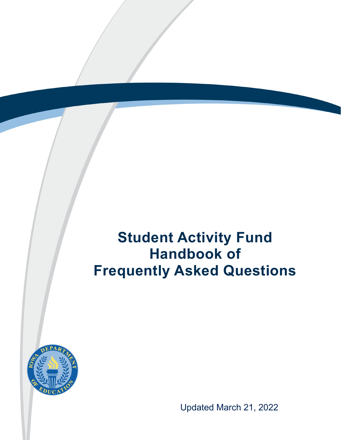# **Student Activity Fund Handbook of Frequently Asked Questions**



Updated March 21, 2022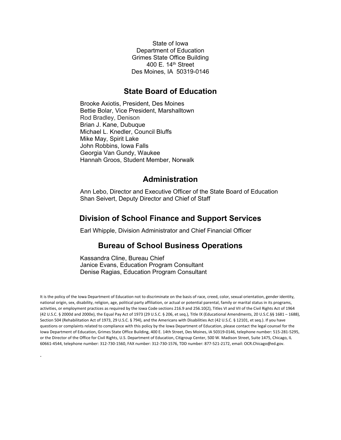State of Iowa Department of Education Grimes State Office Building 400 E. 14<sup>th</sup> Street Des Moines, IA 50319-0146

#### **State Board of Education**

Brooke Axiotis, President, Des Moines Bettie Bolar, Vice President, Marshalltown Rod Bradley, Denison Brian J. Kane, Dubuque Michael L. Knedler, Council Bluffs Mike May, Spirit Lake John Robbins, Iowa Falls Georgia Van Gundy, Waukee Hannah Groos, Student Member, Norwalk

#### **Administration**

Ann Lebo, Director and Executive Officer of the State Board of Education Shan Seivert, Deputy Director and Chief of Staff

#### **Division of School Finance and Support Services**

Earl Whipple, Division Administrator and Chief Financial Officer

#### **Bureau of School Business Operations**

Kassandra Cline, Bureau Chief Janice Evans, Education Program Consultant Denise Ragias, Education Program Consultant

*.*

It is the policy of the Iowa Department of Education not to discriminate on the basis of race, creed, color, sexual orientation, gender identity, national origin, sex, disability, religion, age, political party affiliation, or actual or potential parental, family or marital status in its programs, activities, or employment practices as required by the Iowa Code sections 216.9 and 256.10(2), Titles VI and VII of the Civil Rights Act of 1964 (42 U.S.C. § 2000d and 2000e), the Equal Pay Act of 1973 (29 U.S.C. § 206, et seq.), Title IX (Educational Amendments, 20 U.S.C.§§ 1681 – 1688), Section 504 (Rehabilitation Act of 1973, 29 U.S.C. § 794), and the Americans with Disabilities Act (42 U.S.C. § 12101, et seq.). If you have questions or complaints related to compliance with this policy by the Iowa Department of Education, please contact the legal counsel for the Iowa Department of Education, Grimes State Office Building, 400 E. 14th Street, Des Moines, IA 50319-0146, telephone number: 515-281-5295, or the Director of the Office for Civil Rights, U.S. Department of Education, Citigroup Center, 500 W. Madison Street, Suite 1475, Chicago, IL 60661-4544, telephone number: 312-730-1560, FAX number: 312-730-1576, TDD number: 877-521-2172, email: OCR.Chicago@ed.gov.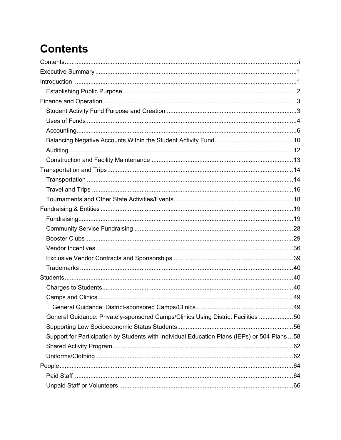# <span id="page-2-0"></span>**Contents**

| General Guidance: Privately-sponsored Camps/Clinics Using District Facilities 50              |  |
|-----------------------------------------------------------------------------------------------|--|
|                                                                                               |  |
| Support for Participation by Students with Individual Education Plans (IEPs) or 504 Plans  58 |  |
|                                                                                               |  |
|                                                                                               |  |
|                                                                                               |  |
|                                                                                               |  |
|                                                                                               |  |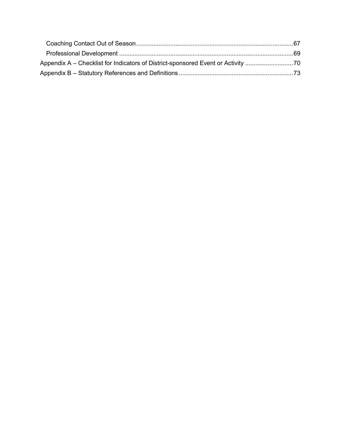| Appendix A – Checklist for Indicators of District-sponsored Event or Activity 70 |  |
|----------------------------------------------------------------------------------|--|
|                                                                                  |  |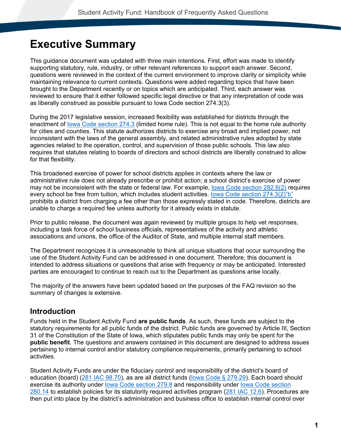## <span id="page-4-0"></span>**Executive Summary**

This guidance document was updated with three main intentions. First, effort was made to identify supporting statutory, rule, industry, or other relevant references to support each answer. Second, questions were reviewed in the context of the current environment to improve clarity or simplicity while maintaining relevance to current contexts. Questions were added regarding topics that have been brought to the Department recently or on topics which are anticipated. Third, each answer was reviewed to ensure that it either followed specific legal directive or that any interpretation of code was as liberally construed as possible pursuant to Iowa Code section 274.3(3).

During the 2017 legislative session, increased flexibility was established for districts through the enactment of [Iowa Code section 274.3](#page-76-1) (limited home rule). This is not equal to the home rule authority for cities and counties. This statute authorizes districts to exercise any broad and implied power, not inconsistent with the laws of the general assembly, and related administrative rules adopted by state agencies related to the operation, control, and supervision of those public schools. This law also requires that statutes relating to boards of directors and school districts are liberally construed to allow for that flexibility.

This broadened exercise of power for school districts applies in contexts where the law or administrative rule does not already prescribe or prohibit action; a school district's exercise of power may not be inconsistent with the state or federal law. For example, [Iowa Code section 282.6\(2\)](#page-78-0) requires every school be free from tuition, which includes student activities. [Iowa Code section 274.3\(2\)"b"](#page-76-1) prohibits a district from charging a fee other than those expressly stated in code. Therefore, districts are unable to charge a required fee unless authority for it already exists in statute.

Prior to public release, the document was again reviewed by multiple groups to help vet responses, including a task force of school business officials, representatives of the activity and athletic associations and unions, the office of the Auditor of State, and multiple internal staff members.

The Department recognizes it is unreasonable to think all unique situations that occur surrounding the use of the Student Activity Fund can be addressed in one document. Therefore, this document is intended to address situations or questions that arise with frequency or may be anticipated. Interested parties are encouraged to continue to reach out to the Department as questions arise locally.

The majority of the answers have been updated based on the purposes of the FAQ revision so the summary of changes is extensive.

### <span id="page-4-1"></span>**Introduction**

Funds held in the Student Activity Fund **are public funds**. As such, these funds are subject to the statutory requirements for all public funds of the district. Public funds are governed by Article III, Section 31 of the Constitution of the State of Iowa, which stipulates public funds may only be spent for the **public benefit**. The questions and answers contained in this document are designed to address issues pertaining to internal control and/or statutory compliance requirements, primarily pertaining to school activities.

Student Activity Funds are under the fiduciary control and responsibility of the district's board of education (board) [\(281 IAC 98.70\)](#page-86-0), as are all district funds [\(Iowa Code § 279.29\)](#page-77-0). Each board should exercise its authority under lowa Code section 279.8 and responsibility under lowa Code section [280.14](#page-78-1) to establish policies for its statutorily required activities program [\(281 IAC 12.6\)](#page-82-0). Procedures are then put into place by the district's administration and business office to establish internal control over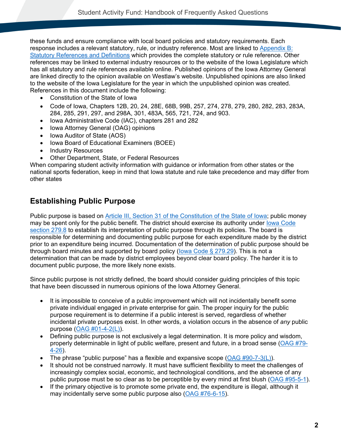these funds and ensure compliance with local board policies and statutory requirements. Each response includes a relevant statutory, rule, or industry reference. Most are linked to [Appendix B:](#page-76-0)  [Statutory References and Definitions](#page-76-0) which provides the complete statutory or rule reference. Other references may be linked to external industry resources or to the website of the Iowa Legislature which has all statutory and rule references available online. Published opinions of the Iowa Attorney General are linked directly to the opinion available on Westlaw's website. Unpublished opinions are also linked to the website of the Iowa Legislature for the year in which the unpublished opinion was created. References in this document include the following:

- Constitution of the State of Iowa
- Code of Iowa, Chapters 12B, 20, 24, 28E, 68B, 99B, 257, 274, 278, 279, 280, 282, 283, 283A, 284, 285, 291, 297, and 298A, 301, 483A, 565, 721, 724, and 903.
- Iowa Administrative Code (IAC), chapters 281 and 282
- Iowa Attorney General (OAG) opinions
- Iowa Auditor of State (AOS)
- Iowa Board of Educational Examiners (BOEE)
- Industry Resources
- Other Department, State, or Federal Resources

When comparing student activity information with guidance or information from other states or the national sports federation, keep in mind that Iowa statute and rule take precedence and may differ from other states

### <span id="page-5-0"></span>**Establishing Public Purpose**

Public purpose is based on [Article III, Section 31 of the Constitution of the State of Iowa;](#page-76-2) public money may be spent only for the public benefit. The district should exercise its authority under [Iowa Code](#page-77-1)  [section 279.8](#page-77-1) to establish its interpretation of public purpose through its policies. The board is responsible for determining and documenting public purpose for each expenditure made by the district prior to an expenditure being incurred. Documentation of the determination of public purpose should be through board minutes and supported by board policy (lowa Code  $\S 279.29$ ). This is not a determination that can be made by district employees beyond clear board policy. The harder it is to document public purpose, the more likely none exists.

Since public purpose is not strictly defined, the board should consider guiding principles of this topic that have been discussed in numerous opinions of the Iowa Attorney General.

- It is impossible to conceive of a public improvement which will not incidentally benefit some private individual engaged in private enterprise for gain. The proper inquiry for the public purpose requirement is to determine if a public interest is served, regardless of whether incidental private purposes exist. In other words, a violation occurs in the absence of *any* public purpose [\(OAG #01-4-2\(L\)\)](https://www.legis.iowa.gov/docs/publications/AGO/1043278.pdf).
- Defining public purpose is not exclusively a legal determination. It is more policy and wisdom, properly determinable in light of public welfare, present and future, in a broad sense [\(OAG #79-](https://govt.westlaw.com/iaag/Document/Ie69d0201088a11db91d9f7db97e2132f?viewType=FullText&listSource=Search&originationContext=Search+Result&transitionType=SearchItem&contextData=(sc.Search)&navigationPath=Search%2fv1%2fresults%2fnavigation%2fi0ad62d340000016f7ba944c1e6705612%3fNav%3dADMINDECISION_PUBLICVIEW%26fragmentIdentifier%3dIe69d0201088a11db91d9f7db97e2132f%26startIndex%3d1%26transitionType%3dSearchItem%26contextData%3d%2528sc.Default%2529%26originationContext%3dSearch%2520Result&list=ADMINDECISION_PUBLICVIEW&rank=1&t_querytext=79-4-26&t_Method=TNC) [4-26\)](https://govt.westlaw.com/iaag/Document/Ie69d0201088a11db91d9f7db97e2132f?viewType=FullText&listSource=Search&originationContext=Search+Result&transitionType=SearchItem&contextData=(sc.Search)&navigationPath=Search%2fv1%2fresults%2fnavigation%2fi0ad62d340000016f7ba944c1e6705612%3fNav%3dADMINDECISION_PUBLICVIEW%26fragmentIdentifier%3dIe69d0201088a11db91d9f7db97e2132f%26startIndex%3d1%26transitionType%3dSearchItem%26contextData%3d%2528sc.Default%2529%26originationContext%3dSearch%2520Result&list=ADMINDECISION_PUBLICVIEW&rank=1&t_querytext=79-4-26&t_Method=TNC).
- The phrase "public purpose" has a flexible and expansive scope  $(OAG #90-7-3(L))$ .
- It should not be construed narrowly. It must have sufficient flexibility to meet the challenges of increasingly complex social, economic, and technological conditions, and the absence of any public purpose must be so clear as to be perceptible by every mind at first blush [\(OAG #95-5-1\)](https://govt.westlaw.com/iaag/Document/I65795ce108ef11db91d9f7db97e2132f?viewType=FullText&listSource=Search&originationContext=Search+Result&transitionType=SearchItem&contextData=(sc.Search)&navigationPath=Search%2fv1%2fresults%2fnavigation%2fi0ad62d330000016f7baac385cb6c4d23%3fNav%3dADMINDECISION_PUBLICVIEW%26fragmentIdentifier%3dI65795ce108ef11db91d9f7db97e2132f%26startIndex%3d1%26transitionType%3dSearchItem%26contextData%3d%2528sc.Default%2529%26originationContext%3dSearch%2520Result&list=ADMINDECISION_PUBLICVIEW&rank=1&t_querytext=95-5-1&t_Method=TNC).
- If the primary objective is to promote some private end, the expenditure is illegal, although it may incidentally serve some public purpose also [\(OAG #76-6-15\)](https://govt.westlaw.com/iaag/Document/Ic2859bdc57ca11df9b8c850332338889?viewType=FullText&listSource=Search&originationContext=Search+Result&transitionType=SearchItem&contextData=(sc.Search)&navigationPath=Search%2fv1%2fresults%2fnavigation%2fi0ad62d330000016f7bab3824cb6c4d41%3fNav%3dADMINDECISION_PUBLICVIEW%26fragmentIdentifier%3dIc2859bdc57ca11df9b8c850332338889%26startIndex%3d1%26transitionType%3dSearchItem%26contextData%3d%2528sc.Default%2529%26originationContext%3dSearch%2520Result&list=ADMINDECISION_PUBLICVIEW&rank=1&t_querytext=76-6-15&t_Method=TNC).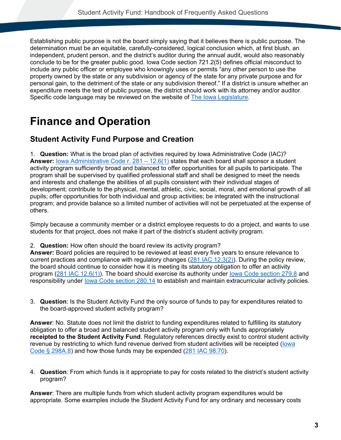Establishing public purpose is not the board simply saying that it believes there is public purpose. The determination must be an equitable, carefully-considered, logical conclusion which, at first blush, an independent, prudent person, and the district's auditor during the annual audit, would also reasonably conclude to be for the greater public good. Iowa Code section 721.2(5) defines official misconduct to include any public officer or employee who knowingly uses or permits "any other person to use the property owned by the state or any subdivision or agency of the state for any private purpose and for personal gain, to the detriment of the state or any subdivision thereof." If a district is unsure whether an expenditure meets the test of public purpose, the district should work with its attorney and/or auditor. Specific code language may be reviewed on the website of [The Iowa Legislature.](https://www.legis.iowa.gov/law)

# <span id="page-6-0"></span>**Finance and Operation**

### <span id="page-6-1"></span>**Student Activity Fund Purpose and Creation**

1. **Question:** What is the broad plan of activities required by Iowa Administrative Code (IAC)? **Answer:** [Iowa Administrative Code r. 281 –](#page-82-0) 12.6(1) states that each board shall sponsor a student activity program sufficiently broad and balanced to offer opportunities for all pupils to participate. The program shall be supervised by qualified professional staff and shall be designed to meet the needs and interests and challenge the abilities of all pupils consistent with their individual stages of development; contribute to the physical, mental, athletic, civic, social, moral, and emotional growth of all pupils; offer opportunities for both individual and group activities; be integrated with the instructional program; and provide balance so a limited number of activities will not be perpetuated at the expense of others.

Simply because a community member or a district employee requests to do a project, and wants to use students for that project, does not make it part of the district's student activity program.

2. **Question:** How often should the board review its activity program?

**Answer:** Board policies are required to be reviewed at least every five years to ensure relevance to current practices and compliance with regulatory changes [\(281 IAC 12.3\(2\)\)](#page-82-1). During the policy review, the board should continue to consider how it is meeting its statutory obligation to offer an activity program [\(281 IAC 12.6\(1\)\)](#page-82-0). The board should exercise its authority under [Iowa Code section 279.8](#page-77-1) and responsibility under [Iowa Code section 280.14](#page-78-1) to establish and maintain extracurricular activity policies.

3. **Question**: Is the Student Activity Fund the only source of funds to pay for expenditures related to the board-approved student activity program?

**Answer**: No. Statute does not limit the district to funding expenditures related to fulfilling its statutory obligation to offer a broad and balanced student activity program only with funds appropriately **receipted to the Student Activity Fund**. Regulatory references directly exist to control student activity revenue by restricting to which fund revenue derived from student activities will be receipted [\(Iowa](#page-80-0)  [Code § 298A.8\)](#page-80-0) and how those funds may be expended [\(281 IAC 98.70\)](#page-86-0).

4. **Question**: From which funds is it appropriate to pay for costs related to the district's student activity program?

**Answer**: There are multiple funds from which student activity program expenditures would be appropriate. Some examples include the Student Activity Fund for any ordinary and necessary costs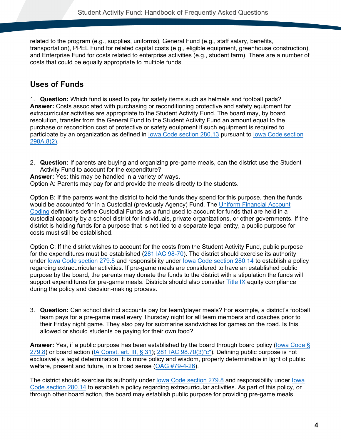related to the program (e.g., supplies, uniforms), General Fund (e.g., staff salary, benefits, transportation), PPEL Fund for related capital costs (e.g., eligible equipment, greenhouse construction), and Enterprise Fund for costs related to enterprise activities (e.g., student farm). There are a number of costs that could be equally appropriate to multiple funds.

## <span id="page-7-0"></span>**Uses of Funds**

1. **Question:** Which fund is used to pay for safety items such as helmets and football pads? **Answer:** Costs associated with purchasing or reconditioning protective and safety equipment for extracurricular activities are appropriate to the Student Activity Fund. The board may, by board resolution, transfer from the General Fund to the Student Activity Fund an amount equal to the purchase or recondition cost of protective or safety equipment if such equipment is required to participate by an organization as defined in [Iowa Code section 280.13](#page-78-2) pursuant to [Iowa Code section](#page-80-0)  [298A.8\(2\).](#page-80-0)

2. **Question:** If parents are buying and organizing pre-game meals, can the district use the Student Activity Fund to account for the expenditure?

**Answer:** Yes; this may be handled in a variety of ways.

Option A: Parents may pay for and provide the meals directly to the students.

Option B: If the parents want the district to hold the funds they spend for this purpose, then the funds would be accounted for in a Custodial (previously Agency) Fund. The Uniform Financial Account [Coding](https://educateiowa.gov/documents/uniform-financial-accounting/2013/04/iowa-chart-account-descriptions) definitions define Custodial Funds as a fund used to account for funds that are held in a custodial capacity by a school district for individuals, private organizations, or other governments. If the district is holding funds for a purpose that is not tied to a separate legal entity, a public purpose for costs must still be established.

Option C: If the district wishes to account for the costs from the Student Activity Fund, public purpose for the expenditures must be established [\(281 IAC 98-70\)](#page-86-0). The district should exercise its authority under [Iowa Code section 279.8](#page-77-1) and responsibility under [Iowa Code section 280.14](#page-78-1) to establish a policy regarding extracurricular activities. If pre-game meals are considered to have an established public purpose by the board, the parents may donate the funds to the district with a stipulation the funds will support expenditures for pre-game meals. Districts should also consider [Title IX](https://educateiowa.gov/pk-12/accreditation-and-program-approval/equity-education/title-ix-education-equity) equity compliance during the policy and decision-making process.

3. **Question:** Can school district accounts pay for team/player meals? For example, a district's football team pays for a pre-game meal every Thursday night for all team members and coaches prior to their Friday night game. They also pay for submarine sandwiches for games on the road. Is this allowed or should students be paying for their own food?

**Answer:** Yes, if a public purpose has been established by the board through board policy [\(Iowa Code §](#page-77-1)  [279.8\)](#page-77-1) or board action [\(IA Const. art. III, § 31\)](#page-76-2); [281 IAC 98.70\(3\)"c"\)](#page-86-1). Defining public purpose is not exclusively a legal determination. It is more policy and wisdom, properly determinable in light of public welfare, present and future, in a broad sense [\(OAG #79-4-26\)](https://govt.westlaw.com/iaag/Document/Ie69d0201088a11db91d9f7db97e2132f?viewType=FullText&listSource=Search&originationContext=Search+Result&transitionType=SearchItem&contextData=(sc.Search)&navigationPath=Search%2fv1%2fresults%2fnavigation%2fi0ad62d340000016f7ba944c1e6705612%3fNav%3dADMINDECISION_PUBLICVIEW%26fragmentIdentifier%3dIe69d0201088a11db91d9f7db97e2132f%26startIndex%3d1%26transitionType%3dSearchItem%26contextData%3d%2528sc.Default%2529%26originationContext%3dSearch%2520Result&list=ADMINDECISION_PUBLICVIEW&rank=1&t_querytext=79-4-26&t_Method=TNC).

The district should exercise its authority under [Iowa Code section 279.8](#page-77-1) and responsibility under [Iowa](#page-78-1)  [Code section 280.14](#page-78-1) to establish a policy regarding extracurricular activities. As part of this policy, or through other board action, the board may establish public purpose for providing pre-game meals.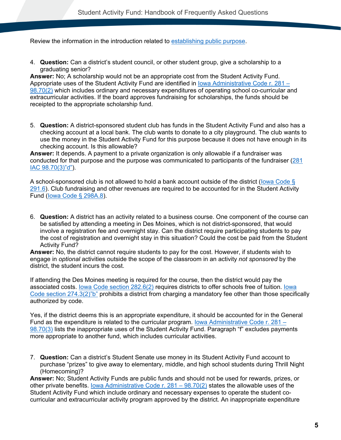Review the information in the introduction related to [establishing public purpose.](#page-5-0)

4. **Question:** Can a district's student council, or other student group, give a scholarship to a graduating senior?

**Answer:** No; A scholarship would not be an appropriate cost from the Student Activity Fund. Appropriate uses of the Student Activity Fund are identified in [Iowa Administrative Code r. 281 –](#page-86-2) [98.70\(2\)](#page-86-2) which includes ordinary and necessary expenditures of operating school co-curricular and extracurricular activities. If the board approves fundraising for scholarships, the funds should be receipted to the appropriate scholarship fund.

5. **Question:** A district-sponsored student club has funds in the Student Activity Fund and also has a checking account at a local bank. The club wants to donate to a city playground. The club wants to use the money in the Student Activity Fund for this purpose because it does not have enough in its checking account. Is this allowable?

**Answer:** It depends. A payment to a private organization is only allowable if a fundraiser was conducted for that purpose and the purpose was communicated to participants of the fundraiser [\(281](#page-86-1)  [IAC 98.70\(3\)"d"\)](#page-86-1).

A school-sponsored club is not allowed to hold a bank account outside of the district [\(Iowa Code §](#page-79-0)  [291.6\)](#page-79-0). Club fundraising and other revenues are required to be accounted for in the Student Activity Fund [\(Iowa Code § 298A.8\)](#page-80-0).

6. **Question:** A district has an activity related to a business course. One component of the course can be satisfied by attending a meeting in Des Moines, which is not district-sponsored, that would involve a registration fee and overnight stay. Can the district require participating students to pay the cost of registration and overnight stay in this situation? Could the cost be paid from the Student Activity Fund?

**Answer:** No, the district cannot require students to pay for the cost. However, if students wish to engage in *optional* activities outside the scope of the classroom in an activity *not sponsored* by the district, the student incurs the cost.

If attending the Des Moines meeting is required for the course, then the district would pay the associated costs. [Iowa Code section 282.6\(2\)](#page-78-0) requires districts to offer schools free of tuition. [Iowa](#page-76-1)  [Code section 274.3\(2\)"b"](#page-76-1) prohibits a district from charging a mandatory fee other than those specifically authorized by code.

Yes, if the district deems this is an appropriate expenditure, it should be accounted for in the General Fund as the expenditure is related to the curricular program. [Iowa Administrative Code r. 281 –](#page-86-1) [98.70\(3\)](#page-86-1) lists the inappropriate uses of the Student Activity Fund. Paragraph "f" excludes payments more appropriate to another fund, which includes curricular activities.

7. **Question:** Can a district's Student Senate use money in its Student Activity Fund account to purchase "prizes" to give away to elementary, middle, and high school students during Thrill Night (Homecoming)?

**Answer:** No; Student Activity Funds are public funds and should not be used for rewards, prizes, or other private benefits. [Iowa Administrative Code r. 281 –](#page-86-2) 98.70(2) states the allowable uses of the Student Activity Fund which include ordinary and necessary expenses to operate the student cocurricular and extracurricular activity program approved by the district. An inappropriate expenditure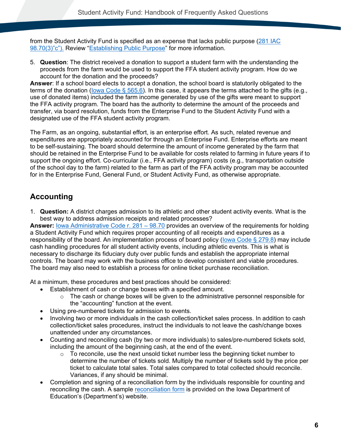from the Student Activity Fund is specified as an expense that lacks public purpose [\(281 IAC](#page-86-1)  [98.70\(3\)"c"\).](#page-86-1) Review ["Establishing Public Purpose"](#page-5-0) for more information.

5. **Question**: The district received a donation to support a student farm with the understanding the proceeds from the farm would be used to support the FFA student activity program. How do we account for the donation and the proceeds?

**Answer**: If a school board elects to accept a donation, the school board is statutorily obligated to the terms of the donation [\(Iowa Code § 565.6\)](#page-80-1). In this case, it appears the terms attached to the gifts (e.g., use of donated items) included the farm income generated by use of the gifts were meant to support the FFA activity program. The board has the authority to determine the amount of the proceeds and transfer, via board resolution, funds from the Enterprise Fund to the Student Activity Fund with a designated use of the FFA student activity program.

The Farm, as an ongoing, substantial effort, is an enterprise effort. As such, related revenue and expenditures are appropriately accounted for through an Enterprise Fund. Enterprise efforts are meant to be self-sustaining. The board should determine the amount of income generated by the farm that should be retained in the Enterprise Fund to be available for costs related to farming in future years if to support the ongoing effort. Co-curricular (i.e., FFA activity program) costs (e.g., transportation outside of the school day to the farm) related to the farm as part of the FFA activity program may be accounted for in the Enterprise Fund, General Fund, or Student Activity Fund, as otherwise appropriate.

## <span id="page-9-0"></span>**Accounting**

1. **Question:** A district charges admission to its athletic and other student activity events. What is the best way to address admission receipts and related processes?

**Answer: [Iowa Administrative Code r. 281 –](#page-86-0) 98.70** provides an overview of the requirements for holding a Student Activity Fund which requires proper accounting of all receipts and expenditures as a responsibility of the board. An implementation process of board policy [\(Iowa Code § 279.8\)](#page-77-1) may include cash handling procedures for all student activity events, including athletic events. This is what is necessary to discharge its fiduciary duty over public funds and establish the appropriate internal controls. The board may work with the business office to develop consistent and viable procedures. The board may also need to establish a process for online ticket purchase reconciliation.

At a minimum, these procedures and best practices should be considered:

- Establishment of cash or change boxes with a specified amount.
	- $\circ$  The cash or change boxes will be given to the administrative personnel responsible for the "accounting" function at the event.
- Using pre-numbered tickets for admission to events.
- Involving two or more individuals in the cash collection/ticket sales process. In addition to cash collection/ticket sales procedures, instruct the individuals to not leave the cash/change boxes unattended under any circumstances.
- Counting and reconciling cash (by two or more individuals) to sales/pre-numbered tickets sold, including the amount of the beginning cash, at the end of the event.
	- $\circ$  To reconcile, use the next unsold ticket number less the beginning ticket number to determine the number of tickets sold. Multiply the number of tickets sold by the price per ticket to calculate total sales. Total sales compared to total collected should reconcile. Variances, if any should be minimal.
- Completion and signing of a reconciliation form by the individuals responsible for counting and reconciling the cash. A sample [reconciliation form](https://www.educateiowa.gov/documents/school-finance-tools/2013/04/admissions-reconciliation) is provided on the Iowa Department of Education's (Department's) website.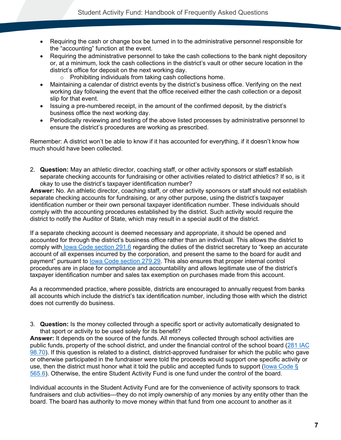- Requiring the cash or change box be turned in to the administrative personnel responsible for the "accounting" function at the event.
- Requiring the administrative personnel to take the cash collections to the bank night depository or, at a minimum, lock the cash collections in the district's vault or other secure location in the district's office for deposit on the next working day.
	- o Prohibiting individuals from taking cash collections home.
- Maintaining a calendar of district events by the district's business office. Verifying on the next working day following the event that the office received either the cash collection or a deposit slip for that event.
- Issuing a pre-numbered receipt, in the amount of the confirmed deposit, by the district's business office the next working day.
- Periodically reviewing and testing of the above listed processes by administrative personnel to ensure the district's procedures are working as prescribed.

Remember: A district won't be able to know if it has accounted for everything, if it doesn't know how much should have been collected.

2. **Question:** May an athletic director, coaching staff, or other activity sponsors or staff establish separate checking accounts for fundraising or other activities related to district athletics? If so, is it okay to use the district's taxpayer identification number?

**Answer:** No. An athletic director, coaching staff, or other activity sponsors or staff should not establish separate checking accounts for fundraising, or any other purpose, using the district's taxpayer identification number or their own personal taxpayer identification number. These individuals should comply with the accounting procedures established by the district. Such activity would require the district to notify the Auditor of State, which may result in a special audit of the district.

If a separate checking account is deemed necessary and appropriate, it should be opened and accounted for through the district's business office rather than an individual. This allows the district to comply with [Iowa Code section 291.6](#page-79-0) regarding the duties of the district secretary to "keep an accurate account of all expenses incurred by the corporation, and present the same to the board for audit and payment" pursuant to [Iowa Code section 279.29.](#page-77-0) This also ensures that proper internal control procedures are in place for compliance and accountability and allows legitimate use of the district's taxpayer identification number and sales tax exemption on purchases made from this account.

As a recommended practice, where possible, districts are encouraged to annually request from banks all accounts which include the district's tax identification number, including those with which the district does not currently do business.

3. **Question:** Is the money collected through a specific sport or activity automatically designated to that sport or activity to be used solely for its benefit?

**Answer:** It depends on the source of the funds. All moneys collected through school activities are public funds, property of the school district, and under the financial control of the school board [\(281 IAC](#page-86-0)  [98.70\)](#page-86-0). If this question is related to a distinct, district-approved fundraiser for which the public who gave or otherwise participated in the fundraiser were told the proceeds would support one specific activity or use, then the district must honor what it told the public and accepted funds to support [\(Iowa Code §](#page-80-1)  [565.6\)](#page-80-1). Otherwise, the entire Student Activity Fund is one fund under the control of the board.

Individual accounts in the Student Activity Fund are for the convenience of activity sponsors to track fundraisers and club activities—they do not imply ownership of any monies by any entity other than the board. The board has authority to move money within that fund from one account to another as it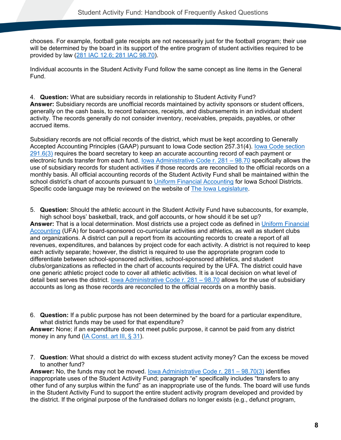chooses. For example, football gate receipts are not necessarily just for the football program; their use will be determined by the board in its support of the entire program of student activities required to be provided by law [\(281 IAC 12.6;](#page-82-0) 281 IAC 98.70).

Individual accounts in the Student Activity Fund follow the same concept as line items in the General Fund.

4. **Question:** What are subsidiary records in relationship to Student Activity Fund? **Answer:** Subsidiary records are unofficial records maintained by activity sponsors or student officers, generally on the cash basis, to record balances, receipts, and disbursements in an individual student activity. The records generally do not consider inventory, receivables, prepaids, payables, or other accrued items.

Subsidiary records are not official records of the district, which must be kept according to Generally Accepted Accounting Principles (GAAP) pursuant to [Iowa Code section](#page-79-0) 257.31(4). lowa Code section [291.6\(3\)](#page-79-0) requires the board secretary to keep an accurate accounting record of each payment or electronic funds transfer from each fund. [Iowa Administrative Code r. 281 –](#page-86-1) 98.70 specifically allows the use of subsidiary records for student activities if those records are reconciled to the official records on a monthly basis. All official accounting records of the Student Activity Fund shall be maintained within the school district's chart of accounts pursuant to [Uniform Financial Accounting](https://educateiowa.gov/pk-12/school-business-and-finance/accounting-and-reporting/uniform-financial-accounting) for Iowa School Districts. Specific code language may be reviewed on the website of [The Iowa Legislature.](http://www.legis.iowa.gov/law)

5. **Question:** Should the athletic account in the Student Activity Fund have subaccounts, for example, high school boys' basketball, track, and golf accounts, or how should it be set up?

**Answer:** That is a local determination. Most districts use a project code as defined in [Uniform Financial](https://educateiowa.gov/pk-12/school-business-and-finance/accounting-and-reporting/uniform-financial-accounting)  [Accounting](https://educateiowa.gov/pk-12/school-business-and-finance/accounting-and-reporting/uniform-financial-accounting) (UFA) for board-sponsored co-curricular activities and athletics, as well as student clubs and organizations. A district can pull a report from its accounting records to create a report of all revenues, expenditures, and balances by project code for each activity. A district is not required to keep each activity separate; however, the district is required to use the appropriate program code to differentiate between school-sponsored activities, school-sponsored athletics, and student clubs/organizations as reflected in the chart of accounts required by the UFA. The district could have one generic athletic project code to cover all athletic activities. It is a local decision on what level of detail best serves the district. [Iowa Administrative Code r. 281 –](#page-86-0) 98.70 allows for the use of subsidiary accounts as long as those records are reconciled to the official records on a monthly basis.

6. **Question:** If a public purpose has not been determined by the board for a particular expenditure, what district funds may be used for that expenditure?

**Answer:** None; if an expenditure does not meet public purpose, it cannot be paid from any district money in any fund [\(IA Const. art III, § 31\)](#page-76-2).

7. **Question**: What should a district do with excess student activity money? Can the excess be moved to another fund?

**Answer:** No, the funds may not be moved. [Iowa Administrative Code r. 281 –](#page-86-1) 98.70(3) identifies inappropriate uses of the Student Activity Fund; paragraph "e" specifically includes "transfers to any other fund of any surplus within the fund" as an inappropriate use of the funds. The board will use funds in the Student Activity Fund to support the entire student activity program developed and provided by the district. If the original purpose of the fundraised dollars no longer exists (e.g., defunct program,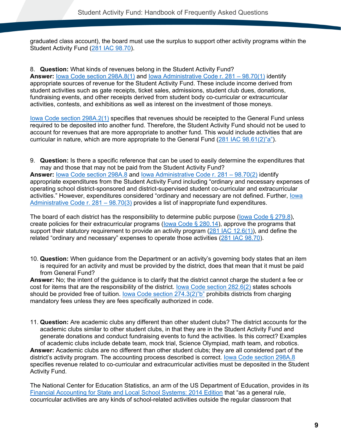graduated class account), the board must use the surplus to support other activity programs within the Student Activity Fund [\(281 IAC 98.70\)](#page-86-0).

8. **Question:** What kinds of revenues belong in the Student Activity Fund? Answer: [Iowa Code section 298A.8\(1\)](#page-80-0) and <u>Iowa Administrative Code r. 281 – 98.70(1)</u> identify appropriate sources of revenue for the Student Activity Fund. These include income derived from student activities such as gate receipts, ticket sales, admissions, student club dues, donations, fundraising events, and other receipts derived from student body co-curricular or extracurricular activities, contests, and exhibitions as well as interest on the investment of those moneys.

[Iowa Code section 298A.2\(1\)](#page-80-2) specifies that revenues should be receipted to the General Fund unless required to be deposited into another fund. Therefore, the Student Activity Fund should not be used to account for revenues that are more appropriate to another fund. This would include activities that are curricular in nature, which are more appropriate to the General Fund [\(281 IAC 98.61\(2\)"a"\)](#page-83-0).

9. **Question:** Is there a specific reference that can be used to easily determine the expenditures that may and those that may not be paid from the Student Activity Fund?

**Answer:** [Iowa Code section 298A.8](#page-80-0) and [Iowa Administrative Code r. 281 –](#page-86-2) 98.70(2) identify appropriate expenditures from the Student Activity Fund including "ordinary and necessary expenses of operating school district-sponsored and district-supervised student co-curricular and extracurricular activities." However, expenditures considered "ordinary and necessary are not defined. Further, [Iowa](#page-86-1)  [Administrative Code r. 281 –](#page-86-1) 98.70(3) provides a list of inappropriate fund expenditures.

The board of each district has the responsibility to determine public purpose (lowa Code  $\S$  279.8), create policies for their extracurricular programs (lowa Code  $\S$  280.14), approve the programs that support their statutory requirement to provide an activity program [\(281 IAC 12.6\(1\)\)](#page-82-0), and define the related "ordinary and necessary" expenses to operate those activities [\(281 IAC 98.70\)](#page-86-0).

10. **Question:** When guidance from the Department or an activity's governing body states that an item is required for an activity and must be provided by the district, does that mean that it must be paid from General Fund?

**Answer:** No; the intent of the guidance is to clarify that the district cannot charge the student a fee or cost for items that are the responsibility of the district. [Iowa Code section 282.6\(2\)](#page-78-0) states schools should be provided free of tuition. [Iowa Code section 274.3\(2\)"b"](#page-76-1) prohibits districts from charging mandatory fees unless they are fees specifically authorized in code.

11. **Question:** Are academic clubs any different than other student clubs? The district accounts for the academic clubs similar to other student clubs, in that they are in the Student Activity Fund and generate donations and conduct fundraising events to fund the activities. Is this correct? Examples of academic clubs include debate team, mock trial, Science Olympiad, math team, and robotics. **Answer:** Academic clubs are no different than other student clubs; they are all considered part of the district's activity program. The accounting process described is correct. [Iowa Code section 298A.8](#page-80-0) specifies revenue related to co-curricular and extracurricular activities must be deposited in the Student Activity Fund.

The National Center for Education Statistics, an arm of the US Department of Education, provides in its [Financial Accounting for State and Local School Systems: 2014 Edition](https://nces.ed.gov/pubs2004/h2r2/ch_8.asp) that "as a general rule, cocurricular activities are any kinds of school-related activities outside the regular classroom that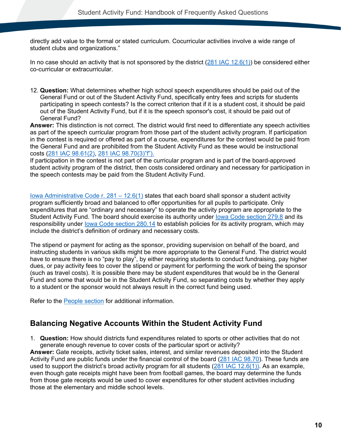directly add value to the formal or stated curriculum. Cocurricular activities involve a wide range of student clubs and organizations."

In no case should an activity that is not sponsored by the district  $(281 \text{ IAC } 12.6(1))$  be considered either co-curricular or extracurricular.

12. **Question:** What determines whether high school speech expenditures should be paid out of the General Fund or out of the Student Activity Fund, specifically entry fees and scripts for students participating in speech contests? Is the correct criterion that if it is a student cost, it should be paid out of the Student Activity Fund, but if it is the speech sponsor's cost, it should be paid out of General Fund?

**Answer:** This distinction is not correct. The district would first need to differentiate any speech activities as part of the speech curricular program from those part of the student activity program. If participation in the contest is required or offered as part of a course, expenditures for the contest would be paid from the General Fund and are prohibited from the Student Activity Fund as these would be instructional costs [\(281 IAC 98.61\(2\),](#page-83-0) [281 IAC 98.70\(3\)"f"\).](#page-86-1)

If participation in the contest is not part of the curricular program and is part of the board-approved student activity program of the district, then costs considered ordinary and necessary for participation in the speech contests may be paid from the Student Activity Fund.

[Iowa Administrative Code r. 281 –](#page-82-0) 12.6(1) states that each board shall sponsor a student activity program sufficiently broad and balanced to offer opportunities for all pupils to participate. Only expenditures that are "ordinary and necessary" to operate the activity program are appropriate to the Student Activity Fund. The board should exercise its authority under [Iowa Code section 279.8](#page-77-1) and its responsibility under [Iowa Code section 280.14](#page-78-1) to establish policies for its activity program, which may include the district's definition of ordinary and necessary costs.

The stipend or payment for acting as the sponsor, providing supervision on behalf of the board, and instructing students in various skills might be more appropriate to the General Fund. The district would have to ensure there is no "pay to play", by either requiring students to conduct fundraising, pay higher dues, or pay activity fees to cover the stipend or payment for performing the work of being the sponsor (such as travel costs). It is possible there may be student expenditures that would be in the General Fund and some that would be in the Student Activity Fund, so separating costs by whether they apply to a student or the sponsor would not always result in the correct fund being used.

Refer to the [People section](#page-67-0) for additional information.

### <span id="page-13-0"></span>**Balancing Negative Accounts Within the Student Activity Fund**

1. **Question:** How should districts fund expenditures related to sports or other activities that do not generate enough revenue to cover costs of the particular sport or activity?

**Answer:** Gate receipts, activity ticket sales, interest, and similar revenues deposited into the Student Activity Fund are public funds under the financial control of the board [\(281 IAC 98.70\)](#page-86-0). These funds are used to support the district's broad activity program for all students (281 [IAC 12.6\(1\)\)](#page-82-0). As an example, even though gate receipts might have been from football games, the board may determine the funds from those gate receipts would be used to cover expenditures for other student activities including those at the elementary and middle school levels.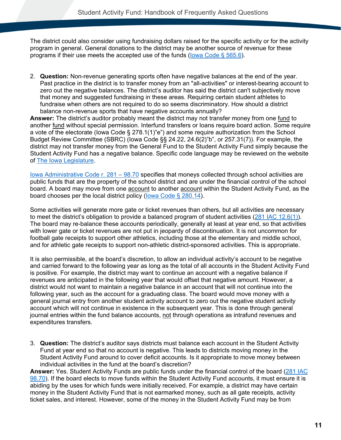The district could also consider using fundraising dollars raised for the specific activity or for the activity program in general. General donations to the district may be another source of revenue for these programs if their use meets the accepted use of the funds (lowa Code  $\S$  565.6).

2. **Question:** Non-revenue generating sports often have negative balances at the end of the year. Past practice in the district is to transfer money from an "all-activities" or interest-bearing account to zero out the negative balances. The district's auditor has said the district can't subjectively move that money and suggested fundraising in these areas. Requiring certain student athletes to fundraise when others are not required to do so seems discriminatory. How should a district balance non-revenue sports that have negative accounts annually?

**Answer:** The district's auditor probably meant the district may not transfer money from one fund to another fund without special permission. Interfund transfers or loans require board action. Some require a vote of the electorate (Iowa Code § 278.1(1)"e") and some require authorization from the School Budget Review Committee (SBRC) (Iowa Code §§ 24.22, 24.6(2)"b", or 257.31(7)). For example, the district may not transfer money from the General Fund to the Student Activity Fund simply because the Student Activity Fund has a negative balance. Specific code language may be reviewed on the website of [The Iowa Legislature.](http://www.legis.iowa.gov/law)

[Iowa Administrative Code r. 281 –](#page-86-0) 98.70 specifies that moneys collected through school activities are public funds that are the property of the school district and are under the financial control of the school board. A board may move from one account to another account within the Student Activity Fund, as the board chooses per the local district policy [\(Iowa Code § 280.14\)](#page-78-1).

Some activities will generate more gate or ticket revenues than others, but all activities are necessary to meet the district's obligation to provide a balanced program of student activities [\(281 IAC 12.6\(1\)\)](#page-82-0). The board may re-balance these accounts periodically, generally at least at year end, so that activities with lower gate or ticket revenues are not put in jeopardy of discontinuation. It is not uncommon for football gate receipts to support other athletics, including those at the elementary and middle school, and for athletic gate receipts to support non-athletic district-sponsored activities. This is appropriate.

It is also permissible, at the board's discretion, to allow an individual activity's account to be negative and carried forward to the following year as long as the total of all accounts in the Student Activity Fund is positive. For example, the district may want to continue an account with a negative balance if revenues are anticipated in the following year that would offset that negative amount. However, a district would not want to maintain a negative balance in an account that will not continue into the following year, such as the account for a graduating class. The board would move money with a general journal entry from another student activity account to zero out the negative student activity account which will not continue in existence in the subsequent year. This is done through general journal entries within the fund balance accounts, not through operations as intrafund revenues and expenditures transfers.

3. **Question:** The district's auditor says districts must balance each account in the Student Activity Fund at year end so that no account is negative. This leads to districts moving money in the Student Activity Fund around to cover deficit accounts. Is it appropriate to move money between individual activities in the fund at the board's discretion?

**Answer:** Yes. Student Activity Funds are public funds under the financial control of the board [\(281 IAC](#page-86-0)  [98.70\)](#page-86-0). If the board elects to move funds within the Student Activity Fund accounts, it must ensure it is abiding by the uses for which funds were initially received. For example, a district may have certain money in the Student Activity Fund that is not earmarked money, such as all gate receipts, activity ticket sales, and interest. However, some of the money in the Student Activity Fund may be from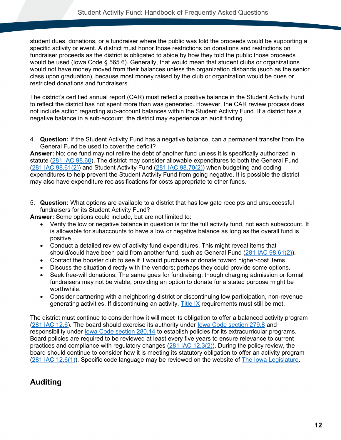student dues, donations, or a fundraiser where the public was told the proceeds would be supporting a specific activity or event. A district must honor those restrictions on donations and restrictions on fundraiser proceeds as the district is obligated to abide by how they told the public those proceeds would be used (Iowa Code § 565.6). Generally, that would mean that student clubs or organizations would not have money moved from their balances unless the organization disbands (such as the senior class upon graduation), because most money raised by the club or organization would be dues or restricted donations and fundraisers.

The district's certified annual report (CAR) must reflect a positive balance in the Student Activity Fund to reflect the district has not spent more than was generated. However, the CAR review process does not include action regarding sub-account balances within the Student Activity Fund. If a district has a negative balance in a sub-account, the district may experience an audit finding.

4. **Question:** If the Student Activity Fund has a negative balance, can a permanent transfer from the General Fund be used to cover the deficit?

**Answer:** No; one fund may not retire the debt of another fund unless it is specifically authorized in statute [\(281 IAC 98.60\)](#page-83-1). The district may consider allowable expenditures to both the General Fund [\(281 IAC 98.61\(2\)\)](#page-83-0) and Student Activity Fund [\(281 IAC 98.70\(2\)\)](#page-86-2) when budgeting and coding expenditures to help prevent the Student Activity Fund from going negative. It is possible the district may also have expenditure reclassifications for costs appropriate to other funds.

5. **Question:** What options are available to a district that has low gate receipts and unsuccessful fundraisers for its Student Activity Fund?

**Answer:** Some options could include, but are not limited to:

- Verify the low or negative balance in question is for the full activity fund, not each subaccount. It is allowable for subaccounts to have a low or negative balance as long as the overall fund is positive.
- Conduct a detailed review of activity fund expenditures. This might reveal items that should/could have been paid from another fund, such as General Fund [\(281 IAC 98.61\(2\)\)](#page-83-0).
- Contact the booster club to see if it would purchase or donate toward higher-cost items.
- Discuss the situation directly with the vendors; perhaps they could provide some options.
- Seek free-will donations. The same goes for fundraising; though charging admission or formal fundraisers may not be viable, providing an option to donate for a stated purpose might be worthwhile.
- Consider partnering with a neighboring district or discontinuing low participation, non-revenue generating activities. If discontinuing an activity, [Title IX](https://educateiowa.gov/pk-12/accreditation-and-program-approval/equity-education/title-ix-education-equity) requirements must still be met.

The district must continue to consider how it will meet its obligation to offer a balanced activity program [\(281 IAC](#page-82-0) 12.6). The board should exercise its authority under [Iowa Code section 279.8](#page-77-1) and responsibility under [Iowa Code section 280.14](#page-78-1) to establish policies for its extracurricular programs. Board policies are required to be reviewed at least every five years to ensure relevance to current practices and compliance with regulatory changes [\(281 IAC 12.3\(2\)\)](#page-82-1). During the policy review, the board should continue to consider how it is meeting its statutory obligation to offer an activity program [\(281 IAC 12.6\(1\)\)](#page-82-0). Specific code language may be reviewed on the website of [The Iowa Legislature.](http://www.legis.iowa.gov/law)

### <span id="page-15-0"></span>**Auditing**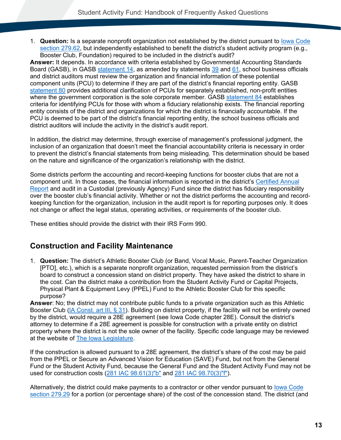1. **Question:** Is a separate nonprofit organization not established by the district pursuant to [Iowa Code](#page-77-3)  [section 279.62,](#page-77-3) but independently established to benefit the district's student activity program (e.g., Booster Club, Foundation) required to be included in the district's audit?

**Answer:** It depends. In accordance with criteria established by Governmental Accounting Standards Board (GASB), in GASB [statement 14,](http://www.gasb.org/jsp/GASB/Document_C/GASBDocumentPage?cid=1176160030209&acceptedDisclaimer=true) as amended by statements [39](http://www.gasb.org/st/summary/gstsm39.html) and [61,](http://www.gasb.org/cs/ContentServer?site=GASB&pagename=GASB%2FPronouncement_C%2FGASBSummaryPage&cid=1176158034864) school business officials and district auditors must review the organization and financial information of these potential component units (PCU) to determine if they are part of the district's financial reporting entity. GASB [statement 80](https://www.gasb.org/jsp/GASB/Document_C/DocumentPage?cid=1176167862585&acceptedDisclaimer=true) provides additional clarification of PCUs for separately established, non-profit entities where the government corporation is the sole corporate member. GASB [statement 84](https://gasb.org/jsp/GASB/Document_C/DocumentPage?cid=1176168786182&acceptedDisclaimer=true) establishes criteria for identifying PCUs for those with whom a fiduciary relationship exists. The financial reporting entity consists of the district and organizations for which the district is financially accountable. If the PCU is deemed to be part of the district's financial reporting entity, the school business officials and district auditors will include the activity in the district's audit report.

In addition, the district may determine, through exercise of management's professional judgment, the inclusion of an organization that doesn't meet the financial accountability criteria is necessary in order to prevent the district's financial statements from being misleading. This determination should be based on the nature and significance of the organization's relationship with the district.

Some districts perform the accounting and record-keeping functions for booster clubs that are not a component unit. In those cases, the financial information is reported in the district's [Certified Annual](https://educateiowa.gov/pk-12/school-business-and-finance/accounting-and-reporting/certified-annual-reports-car#CAR_by_DistrictAEA_-_Fiscal_Years_2006_through_2016)  [Report](https://educateiowa.gov/pk-12/school-business-and-finance/accounting-and-reporting/certified-annual-reports-car#CAR_by_DistrictAEA_-_Fiscal_Years_2006_through_2016) and audit in a Custodial (previously Agency) Fund since the district has fiduciary responsibility over the booster club's financial activity. Whether or not the district performs the accounting and recordkeeping function for the organization, inclusion in the audit report is for reporting purposes only. It does not change or affect the legal status, operating activities, or requirements of the booster club.

These entities should provide the district with their IRS Form 990.

#### <span id="page-16-0"></span>**Construction and Facility Maintenance**

1. **Question:** The district's Athletic Booster Club (or Band, Vocal Music, Parent-Teacher Organization [PTO], etc.), which is a separate nonprofit organization, requested permission from the district's board to construct a concession stand on district property. They have asked the district to share in the cost. Can the district make a contribution from the Student Activity Fund or Capital Projects, Physical Plant & Equipment Levy (PPEL) Fund to the Athletic Booster Club for this specific purpose?

**Answer**: No; the district may not contribute public funds to a private organization such as this Athletic Booster Club [\(IA Const. art III, § 31\)](#page-76-2). Building on district property, if the facility will not be entirely owned by the district, would require a 28E agreement (see Iowa Code chapter 28E). Consult the district's attorney to determine if a 28E agreement is possible for construction with a private entity on district property where the district is not the sole owner of the facility. Specific code language may be reviewed at the website of [The Iowa Legislature.](http://www.legis.iowa.gov/law)

If the construction is allowed pursuant to a 28E agreement, the district's share of the cost may be paid from the PPEL or Secure an Advanced Vision for Education (SAVE) Fund, but not from the General Fund or the Student Activity Fund, because the General Fund and the Student Activity Fund may not be used for construction costs [\(281 IAC 98.61\(3\)"b"](#page-84-0) and [281 IAC 98.70\(3\)"f"\)](#page-86-1).

Alternatively, the district could make payments to a contractor or other vendor pursuant to [Iowa Code](#page-77-0)  [section 279.29](#page-77-0) for a portion (or percentage share) of the cost of the concession stand. The district (and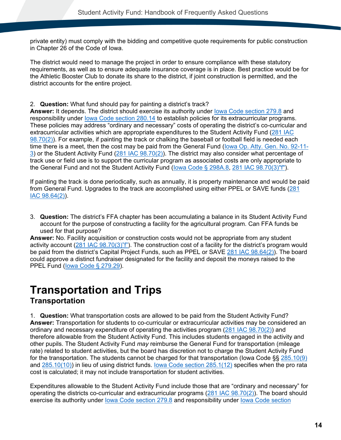private entity) must comply with the bidding and competitive quote requirements for public construction in Chapter 26 of the Code of Iowa.

The district would need to manage the project in order to ensure compliance with these statutory requirements, as well as to ensure adequate insurance coverage is in place. Best practice would be for the Athletic Booster Club to donate its share to the district, if joint construction is permitted, and the district accounts for the entire project.

2. **Question:** What fund should pay for painting a district's track?

**Answer:** It depends. The district should exercise its authority under [Iowa Code section 279.8](#page-77-1) and responsibility under [Iowa Code section 280.14](#page-78-1) to establish policies for its extracurricular programs. These policies may address "ordinary and necessary" costs of operating the district's co-curricular and extracurricular activities which are appropriate expenditures to the Student Activity Fund [\(281 IAC](#page-86-2)  [98.70\(2\)\)](#page-86-2). For example, if painting the track or chalking the baseball or football field is needed each time there is a meet, then the cost may be paid from the General Fund [\(Iowa Op. Atty. Gen. No. 92-11-](https://govt.westlaw.com/iaag/Document/If557f015493511e08b05fdf15589d8e8?originationContext=Search+Result&listSource=Search&viewType=FullText&navigationPath=Search%2fv3%2fsearch%2fresults%2fnavigation%2fi0ad62d33000001694a5767cb82396c45%3fstartIndex%3d1%26Nav%3dADMINDECISION_PUBLICVIEW%26contextData%3d(sc.Default)&rank=1&list=ADMINDECISION_PUBLICVIEW&transitionType=SearchItem&contextData=(sc.Search)&t_querytext=Opinion+No.+83-9-1(L)+September++1983&t_Method=WIN) [3\)](https://govt.westlaw.com/iaag/Document/If557f015493511e08b05fdf15589d8e8?originationContext=Search+Result&listSource=Search&viewType=FullText&navigationPath=Search%2fv3%2fsearch%2fresults%2fnavigation%2fi0ad62d33000001694a5767cb82396c45%3fstartIndex%3d1%26Nav%3dADMINDECISION_PUBLICVIEW%26contextData%3d(sc.Default)&rank=1&list=ADMINDECISION_PUBLICVIEW&transitionType=SearchItem&contextData=(sc.Search)&t_querytext=Opinion+No.+83-9-1(L)+September++1983&t_Method=WIN) or the Student Activity Fund [\(281 IAC 98.70\(2\)\)](#page-86-2). The district may also consider what percentage of track use or field use is to support the curricular program as associated costs are only appropriate to the General Fund and not the Student Activity Fund [\(Iowa Code § 298A.8,](#page-80-0) [281 IAC 98.70\(3\)"f"\)](#page-86-1).

If painting the track is done periodically, such as annually, it is property maintenance and would be paid from General Fund. Upgrades to the track are accomplished using either PPEL or SAVE funds [\(281](https://www.legis.iowa.gov/docs/iac/rule/281.98.64.pdf)  [IAC 98.64\(2\)\)](https://www.legis.iowa.gov/docs/iac/rule/281.98.64.pdf).

3. **Question:** The district's FFA chapter has been accumulating a balance in its Student Activity Fund account for the purpose of constructing a facility for the agricultural program. Can FFA funds be used for that purpose?

**Answer:** No. Facility acquisition or construction costs would not be appropriate from any student activity account [\(281 IAC 98.70\(3\)"f"](https://www.legis.iowa.gov/docs/iac/rule/281.98.70.pdf)). The construction cost of a facility for the district's program would be paid from the district's Capital Project Funds, such as PPEL or SAVE [281 IAC 98.64\(2\)\)](#page-84-1). The board could approve a distinct fundraiser designated for the facility and deposit the moneys raised to the PPEL Fund [\(Iowa Code § 279.29\)](#page-77-0).

## <span id="page-17-1"></span><span id="page-17-0"></span>**Transportation and Trips Transportation**

1. **Question:** What transportation costs are allowed to be paid from the Student Activity Fund? **Answer:** Transportation for students to co-curricular or extracurricular activities may be considered an ordinary and necessary expenditure of operating the activities program [\(281 IAC 98.70\(2\)\)](#page-86-2) and therefore allowable from the Student Activity Fund. This includes students engaged in the activity and other pupils. The Student Activity Fund *may* reimburse the General Fund for transportation (mileage rate) related to student activities, but the board has discretion not to charge the Student Activity Fund for the transportation. The students cannot be charged for that transportation (Iowa Code §§ [285.10\(9\)](#page-79-1) and [285.10\(10\)\)](#page-79-1) in lieu of using district funds. [Iowa Code section 285.1\(12\)](#page-79-2) specifies when the pro rata cost is calculated; it may not include transportation for student activities.

Expenditures allowable to the Student Activity Fund include those that are "ordinary and necessary" for operating the districts co-curricular and extracurricular programs [\(281 IAC 98.70\(2\)\)](#page-86-2). The board should exercise its authority under lowa Code section 279.8 and responsibility under lowa Code section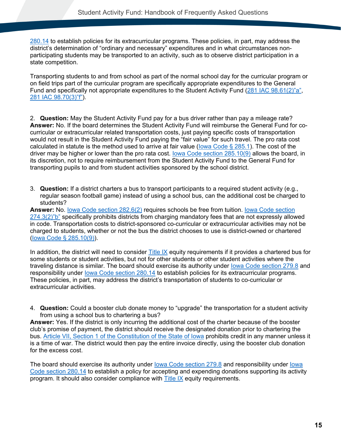[280.14](#page-78-1) to establish policies for its extracurricular programs. These policies, in part, may address the district's determination of "ordinary and necessary" expenditures and in what circumstances nonparticipating students may be transported to an activity, such as to observe district participation in a state competition.

Transporting students to and from school as part of the normal school day for the curricular program or on field trips part of the curricular program are specifically appropriate expenditures to the General Fund and specifically not appropriate expenditures to the Student Activity Fund [\(281 IAC 98.61\(2\)"a",](#page-83-0) [281 IAC 98.70\(3\)"f"\)](#page-86-1).

2. **Question:** May the Student Activity Fund pay for a bus driver rather than pay a mileage rate? **Answer:** No. If the board determines the Student Activity Fund will reimburse the General Fund for cocurricular or extracurricular related transportation costs, just paying specific costs of transportation would not result in the Student Activity Fund paying the "fair value" for such travel. The pro rata cost calculated in statute is the method used to arrive at fair value [\(Iowa Code § 285.1\)](#page-79-2). The cost of the driver may be higher or lower than the pro rata cost. [Iowa Code section 285.10\(9\)](#page-79-1) allows the board, in its discretion, not to require reimbursement from the Student Activity Fund to the General Fund for transporting pupils to and from student activities sponsored by the school district.

3. **Question:** If a district charters a bus to transport participants to a required student activity (e.g., regular season football game) instead of using a school bus, can the additional cost be charged to students?

**Answer:** No. [Iowa Code section 282.6\(2\)](#page-78-0) requires schools be free from tuition. [Iowa Code section](#page-76-1)  [274.3\(2\)"b"](#page-76-1) specifically prohibits districts from charging mandatory fees that are not expressly allowed in code. Transportation costs to district-sponsored co-curricular or extracurricular activities may not be charged to students, whether or not the bus the district chooses to use is district-owned or chartered [\(Iowa Code § 285.10\(9\)\)](#page-79-1).

In addition, the district will need to consider [Title IX](https://educateiowa.gov/pk-12/accreditation-and-program-approval/equity-education/title-ix-education-equity) equity requirements if it provides a chartered bus for some students or student activities, but not for other students or other student activities where the traveling distance is similar. The board should exercise its authority under lowa Code section 279.8 and responsibility under [Iowa Code section 280.14](#page-78-1) to establish policies for its extracurricular programs. These policies, in part, may address the district's transportation of students to co-curricular or extracurricular activities.

4. **Question:** Could a booster club donate money to "upgrade" the transportation for a student activity from using a school bus to chartering a bus?

**Answer:** Yes. If the district is only incurring the additional cost of the charter because of the booster club's promise of payment, the district should receive the designated donation prior to chartering the bus. [Article VII, Section 1 of the Constitution of the State of Iowa](#page-76-3) prohibits credit in any manner unless it is a time of war. The district would then pay the entire invoice directly, using the booster club donation for the excess cost.

The board should exercise its authority under [Iowa Code section 279.8](#page-77-1) and responsibility under [Iowa](#page-78-1)  [Code section 280.14](#page-78-1) to establish a policy for accepting and expending donations supporting its activity program. It should also consider compliance with [Title IX](https://educateiowa.gov/pk-12/accreditation-and-program-approval/equity-education/title-ix-education-equity) equity requirements.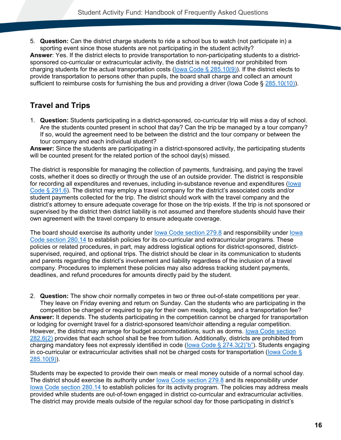5. **Question:** Can the district charge students to ride a school bus to watch (not participate in) a sporting event since those students are not participating in the student activity?

**Answer**: Yes. If the district elects to provide transportation to non-participating students to a districtsponsored co-curricular or extracurricular activity, the district is not required nor prohibited from charging students for the actual transportation costs [\(Iowa Code § 285.10\(9\)\)](#page-79-1). If the district elects to provide transportation to persons other than pupils, the board shall charge and collect an amount sufficient to reimburse costs for furnishing the bus and providing a driver (lowa Code § [285.10\(10\)\)](#page-79-1).

## <span id="page-19-0"></span>**Travel and Trips**

1. **Question:** Students participating in a district-sponsored, co-curricular trip will miss a day of school. Are the students counted present in school that day? Can the trip be managed by a tour company? If so, would the agreement need to be between the district and the tour company or between the tour company and each individual student?

**Answer:** Since the students are participating in a district-sponsored activity, the participating students will be counted present for the related portion of the school day(s) missed.

The district is responsible for managing the collection of payments, fundraising, and paying the travel costs, whether it does so directly or through the use of an outside provider. The district is responsible for recording all expenditures and revenues, including in-substance revenue and expenditures [\(Iowa](#page-79-0)  [Code § 291.6\)](#page-79-0). The district may employ a travel company for the district's associated costs and/or student payments collected for the trip. The district should work with the travel company and the district's attorney to ensure adequate coverage for those on the trip exists. If the trip is not sponsored or supervised by the district then district liability is not assumed and therefore students should have their own agreement with the travel company to ensure adequate coverage.

The board should exercise its authority under [Iowa Code section 279.8](#page-77-1) and responsibility under [Iowa](#page-78-1)  [Code section 280.14](#page-78-1) to establish policies for its co-curricular and extracurricular programs. These policies or related procedures, in part, may address logistical options for district-sponsored, districtsupervised, required, and optional trips. The district should be clear in its communication to students and parents regarding the district's involvement and liability regardless of the inclusion of a travel company. Procedures to implement these policies may also address tracking student payments, deadlines, and refund procedures for amounts directly paid by the student.

2. **Question:** The show choir normally competes in two or three out-of-state competitions per year. They leave on Friday evening and return on Sunday. Can the students who are participating in the competition be charged or required to pay for their own meals, lodging, and a transportation fee? **Answer:** It depends. The students participating in the competition cannot be charged for transportation or lodging for overnight travel for a district-sponsored team/choir attending a regular competition. However, the district may arrange for budget accommodations, such as dorms. [Iowa Code section](#page-78-0)  [282.6\(2\)](#page-78-0) provides that each school shall be free from tuition. Additionally, districts are prohibited from charging mandatory fees not expressly identified in code [\(Iowa Code § 274.3\(2\)"b"\)](#page-76-1). Students engaging in co-curricular or extracurricular activities shall not be charged costs for transportation [\(Iowa Code §](#page-79-1)  [285.10\(9\)\)](#page-79-1).

Students may be expected to provide their own meals or meal money outside of a normal school day. The district should exercise its authority under [Iowa Code section 279.8](#page-77-1) and its responsibility under [Iowa Code section 280.14](#page-78-1) to establish policies for its activity program. The policies may address meals provided while students are out-of-town engaged in district co-curricular and extracurricular activities. The district may provide meals outside of the regular school day for those participating in district's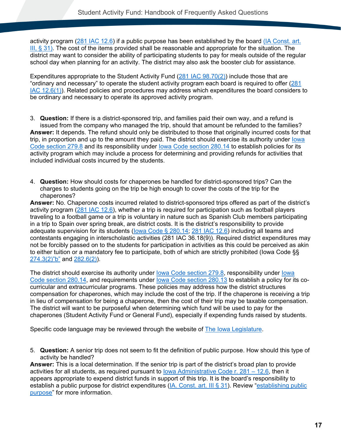activity program [\(281 IAC 12.6\)](#page-82-0) if a public purpose has been established by the board [\(IA Const. art.](#page-76-2)  III, § [31\).](#page-76-2) The cost of the items provided shall be reasonable and appropriate for the situation. The district may want to consider the ability of participating students to pay for meals outside of the regular school day when planning for an activity. The district may also ask the booster club for assistance.

Expenditures appropriate to the Student Activity Fund [\(281 IAC 98.70\(2\)\)](#page-86-2) include those that are "ordinary and necessary" to operate the student activity program each board is required to offer [\(281](#page-82-0)  [IAC 12.6\(1\)\)](#page-82-0). Related policies and procedures may address which expenditures the board considers to be ordinary and necessary to operate its approved activity program.

- 3. **Question:** If there is a district-sponsored trip, and families paid their own way, and a refund is issued from the company who managed the trip, should that amount be refunded to the families? **Answer:** It depends. The refund should only be distributed to those that originally incurred costs for that trip, in proportion and up to the amount they paid. The district should exercise its authority under [Iowa](#page-77-1)  [Code section 279.8](#page-77-1) and its responsibility under [Iowa Code section 280.14](#page-78-1) to establish policies for its activity program which may include a process for determining and providing refunds for activities that included individual costs incurred by the students.
- <span id="page-20-0"></span>4. **Question:** How should costs for chaperones be handled for district-sponsored trips? Can the charges to students going on the trip be high enough to cover the costs of the trip for the chaperones?

**Answer:** No. Chaperone costs incurred related to district-sponsored trips offered as part of the district's activity program [\(281 IAC 12.6\)](#page-82-0), whether a trip is required for participation such as football players traveling to a football game or a trip is voluntary in nature such as Spanish Club members participating in a trip to Spain over spring break, are district costs. It is the district's responsibility to provide adequate supervision for its students [\(Iowa Code § 280.14;](#page-78-1) [281 IAC 12.6\)](#page-82-0) including all teams and contestants engaging in interscholastic activities (281 IAC 36.18(9)). Required district expenditures may not be forcibly passed on to the students for participation in activities as this could be perceived as akin to either tuition or a mandatory fee to participate, both of which are strictly prohibited (Iowa Code §§ [274.3\(2\)"b"](#page-76-1) and [282.6\(2\)\)](#page-78-0).

The district should exercise its authority under [Iowa Code section 279.8,](#page-77-1) responsibility under [Iowa](#page-78-1)  Code [section 280.14,](#page-78-1) and requirements under lowa Code section 280.13 to establish a policy for its cocurricular and extracurricular programs. These policies may address how the district structures compensation for chaperones, which may include the cost of the trip. If the chaperone is receiving a trip in lieu of compensation for being a chaperone, then the cost of their trip may be taxable compensation. The district will want to be purposeful when determining which fund will be used to pay for the chaperones (Student Activity Fund or General Fund), especially if expending funds raised by students.

Specific code language may be reviewed through the website of [The Iowa Legislature.](https://www.legis.iowa.gov/law)

5. **Question:** A senior trip does not seem to fit the definition of public purpose. How should this type of activity be handled?

**Answer:** This is a local determination. If the senior trip is part of the district's broad plan to provide activities for all students, as required pursuant to lowa Administrative Code r.  $281 - 12.6$ , then it appears appropriate to expend district funds in support of this trip. It is the board's responsibility to establish a public purpose for district expenditures [\(IA. Const. art. III § 31\)](#page-76-2). Review ["establishing public](#page-5-0)  [purpose"](#page-5-0) for more information.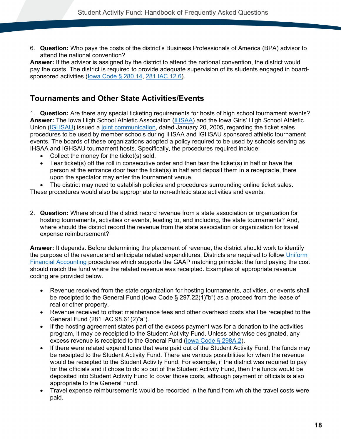6. **Question:** Who pays the costs of the district's Business Professionals of America (BPA) advisor to attend the national convention?

**Answer:** If the advisor is assigned by the district to attend the national convention, the district would pay the costs. The district is required to provide adequate supervision of its students engaged in boardsponsored activities [\(Iowa Code § 280.14,](#page-78-1) [281 IAC 12.6\)](https://www.legis.iowa.gov/docs/iac/chapter/281.12.pdf).

#### <span id="page-21-0"></span>**Tournaments and Other State Activities/Events**

1. **Question:** Are there any special ticketing requirements for hosts of high school tournament events? **Answer:** The Iowa High School Athletic Association [\(IHSAA\)](https://www.iahsaa.org/) and the Iowa Girls' High School Athletic Union [\(IGHSAU\)](https://ighsau.org/) issued a [joint communication,](https://www.educateiowa.gov/documents/student-activity-fund/2013/05/ihsaa-ighsau-sponsored-event-ticket-policy) dated January 20, 2005, regarding the ticket sales procedures to be used by member schools during IHSAA and IGHSAU sponsored athletic tournament events. The boards of these organizations adopted a policy required to be used by schools serving as IHSAA and IGHSAU tournament hosts. Specifically, the procedures required include:

- Collect the money for the ticket(s) sold.
- Tear ticket(s) off the roll in consecutive order and then tear the ticket(s) in half or have the person at the entrance door tear the ticket(s) in half and deposit them in a receptacle, there upon the spectator may enter the tournament venue.
- The district may need to establish policies and procedures surrounding online ticket sales.

These procedures would also be appropriate to non-athletic state activities and events.

2. **Question:** Where should the district record revenue from a state association or organization for hosting tournaments, activities or events, leading to, and including, the state tournaments? And, where should the district record the revenue from the state association or organization for travel expense reimbursement?

**Answer:** It depends. Before determining the placement of revenue, the district should work to identify the purpose of the revenue and anticipate related expenditures. Districts are required to follow [Uniform](https://educateiowa.gov/pk-12/school-business-finance/accounting-reporting/uniform-financial-accounting)  [Financial Accounting](https://educateiowa.gov/pk-12/school-business-finance/accounting-reporting/uniform-financial-accounting) procedures which supports the GAAP matching principle: the fund paying the cost should match the fund where the related revenue was receipted. Examples of appropriate revenue coding are provided below.

- Revenue received from the state organization for hosting tournaments, activities, or events shall be receipted to the General Fund (Iowa Code § 297.22(1)"b") as a proceed from the lease of real or other property.
- Revenue received to offset maintenance fees and other overhead costs shall be receipted to the General Fund (281 IAC 98.61(2)"a").
- If the hosting agreement states part of the excess payment was for a donation to the activities program, it may be receipted to the Student Activity Fund. Unless otherwise designated, any excess revenue is receipted to the General Fund [\(Iowa Code § 298A.2\)](#page-80-2).
- If there were related expenditures that were paid out of the Student Activity Fund, the funds may be receipted to the Student Activity Fund. There are various possibilities for when the revenue would be receipted to the Student Activity Fund. For example, if the district was required to pay for the officials and it chose to do so out of the Student Activity Fund, then the funds would be deposited into Student Activity Fund to cover those costs, although payment of officials is also appropriate to the General Fund.
- Travel expense reimbursements would be recorded in the fund from which the travel costs were paid.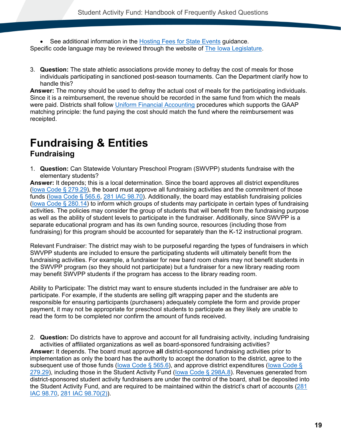- See additional information in the [Hosting Fees for State Events](https://educateiowa.gov/documents/student-activity-fund/2018/09/hosting-fees-state-activity-events) guidance. Specific code language may be reviewed through the website of **The lowa Legislature**.
- 3. **Question:** The state athletic associations provide money to defray the cost of meals for those individuals participating in sanctioned post-season tournaments. Can the Department clarify how to handle this?

**Answer:** The money should be used to defray the actual cost of meals for the participating individuals. Since it is a reimbursement, the revenue should be recorded in the same fund from which the meals were paid. Districts shall follow [Uniform Financial Accounting](https://educateiowa.gov/pk-12/school-business-finance/accounting-reporting/uniform-financial-accounting) procedures which supports the GAAP matching principle: the fund paying the cost should match the fund where the reimbursement was receipted.

## <span id="page-22-1"></span><span id="page-22-0"></span>**Fundraising & Entities Fundraising**

1. **Question:** Can Statewide Voluntary Preschool Program (SWVPP) students fundraise with the elementary students?

**Answer:** It depends; this is a local determination. Since the board approves all district expenditures (lowa Code  $\S$  279.29), the board must approve all fundraising activities and the commitment of those funds (lowa Code § 565.6, [281 IAC 98.70\)](#page-86-0). Additionally, the board may establish fundraising policies [\(Iowa Code § 280.14\)](#page-78-1) to inform which groups of students may participate in certain types of fundraising activities. The policies may consider the group of students that will benefit from the fundraising purpose as well as the ability of student levels to participate in the fundraiser. Additionally, since SWVPP is a separate educational program and has its own funding source, resources (including those from fundraising) for this program should be accounted for separately than the K-12 instructional program.

Relevant Fundraiser: The district may wish to be purposeful regarding the types of fundraisers in which SWVPP students are included to ensure the participating students will ultimately benefit from the fundraising activities. For example, a fundraiser for new band room chairs may not benefit students in the SWVPP program (so they should not participate) but a fundraiser for a new library reading room may benefit SWVPP students if the program has access to the library reading room.

Ability to Participate: The district may want to ensure students included in the fundraiser are *able* to participate. For example, if the students are selling gift wrapping paper and the students are responsible for ensuring participants (purchasers) adequately complete the form and provide proper payment, it may not be appropriate for preschool students to participate as they likely are unable to read the form to be completed nor confirm the amount of funds received.

2. **Question:** Do districts have to approve and account for all fundraising activity, including fundraising activities of affiliated organizations as well as board-sponsored fundraising activities? **Answer:** It depends. The board must approve **all** district-sponsored fundraising activities prior to implementation as only the board has the authority to accept the donation to the district, agree to the subsequent use of those funds (lowa Code § 565.6), and approve district expenditures (lowa Code § [279.29\)](#page-77-0), including those in the Student Activity Fund (lowa Code § 298A.8). Revenues generated from district-sponsored student activity fundraisers are under the control of the board, shall be deposited into the Student Activity Fund, and are required to be maintained within the district's chart of accounts [\(281](#page-86-0)  [IAC 98.70,](#page-86-0) [281 IAC 98.70\(2\)\)](#page-86-2).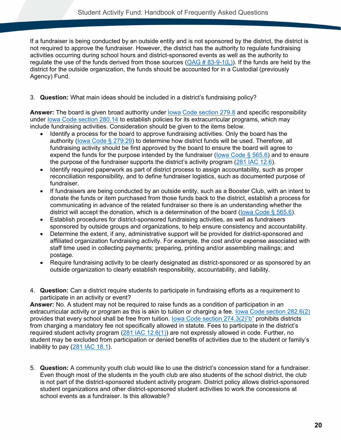If a fundraiser is being conducted by an outside entity and is not sponsored by the district, the district is not required to approve the fundraiser. However, the district has the authority to regulate fundraising activities occurring during school hours and district-sponsored events as well as the authority to regulate the use of the funds derived from those sources ( $OAG # 83-9-1(L)$ ). If the funds are held by the district for the outside organization, the funds should be accounted for in a Custodial (previously Agency) Fund.

#### 3. **Question:** What main ideas should be included in a district's fundraising policy?

**Answer:** The board is given broad authority under [Iowa Code section 279.8](#page-77-1) and specific responsibility under [Iowa Code section 280.14](#page-78-1) to establish policies for its extracurricular programs, which may include fundraising activities. Consideration should be given to the items below.

- Identify a process for the board to approve fundraising activities. Only the board has the authority [\(Iowa Code § 279.29\)](#page-77-0) to determine how district funds will be used. Therefore, all fundraising activity should be first approved by the board to ensure the board will agree to expend the funds for the purpose intended by the fundraiser (lowa Code  $\S$  565.6) and to ensure the purpose of the fundraiser supports the district's activity program [\(281 IAC 12.6\)](#page-82-0).
- Identify required paperwork as part of district process to assign accountability, such as proper reconciliation responsibility, and to define fundraiser logistics, such as documented purpose of fundraiser.
- If fundraisers are being conducted by an outside entity, such as a Booster Club, with an intent to donate the funds or item purchased from those funds back to the district, establish a process for communicating in advance of the related fundraiser so there is an understanding whether the district will accept the donation, which is a determination of the board [\(Iowa Code § 565.6\)](#page-80-1).
- Establish procedures for district-sponsored fundraising activities, as well as fundraisers sponsored by outside groups and organizations, to help ensure consistency and accountability.
- Determine the extent, if any, administrative support will be provided for district-sponsored and affiliated organization fundraising activity. For example, the cost and/or expense associated with staff time used in collecting payments; preparing, printing and/or assembling mailings; and postage.
- Require fundraising activity to be clearly designated as district-sponsored or as sponsored by an outside organization to clearly establish responsibility, accountability, and liability.
- 4. **Question:** Can a district require students to participate in fundraising efforts as a requirement to participate in an activity or event?

**Answer:** No. A student may not be required to raise funds as a condition of participation in an extracurricular activity or program as this is akin to tuition or charging a fee. lowa Code section 282.6(2) provides that every school shall be free from tuition. [Iowa Code section 274.3\(2\)"b"](#page-76-1) prohibits districts from charging a mandatory fee not specifically allowed in statute. Fees to participate in the district's required student activity program [\(281 IAC 12.6\(1\)\)](#page-82-0) are not expressly allowed in code. Further, no student may be excluded from participation or denied benefits of activities due to the student or family's inability to pay [\(281 IAC 18.1\)](#page-82-2).

5. **Question:** A community youth club would like to use the district's concession stand for a fundraiser. Even though most of the students in the youth club are also students of the school district, the club is not part of the district-sponsored student activity program. District policy allows district-sponsored student organizations and other district-sponsored student activities to work the concessions at school events as a fundraiser. Is this allowable?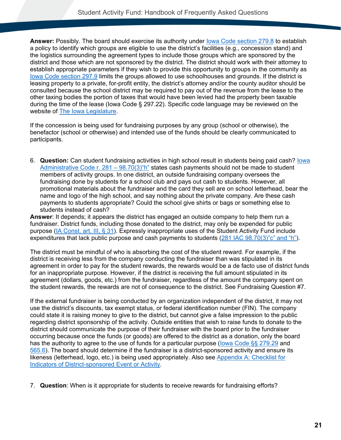**Answer:** Possibly. The board should exercise its authority under [Iowa Code section 279.8](#page-77-1) to establish a policy to identify which groups are eligible to use the district's facilities (e.g., concession stand) and the logistics surrounding the agreement types to include those groups which are sponsored by the district and those which are not sponsored by the district. The district should work with their attorney to establish appropriate parameters if they wish to provide this opportunity to groups in the community as [Iowa Code section 297.9](#page-80-3) limits the groups allowed to use schoolhouses and grounds. If the district is leasing property to a private, for-profit entity, the district's attorney and/or the county auditor should be consulted because the school district may be required to pay out of the revenue from the lease to the other taxing bodies the portion of taxes that would have been levied had the property been taxable during the time of the lease (Iowa Code § 297.22). Specific code language may be reviewed on the website of [The Iowa Legislature.](https://www.legis.iowa.gov/law)

If the concession is being used for fundraising purposes by any group (school or otherwise), the benefactor (school or otherwise) and intended use of the funds should be clearly communicated to participants.

6. **Question:** Can student fundraising activities in high school result in students being paid cash? [Iowa](#page-86-1)  Administrative Code r.  $281 - 98.70(3)$ "h" states cash payments should not be made to student members of activity groups. In one district, an outside fundraising company oversees the fundraising done by students for a school club and pays out cash to students. However, all promotional materials about the fundraiser and the card they sell are on school letterhead, bear the name and logo of the high school, and say nothing about the private company. Are these cash payments to students appropriate? Could the school give shirts or bags or something else to students instead of cash?

**Answer**: It depends; it appears the district has engaged an outside company to help them run a fundraiser. District funds, including those donated to the district, may only be expended for public purpose [\(IA Const. art. III, § 31\)](#page-76-2). Expressly inappropriate uses of the Student Activity Fund include expenditures that lack public purpose and cash payments to students [\(281 IAC 98.70\(3\)"c" and "h"\)](#page-86-1).

The district must be mindful of who is absorbing the cost of the student reward. For example, if the district is receiving less from the company conducting the fundraiser than was stipulated in its agreement in order to pay for the student rewards, the rewards would be a de facto use of district funds for an inappropriate purpose. However, if the district is receiving the full amount stipulated in its agreement (dollars, goods, etc.) from the fundraiser, regardless of the amount the company spent on the student rewards, the rewards are not of consequence to the district. See Fundraising Question #7.

If the external fundraiser is being conducted by an organization independent of the district, it may not use the district's discounts, tax exempt status, or federal identification number (FIN). The company could state it is raising money to give to the district, but cannot give a false impression to the public regarding district sponsorship of the activity. Outside entities that wish to raise funds to donate to the district should communicate the purpose of their fundraiser with the board prior to the fundraiser occurring because once the funds (or goods) are offered to the district as a donation, only the board has the authority to agree to the use of funds for a particular purpose (lowa Code §§ 279.29 and [565.6\)](#page-80-1). The board should determine if the fundraiser is a district-sponsored activity and ensure its likeness (letterhead, logo, etc.) is being used appropriately. Also see [Appendix A: Checklist for](#page-73-0)  [Indicators of District-sponsored Event or Activity.](#page-73-0)

7. **Question**: When is it appropriate for students to receive rewards for fundraising efforts?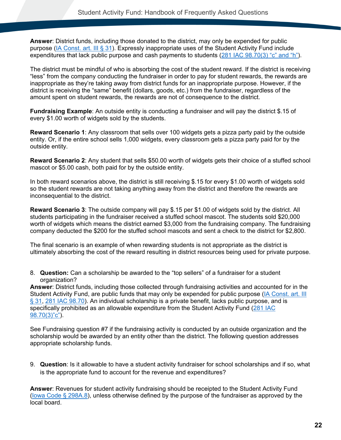**Answer**: District funds, including those donated to the district, may only be expended for public purpose [\(IA Const. art. III § 31\)](#page-76-2). Expressly inappropriate uses of the Student Activity Fund include expenditures that lack public purpose and cash payments to students  $(281$  IAC  $98.70(3)$  "c" and "h").

The district must be mindful of who is absorbing the cost of the student reward. If the district is receiving "less" from the company conducting the fundraiser in order to pay for student rewards, the rewards are inappropriate as they're taking away from district funds for an inappropriate purpose. However, if the district is receiving the "same" benefit (dollars, goods, etc.) from the fundraiser, regardless of the amount spent on student rewards, the rewards are not of consequence to the district.

**Fundraising Example**: An outside entity is conducting a fundraiser and will pay the district \$.15 of every \$1.00 worth of widgets sold by the students.

**Reward Scenario 1**: Any classroom that sells over 100 widgets gets a pizza party paid by the outside entity. Or, if the entire school sells 1,000 widgets, every classroom gets a pizza party paid for by the outside entity.

**Reward Scenario 2**: Any student that sells \$50.00 worth of widgets gets their choice of a stuffed school mascot or \$5.00 cash, both paid for by the outside entity.

In both reward scenarios above, the district is still receiving \$.15 for every \$1.00 worth of widgets sold so the student rewards are not taking anything away from the district and therefore the rewards are inconsequential to the district.

**Reward Scenario 3**: The outside company will pay \$.15 per \$1.00 of widgets sold by the district. All students participating in the fundraiser received a stuffed school mascot. The students sold \$20,000 worth of widgets which means the district earned \$3,000 from the fundraising company. The fundraising company deducted the \$200 for the stuffed school mascots and sent a check to the district for \$2,800.

The final scenario is an example of when rewarding students is not appropriate as the district is ultimately absorbing the cost of the reward resulting in district resources being used for private purpose.

8. **Question:** Can a scholarship be awarded to the "top sellers" of a fundraiser for a student organization?

**Answer**: District funds, including those collected through fundraising activities and accounted for in the Student Activity Fund, are public funds that may only be expended for public purpose [\(IA Const. art. III](#page-76-2)  [§ 31,](#page-76-2) [281 IAC 98.70\)](#page-86-0). An individual scholarship is a private benefit, lacks public purpose, and is specifically prohibited as an allowable expenditure from the Student Activity Fund [\(281 IAC](#page-86-1)  [98.70\(3\)"c"\)](#page-86-1).

See Fundraising question #7 if the fundraising activity is conducted by an outside organization and the scholarship would be awarded by an entity other than the district. The following question addresses appropriate scholarship funds.

9. **Question**: Is it allowable to have a student activity fundraiser for school scholarships and if so, what is the appropriate fund to account for the revenue and expenditures?

**Answer**: Revenues for student activity fundraising should be receipted to the Student Activity Fund [\(Iowa Code § 298A.8\)](#page-80-0), unless otherwise defined by the purpose of the fundraiser as approved by the local board.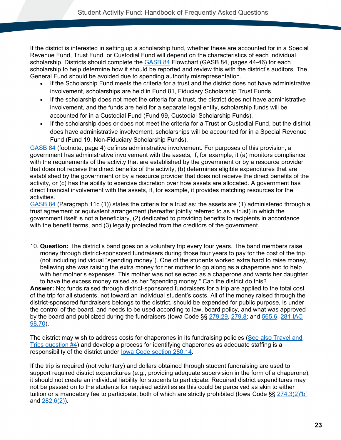If the district is interested in setting up a scholarship fund, whether these are accounted for in a Special Revenue Fund, Trust Fund, or Custodial Fund will depend on the characteristics of each individual scholarship. Districts should complete the [GASB 84](https://gasb.org/jsp/GASB/Document_C/DocumentPage?acceptedDisclaimer=true&cid=1176168786182&utm_medium=email&utm_source=govdelivery) Flowchart (GASB 84, pages 44-46) for each scholarship to help determine how it should be reported and review this with the district's auditors. The General Fund should be avoided due to spending authority misrepresentation.

- If the Scholarship Fund meets the criteria for a trust and the district does not have administrative involvement, scholarships are held in Fund 81, Fiduciary Scholarship Trust Funds.
- If the scholarship does not meet the criteria for a trust, the district does not have administrative involvement, and the funds are held for a separate legal entity, scholarship funds will be accounted for in a Custodial Fund (Fund 99, Custodial Scholarship Funds).
- If the scholarship does or does not meet the criteria for a Trust or Custodial Fund, but the district does have administrative involvement, scholarships will be accounted for in a Special Revenue Fund (Fund 19, Non-Fiduciary Scholarship Funds).

[GASB 84](https://gasb.org/jsp/GASB/Document_C/DocumentPage?acceptedDisclaimer=true&cid=1176168786182&utm_medium=email&utm_source=govdelivery) (footnote, page 4) defines administrative involvement. For purposes of this provision, a government has administrative involvement with the assets, if, for example, it (a) monitors compliance with the requirements of the activity that are established by the government or by a resource provider that does not receive the direct benefits of the activity, (b) determines eligible expenditures that are established by the government or by a resource provider that does not receive the direct benefits of the activity, or (c) has the ability to exercise discretion over how assets are allocated. A government has direct financial involvement with the assets, if, for example, it provides matching resources for the activities.

[GASB 84](https://gasb.org/jsp/GASB/Document_C/DocumentPage?acceptedDisclaimer=true&cid=1176168786182&utm_medium=email&utm_source=govdelivery) (Paragraph 11c (1)) states the criteria for a trust as: the assets are (1) administered through a trust agreement or equivalent arrangement (hereafter jointly referred to as a trust) in which the government itself is not a beneficiary, (2) dedicated to providing benefits to recipients in accordance with the benefit terms, and (3) legally protected from the creditors of the government.

10. **Question:** The district's band goes on a voluntary trip every four years. The band members raise money through district-sponsored fundraisers during those four years to pay for the cost of the trip (not including individual "spending money"). One of the students worked extra hard to raise money, believing she was raising the extra money for her mother to go along as a chaperone and to help with her mother's expenses. This mother was not selected as a chaperone and wants her daughter to have the excess money raised as her "spending money." Can the district do this?

**Answer:** No; funds raised through district-sponsored fundraisers for a trip are applied to the total cost of the trip for all students, not toward an individual student's costs. All of the money raised through the district-sponsored fundraisers belongs to the district, should be expended for public purpose, is under the control of the board, and needs to be used according to law, board policy, and what was approved by the board and publicized during the fundraisers (Iowa Code §§ [279.29,](#page-77-0) [279.8;](#page-77-1) and [565.6,](#page-80-1) [281 IAC](#page-86-0)  [98.70\)](#page-86-0).

The district may wish to address costs for chaperones in its fundraising policies [\(See also Travel and](#page-20-0)  [Trips question #4\)](#page-20-0) and develop a process for identifying chaperones as adequate staffing is a responsibility of the district under [Iowa Code section 280.14.](#page-78-1)

If the trip is required (not voluntary) and dollars obtained through student fundraising are used to support required district expenditures (e.g., providing adequate supervision in the form of a chaperone), it should not create an individual liability for students to participate. Required district expenditures may not be passed on to the students for required activities as this could be perceived as akin to either tuition or a mandatory fee to participate, both of which are strictly prohibited (lowa Code §§ [274.3\(2\)"b"](#page-76-1) and [282.6\(2\)\)](#page-78-0).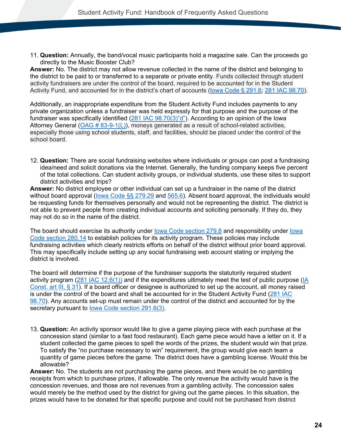11. **Question:** Annually, the band/vocal music participants hold a magazine sale. Can the proceeds go directly to the Music Booster Club?

**Answer:** No. The district may not allow revenue collected in the name of the district and belonging to the district to be paid to or transferred to a separate or private entity. Funds collected through student activity fundraisers are under the control of the board, required to be accounted for in the Student Activity Fund, and accounted for in the district's chart of accounts [\(Iowa Code § 291.6;](#page-79-0) 281 [IAC 98.70\)](#page-86-0).

Additionally, an inappropriate expenditure from the Student Activity Fund includes payments to any private organization unless a fundraiser was held expressly for that purpose and the purpose of the fundraiser was specifically identified [\(281 IAC 98.70\(3\)"d"\)](#page-86-1). According to an opinion of the Iowa Attorney General  $(OAG # 83-9-1(L))$ , moneys generated as a result of school-related activities, especially those using school students, staff, and facilities, should be placed under the control of the school board.

12. **Question:** There are social fundraising websites where individuals or groups can post a fundraising idea/need and solicit donations via the Internet. Generally, the funding company keeps five percent of the total collections. Can student activity groups, or individual students, use these sites to support district activities and trips?

**Answer:** No district employee or other individual can set up a fundraiser in the name of the district without board approval (lowa Code §§ 279.29 and [565.6\)](#page-80-1). Absent board approval, the individuals would be requesting funds for themselves personally and would not be representing the district. The district is not able to prevent people from creating individual accounts and soliciting personally. If they do, they may not do so in the name of the district.

The board should exercise its authority under [Iowa Code section 279.8](#page-77-1) and responsibility under [Iowa](#page-78-1)  [Code section 280.14](#page-78-1) to establish policies for its activity program. These policies may include fundraising activities which clearly restricts efforts on behalf of the district without prior board approval. This may specifically include setting up any social fundraising web account stating or implying the district is involved.

The board will determine if the purpose of the fundraiser supports the statutorily required student activity program [\(281 IAC 12.6\(1\)\)](#page-82-0) and if the expenditures ultimately meet the test of public purpose [\(IA](#page-76-2)  [Const. art III, § 31\)](#page-76-2). If a board officer or designee is authorized to set up the account, all money raised is under the control of the board and shall be accounted for in the Student Activity Fund [\(281 IAC](#page-86-0)  [98.70\)](#page-86-0). Any accounts set-up must remain under the control of the district and accounted for by the secretary pursuant to [Iowa Code section 291.6\(3\).](#page-79-0)

13. **Question:** An activity sponsor would like to give a game playing piece with each purchase at the concession stand (similar to a fast food restaurant). Each game piece would have a letter on it. If a student collected the game pieces to spell the words of the prizes, the student would win that prize. To satisfy the "no purchase necessary to win" requirement, the group would give each team a quantity of game pieces before the game. The district does have a gambling license. Would this be allowable?

**Answer:** No. The students are not purchasing the game pieces, and there would be no gambling receipts from which to purchase prizes, if allowable. The only revenue the activity would have is the concession revenues, and those are not revenues from a gambling activity. The concession sales would merely be the method used by the district for giving out the game pieces. In this situation, the prizes would have to be donated for that specific purpose and could not be purchased from district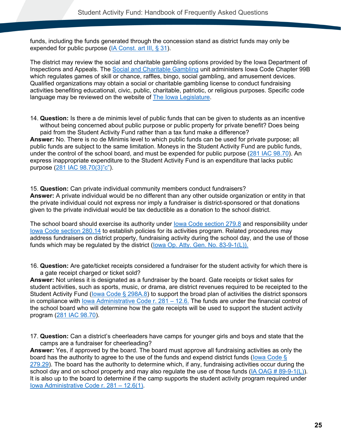funds, including the funds generated through the concession stand as district funds may only be expended for public purpose [\(IA Const. art III, § 31\)](#page-76-2).

The district may review the social and charitable gambling options provided by the Iowa Department of Inspections and Appeals. The [Social and Charitable Gambling](https://dia.iowa.gov/food-consumer-safety/social-and-charitable-gambling) unit administers Iowa Code Chapter 99B which regulates games of skill or chance, raffles, bingo, social gambling, and amusement devices. Qualified organizations may obtain a social or charitable gambling license to conduct fundraising activities benefiting educational, civic, public, charitable, patriotic, or religious purposes. Specific code language may be reviewed on the website of **The lowa Legislature**.

14. **Question:** Is there a de minimis level of public funds that can be given to students as an incentive without being concerned about public purpose or public property for private benefit? Does being paid from the Student Activity Fund rather than a tax fund make a difference? **Answer:** No. There is no de Minimis level to which public funds can be used for private purpose; all public funds are subject to the same limitation. Moneys in the Student Activity Fund are public funds,

under the control of the school board, and must be expended for public purpose [\(281 IAC 98.70\)](#page-86-0). An express inappropriate expenditure to the Student Activity Fund is an expenditure that lacks public purpose [\(281 IAC 98.70\(3\)"c"\)](#page-86-1).

15. **Question:** Can private individual community members conduct fundraisers? **Answer:** A private individual would be no different than any other outside organization or entity in that the private individual could not express nor imply a fundraiser is district-sponsored or that donations given to the private individual would be tax deductible as a donation to the school district.

The school board should exercise its authority under [Iowa Code section 279.8](#page-77-1) and responsibility under [Iowa Code section 280.14](#page-78-1) to establish policies for its activities program. Related procedures may address fundraisers on district property, fundraising activity during the school day, and the use of those funds which may be regulated by the district [\(Iowa Op. Atty. Gen. No. 83-9-1\(L\)\)](https://govt.westlaw.com/iaag/Document/If557f015493511e08b05fdf15589d8e8?originationContext=Search+Result&listSource=Search&viewType=FullText&navigationPath=Search%2fv3%2fsearch%2fresults%2fnavigation%2fi0ad62d33000001694a5767cb82396c45%3fstartIndex%3d1%26Nav%3dADMINDECISION_PUBLICVIEW%26contextData%3d(sc.Default)&rank=1&list=ADMINDECISION_PUBLICVIEW&transitionType=SearchItem&contextData=(sc.Search)&t_querytext=Opinion+No.+83-9-1(L)+September++1983&t_Method=WIN).

16. **Question:** Are gate/ticket receipts considered a fundraiser for the student activity for which there is a gate receipt charged or ticket sold?

**Answer:** Not unless it is designated as a fundraiser by the board. Gate receipts or ticket sales for student activities, such as sports, music, or drama, are district revenues required to be receipted to the Student Activity Fund (lowa Code § 298A.8) to support the broad plan of activities the district sponsors in compliance with [Iowa Administrative Code r. 281 –](#page-82-0) 12.6. The funds are under the financial control of the school board who will determine how the gate receipts will be used to support the student activity program [\(281 IAC 98.70\)](#page-86-0).

17. **Question:** Can a district's cheerleaders have camps for younger girls and boys and state that the camps are a fundraiser for cheerleading?

**Answer:** Yes, if approved by the board. The board must approve all fundraising activities as only the board has the authority to agree to the use of the funds and expend district funds (lowa Code § [279.29\)](#page-77-0). The board has the authority to determine which, if any, fundraising activities occur during the school day and on school property and may also regulate the use of those funds  $(A \cap A) = 89-9-1($ It is also up to the board to determine if the camp supports the student activity program required under [Iowa Administrative Code r. 281 –](#page-82-0) 12.6(1).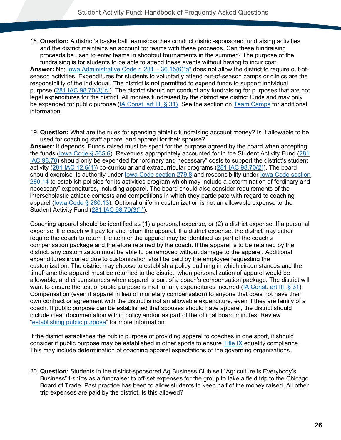18. **Question:** A district's basketball teams/coaches conduct district-sponsored fundraising activities and the district maintains an account for teams with these proceeds. Can these fundraising proceeds be used to enter teams in shootout tournaments in the summer? The purpose of the fundraising is for students to be able to attend these events without having to incur cost.

**Answer:** No; [Iowa Administrative Code r. 281 –](#page-82-3) 36.15(6)"a" does not allow the district to require out-ofseason activities. Expenditures for students to voluntarily attend out-of-season camps or clinics are the responsibility of the individual. The district is not permitted to expend funds to support individual purpose [\(281 IAC 98.70\(3\)"c"\)](#page-86-1). The district should not conduct any fundraising for purposes that are not legal expenditures for the district. All monies fundraised by the district are district funds and may only be expended for public purpose [\(IA Const. art III, § 31\)](#page-76-2). See the section on [Team Camps](#page-53-0) for additional information.

19. **Question:** What are the rules for spending athletic fundraising account money? Is it allowable to be used for coaching staff apparel and apparel for their spouse?

**Answer:** It depends. Funds raised must be spent for the purpose agreed by the board when accepting the funds [\(Iowa Code § 565.6\)](#page-80-1). Revenues appropriately accounted for in the Student Activity Fund [\(281](#page-86-0)  [IAC 98.70\)](#page-86-0) should only be expended for "ordinary and necessary" costs to support the district's student activity [\(281 IAC 12.6\(1\)\)](#page-82-0) co-curricular and extracurricular programs [\(281 IAC 98.70\(2\)\)](#page-86-2). The board should exercise its authority under [Iowa Code section 279.8](#page-77-1) and responsibility under [Iowa Code section](#page-78-1)  [280.14](#page-78-1) to establish policies for its activities program which may include a determination of "ordinary and necessary" expenditures, including apparel. The board should also consider requirements of the interscholastic athletic contests and competitions in which they participate with regard to coaching apparel [\(Iowa Code § 280.13\)](#page-78-2). Optional uniform customization is not an allowable expense to the Student Activity Fund [\(281 IAC 98.70\(3\)"i"\)](#page-86-1).

Coaching apparel should be identified as (1) a personal expense, or (2) a district expense. If a personal expense, the coach will pay for and retain the apparel. If a district expense, the district may either require the coach to return the item or the apparel may be identified as part of the coach's compensation package and therefore retained by the coach. If the apparel is to be retained by the district, any customization must be able to be removed without damage to the apparel. Additional expenditures incurred due to customization shall be paid by the employee requesting the customization. The district may choose to establish a policy outlining in which circumstances and the timeframe the apparel must be returned to the district, when personalization of apparel would be allowable, and circumstances when apparel is part of a coach's compensation package. The district will want to ensure the test of public purpose is met for any expenditures incurred [\(IA Const. art III, § 31\)](#page-76-2). Compensation (even if apparel in lieu of monetary compensation) to anyone that does not have their own contract or agreement with the district is not an allowable expenditure, even if they are family of a coach. If public purpose can be established that spouses should have apparel, the district should include clear documentation within policy and/or as part of the official board minutes. Review ["establishing public purpose"](#page-5-0) for more information.

If the district establishes the public purpose of providing apparel to coaches in one sport, it should consider if public purpose may be established in other sports to ensure [Title IX](https://educateiowa.gov/pk-12/accreditation-and-program-approval/equity-education/title-ix-education-equity) equality compliance. This may include determination of coaching apparel expectations of the governing organizations.

20. **Question:** Students in the district-sponsored Ag Business Club sell "Agriculture is Everybody's Business" t-shirts as a fundraiser to off-set expenses for the group to take a field trip to the Chicago Board of Trade. Past practice has been to allow students to keep half of the money raised. All other trip expenses are paid by the district. Is this allowed?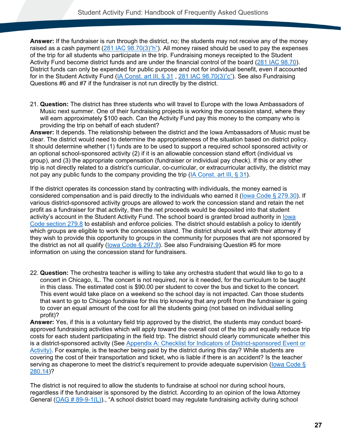**Answer:** If the fundraiser is run through the district, no; the students may not receive any of the money raised as a cash payment [\(281 IAC 98.70\(3\)"h"\)](#page-86-1). All money raised should be used to pay the expenses of the trip for all students who participate in the trip. Fundraising moneys receipted to the Student Activity Fund become district funds and are under the financial control of the board [\(281 IAC 98.70\)](#page-86-0). District funds can only be expended for public purpose and not for individual benefit, even if accounted for in the Student Activity Fund [\(IA Const. art III, § 31](#page-76-2), [281 IAC 98.70\(3\)"c"\)](#page-86-1). See also Fundraising Questions #6 and #7 if the fundraiser is not run directly by the district.

21. **Question:** The district has three students who will travel to Europe with the Iowa Ambassadors of Music next summer. One of their fundraising projects is working the concession stand, where they will earn approximately \$100 each. Can the Activity Fund pay this money to the company who is providing the trip on behalf of each student?

**Answer:** It depends. The relationship between the district and the Iowa Ambassadors of Music must be clear. The district would need to determine the appropriateness of the situation based on district policy. It should determine whether (1) funds are to be used to support a required school sponsored activity or an optional school-sponsored activity (2) if it is an allowable concession stand effort (individual vs group), and (3) the appropriate compensation (fundraiser or individual pay check). If this or any other trip is not directly related to a district's curricular, co-curricular, or extracurricular activity, the district may not pay any public funds to the company providing the trip [\(IA Const. art III, § 31\)](#page-76-2).

If the district operates its concession stand by contracting with individuals, the money earned is considered compensation and is paid directly to the individuals who earned it [\(Iowa Code § 279.30\)](#page-77-2). If various district-sponsored activity groups are allowed to work the concession stand and retain the net profit as a fundraiser for that activity, then the net proceeds would be deposited into that student activity's account in the Student Activity Fund. The school board is granted broad authority in [Iowa](#page-77-1)  [Code section 279.8](#page-77-1) to establish and enforce policies. The district should establish a policy to identify which groups are eligible to work the concession stand. The district should work with their attorney if they wish to provide this opportunity to groups in the community for purposes that are not sponsored by the district as not all qualify [\(Iowa Code § 297.9\)](#page-80-3). See also Fundraising Question #5 for more information on using the concession stand for fundraisers.

22. **Question:** The orchestra teacher is willing to take any orchestra student that would like to go to a concert in Chicago, IL. The concert is not required, nor is it needed, for the curriculum to be taught in this class. The estimated cost is \$90.00 per student to cover the bus and ticket to the concert. This event would take place on a weekend so the school day is not impacted. Can those students that want to go to Chicago fundraise for this trip knowing that any profit from the fundraiser is going to cover an equal amount of the cost for all the students going (not based on individual selling profit)?

**Answer:** Yes, if this is a voluntary field trip approved by the district, the students may conduct boardapproved fundraising activities which will apply toward the overall cost of the trip and equally reduce trip costs for each student participating in the field trip. The district should clearly communicate whether this is a district-sponsored activity (See [Appendix A: Checklist for Indicators of District-sponsored Event or](#page-73-0)  [Activity\)](#page-73-0). For example, is the teacher being paid by the district during this day? While students are covering the cost of their transportation and ticket, who is liable if there is an accident? Is the teacher serving as chaperone to meet the district's requirement to provide adequate supervision (lowa Code § [280.14\)](#page-78-1)?

The district is not required to allow the students to fundraise at school nor during school hours, regardless if the fundraiser is sponsored by the district. According to an opinion of the Iowa Attorney General [\(OAG # 89-9-1\(L\)\)](https://govt.westlaw.com/iaag/Document/If557f015493511e08b05fdf15589d8e8?originationContext=Search+Result&listSource=Search&viewType=FullText&navigationPath=Search%2fv3%2fsearch%2fresults%2fnavigation%2fi0ad62d33000001694a5767cb82396c45%3fstartIndex%3d1%26Nav%3dADMINDECISION_PUBLICVIEW%26contextData%3d(sc.Default)&rank=1&list=ADMINDECISION_PUBLICVIEW&transitionType=SearchItem&contextData=(sc.Search)&t_querytext=Opinion+No.+83-9-1(L)+September++1983&t_Method=WIN)., "A school district board may regulate fundraising activity during school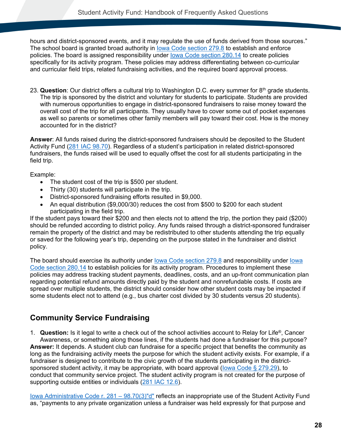hours and district-sponsored events, and it may regulate the use of funds derived from those sources." The school board is granted broad authority in [Iowa Code section 279.8](#page-77-1) to establish and enforce policies. The board is assigned responsibility under [Iowa Code section 280.14](#page-78-1) to create policies specifically for its activity program. These policies may address differentiating between co-curricular and curricular field trips, related fundraising activities, and the required board approval process.

23. **Question**: Our district offers a cultural trip to Washington D.C. every summer for 8<sup>th</sup> grade students. The trip is sponsored by the district and voluntary for students to participate. Students are provided with numerous opportunities to engage in district-sponsored fundraisers to raise money toward the overall cost of the trip for all participants. They usually have to cover some out of pocket expenses as well so parents or sometimes other family members will pay toward their cost. How is the money accounted for in the district?

**Answer**: All funds raised during the district-sponsored fundraisers should be deposited to the Student Activity Fund [\(281 IAC 98.70\)](#page-86-0). Regardless of a student's participation in related district-sponsored fundraisers, the funds raised will be used to equally offset the cost for all students participating in the field trip.

Example:

- The student cost of the trip is \$500 per student.
- Thirty (30) students will participate in the trip.
- District-sponsored fundraising efforts resulted in \$9,000.
- An equal distribution (\$9,000/30) reduces the cost from \$500 to \$200 for each student participating in the field trip.

If the student pays toward their \$200 and then elects not to attend the trip, the portion they paid (\$200) should be refunded according to district policy. Any funds raised through a district-sponsored fundraiser remain the property of the district and may be redistributed to other students attending the trip equally or saved for the following year's trip, depending on the purpose stated in the fundraiser and district policy.

The board should exercise its authority under [Iowa Code section 279.8](#page-77-1) and responsibility under [Iowa](#page-78-1)  [Code section 280.14](#page-78-1) to establish policies for its activity program. Procedures to implement these policies may address tracking student payments, deadlines, costs, and an up-front communication plan regarding potential refund amounts directly paid by the student and nonrefundable costs. If costs are spread over multiple students, the district should consider how other student costs may be impacted if some students elect not to attend (e.g., bus charter cost divided by 30 students versus 20 students).

### <span id="page-31-0"></span>**Community Service Fundraising**

1. **Question:** Is it legal to write a check out of the school activities account to Relay for Life®, Cancer Awareness, or something along those lines, if the students had done a fundraiser for this purpose? **Answer:** It depends. A student club can fundraise for a specific project that benefits the community as long as the fundraising activity meets the purpose for which the student activity exists. For example, if a fundraiser is designed to contribute to the civic growth of the students participating in the districtsponsored student activity, it may be appropriate, with board approval (lowa Code § 279.29), to conduct that community service project. The student activity program is not created for the purpose of supporting outside entities or individuals [\(281 IAC 12.6\)](#page-82-0).

[Iowa Administrative Code r. 281 –](#page-86-1) 98.70(3)"d" reflects an inappropriate use of the Student Activity Fund as, "payments to any private organization unless a fundraiser was held expressly for that purpose and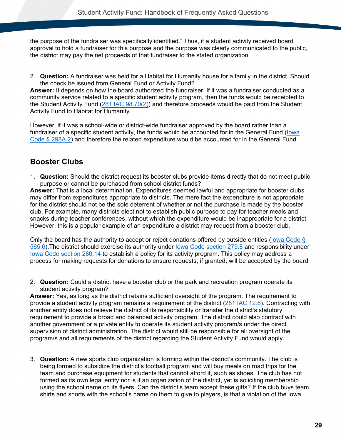the purpose of the fundraiser was specifically identified." Thus, if a student activity received board approval to hold a fundraiser for this purpose and the purpose was clearly communicated to the public, the district may pay the net proceeds of that fundraiser to the stated organization.

2. **Question:** A fundraiser was held for a Habitat for Humanity house for a family in the district. Should the check be issued from General Fund or Activity Fund?

**Answer:** It depends on how the board authorized the fundraiser. If it was a fundraiser conducted as a community service related to a specific student activity program, then the funds would be receipted to the Student Activity Fund [\(281 IAC 98.70\(2\)\)](#page-86-0) and therefore proceeds would be paid from the Student Activity Fund to Habitat for Humanity.

However, if it was a school-wide or district-wide fundraiser approved by the board rather than a fundraiser of a specific student activity, the funds would be accounted for in the General Fund [\(Iowa](#page-80-2)  [Code § 298A.2\)](#page-80-2) and therefore the related expenditure would be accounted for in the General Fund.

#### <span id="page-32-0"></span>**Booster Clubs**

1. **Question:** Should the district request its booster clubs provide items directly that do not meet public purpose or cannot be purchased from school district funds?

**Answer:** That is a local determination. Expenditures deemed lawful and appropriate for booster clubs may differ from expenditures appropriate to districts. The mere fact the expenditure is not appropriate for the district should not be the sole deterrent of whether or not the purchase is made by the booster club. For example, many districts elect not to establish public purpose to pay for teacher meals and snacks during teacher conferences, without which the expenditure would be inappropriate for a district. However, this is a popular example of an expenditure a district may request from a booster club.

Only the board has the authority to accept or reject donations offered by outside entities [\(Iowa Code §](#page-80-1)  [565.6\)](#page-80-1).The district should exercise its authority under [Iowa Code section 279.8](#page-77-1) and responsibility under [Iowa Code section 280.14](#page-78-1) to establish a policy for its activity program. This policy may address a process for making requests for donations to ensure requests, if granted, will be accepted by the board.

2. **Question:** Could a district have a booster club or the park and recreation program operate its student activity program?

**Answer:** Yes, as long as the district retains sufficient oversight of the program. The requirement to provide a student activity program remains a requirement of the district [\(281 IAC 12.6\)](#page-82-0). Contracting with another entity does not relieve the district of its responsibility or transfer the district's statutory requirement to provide a broad and balanced activity program. The district could also contract with another government or a private entity to operate its student activity program/s under the direct supervision of district administration. The district would still be responsible for all oversight of the program/s and all requirements of the district regarding the Student Activity Fund would apply.

3. **Question:** A new sports club organization is forming within the district's community. The club is being formed to subsidize the district's football program and will buy meals on road trips for the team and purchase equipment for students that cannot afford it, such as shoes. The club has not formed as its own legal entity nor is it an organization of the district, yet is soliciting membership using the school name on its flyers. Can the district's team accept these gifts? If the club buys team shirts and shorts with the school's name on them to give to players, is that a violation of the Iowa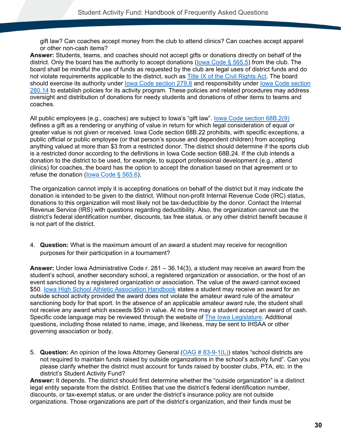gift law? Can coaches accept money from the club to attend clinics? Can coaches accept apparel or other non-cash items?

**Answer:** Students, teams, and coaches should not accept gifts or donations directly on behalf of the district. Only the board has the authority to accept donations [\(Iowa Code § 565.5\)](#page-80-1) from the club. The board shall be mindful the use of funds as requested by the club are legal uses of district funds and do not violate requirements applicable to the district, such as [Title IX of the Civil Rights Act.](https://educateiowa.gov/pk-12/accreditation-and-program-approval/equity-education/title-ix-education-equity) The board should exercise its authority under [Iowa Code section 279.8](#page-77-1) and responsibility under [Iowa Code section](#page-78-1)  [280.14](#page-78-1) to establish policies for its activity program. These policies and related procedures may address oversight and distribution of donations for needy students and donations of other items to teams and coaches.

All public employees (e.g., coaches) are subject to Iowa's "gift law". [Iowa Code section 68B.2\(9\)](#page-76-4) defines a gift as a rendering or anything of value in return for which legal consideration of equal or greater value is not given or received. Iowa Code section 68B.22 prohibits, with specific exceptions, a public official or public employee (or that person's spouse and dependent children) from accepting anything valued at more than \$3 from a restricted donor. The district should determine if the sports club is a restricted donor according to the definitions in Iowa Code section 68B.24. If the club intends a donation to the district to be used, for example, to support professional development (e.g., attend clinics) for coaches, the board has the option to accept the donation based on that agreement or to refuse the donation [\(Iowa Code § 565.6\)](#page-80-1).

The organization cannot imply it is accepting donations on behalf of the district but it may indicate the donation is intended to be given to the district. Without non-profit Internal Revenue Code (IRC) status, donations to this organization will most likely not be tax-deductible by the donor. Contact the Internal Revenue Service (IRS) with questions regarding deductibility. Also, the organization cannot use the district's federal identification number, discounts, tax free status, or any other district benefit because it is not part of the district.

4. **Question:** What is the maximum amount of an award a student may receive for recognition purposes for their participation in a tournament?

**Answer:** Under Iowa Administrative Code r. 281 – 36.14(3), a student may receive an award from the student's school, another secondary school, a registered organization or association, or the host of an event sanctioned by a registered organization or association. The value of the award cannot exceed \$50. [Iowa High School Athletic Association Handbook](https://www.iahsaa.org/information/general/) states a student may receive an award for an outside school activity provided the award does not violate the amateur award rule of the amateur sanctioning body for that sport. In the absence of an applicable amateur award rule, the student shall not receive any award which exceeds \$50 in value. At no time may a student accept an award of cash. Specific code language may be reviewed through the website of [The Iowa Legislature.](https://www.legis.iowa.gov/law) Additional questions, including those related to name, image, and likeness, may be sent to IHSAA or other governing association or body.

5. **Question:** An opinion of the Iowa Attorney General [\(OAG # 83-9-1\(L\)\)](https://govt.westlaw.com/iaag/Document/If557f015493511e08b05fdf15589d8e8?originationContext=Search+Result&listSource=Search&viewType=FullText&navigationPath=Search%2fv3%2fsearch%2fresults%2fnavigation%2fi0ad62d33000001694a5767cb82396c45%3fstartIndex%3d1%26Nav%3dADMINDECISION_PUBLICVIEW%26contextData%3d(sc.Default)&rank=1&list=ADMINDECISION_PUBLICVIEW&transitionType=SearchItem&contextData=(sc.Search)&t_querytext=Opinion+No.+83-9-1(L)+September++1983&t_Method=WIN) states "school districts are not required to maintain funds raised by outside organizations in the school's activity fund". Can you please clarify whether the district must account for funds raised by booster clubs, PTA, etc. in the district's Student Activity Fund?

**Answer:** It depends. The district should first determine whether the "outside organization" is a distinct legal entity separate from the district. Entities that use the district's federal identification number, discounts, or tax-exempt status, or are under the district's insurance policy are not outside organizations. Those organizations are part of the district's organization, and their funds must be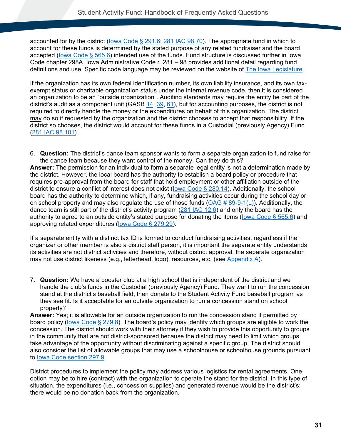accounted for by the district (lowa Code § 291.6; [281 IAC 98.70\)](#page-86-0). The appropriate fund in which to account for these funds is determined by the stated purpose of any related fundraiser and the board accepted (lowa Code § 565.6) intended use of the funds. Fund structure is discussed further in Iowa Code chapter 298A. Iowa Administrative Code r. 281 – 98 provides additional detail regarding fund definitions and use. Specific code language may be reviewed on the website of [The Iowa Legislature.](https://www.legis.iowa.gov/law)

If the organization has its own federal identification number, its own liability insurance, and its own taxexempt status or charitable organization status under the internal revenue code, then it is considered an organization to be an "outside organization". Auditing standards may require the entity be part of the district's audit as a component unit (GASB [14,](https://www.gasb.org/jsp/GASB/Document_C/DocumentPage?cid=1176160030209&acceptedDisclaimer=true) [39,](https://www.gasb.org/resources/ccurl/973/861/Gasbs-39.pdf) [61\)](https://www.gasb.org/cs/ContentServer?cid=1176158034864&d=&pagename=GASB%2FPronouncement_C%2FGASBSummaryPage), but for accounting purposes, the district is not required to directly handle the money or the expenditures on behalf of this organization. The district may do so if requested by the organization and the district chooses to accept that responsibility. If the district so chooses, the district would account for these funds in a Custodial (previously Agency) Fund [\(281 IAC 98.101\)](#page-87-0).

6. **Question:** The district's dance team sponsor wants to form a separate organization to fund raise for the dance team because they want control of the money. Can they do this?

**Answer:** The permission for an individual to form a separate legal entity is not a determination made by the district. However, the local board has the authority to establish a board policy or procedure that requires pre-approval from the board for staff that hold employment or other affiliation outside of the district to ensure a conflict of interest does not exist [\(Iowa Code § 280.14\)](#page-78-1). Additionally, the school board has the authority to determine which, if any, fundraising activities occur during the school day or on school property and may also regulate the use of those funds ( $OAG \# 89-9-1(L)$ ). Additionally, the dance team is still part of the district's activity program [\(281 IAC 12.6\)](#page-82-0) and only the board has the authority to agree to an outside entity's stated purpose for donating the items (lowa Code  $\S$  565.6) and approving related expenditures [\(Iowa Code § 279.29\)](#page-77-0).

If a separate entity with a distinct tax ID is formed to conduct fundraising activities, regardless if the organizer or other member is also a district staff person, it is important the separate entity understands its activities are not district activities and therefore, without district approval, the separate organization may not use district likeness (e.g., letterhead, logo), resources, etc. (see [Appendix A\)](#page-73-0).

7. **Question:** We have a booster club at a high school that is independent of the district and we handle the club's funds in the Custodial (previously Agency) Fund. They want to run the concession stand at the district's baseball field, then donate to the Student Activity Fund baseball program as they see fit. Is it acceptable for an outside organization to run a concession stand on school property?

**Answer:** Yes; it is allowable for an outside organization to run the concession stand if permitted by board policy [\(Iowa Code § 279.8\)](#page-77-1). The board's policy may identify which groups are eligible to work the concession. The district should work with their attorney if they wish to provide this opportunity to groups in the community that are not district-sponsored because the district may need to limit which groups take advantage of the opportunity without discriminating against a specific group. The district should also consider the list of allowable groups that may use a schoolhouse or schoolhouse grounds pursuant to [Iowa Code section 297.9.](#page-80-3)

District procedures to implement the policy may address various logistics for rental agreements. One option may be to hire (contract) with the organization to operate the stand for the district. In this type of situation, the expenditures (i.e., concession supplies) and generated revenue would be the district's; there would be no donation back from the organization.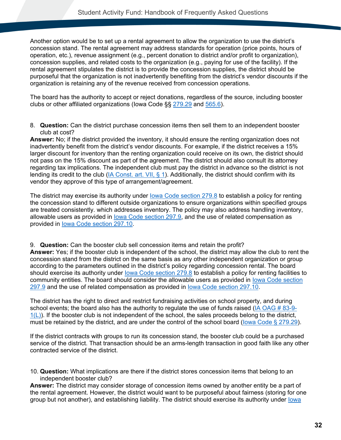Another option would be to set up a rental agreement to allow the organization to use the district's concession stand. The rental agreement may address standards for operation (price points, hours of operation, etc.), revenue assignment (e.g., percent donation to district and/or profit to organization), concession supplies, and related costs to the organization (e.g., paying for use of the facility). If the rental agreement stipulates the district is to provide the concession supplies, the district should be purposeful that the organization is not inadvertently benefiting from the district's vendor discounts if the organization is retaining any of the revenue received from concession operations.

The board has the authority to accept or reject donations, regardless of the source, including booster clubs or other affiliated organizations (Iowa Code §§ [279.29](#page-77-0) and [565.6\)](#page-80-1).

8. **Question:** Can the district purchase concession items then sell them to an independent booster club at cost?

**Answer:** No; if the district provided the inventory, it should ensure the renting organization does not inadvertently benefit from the district's vendor discounts. For example, if the district receives a 15% larger discount for inventory than the renting organization could receive on its own, the district should not pass on the 15% discount as part of the agreement. The district should also consult its attorney regarding tax implications. The independent club must pay the district in advance so the district is not lending its credit to the club [\(IA Const. art. VII, § 1\)](#page-76-3). Additionally, the district should confirm with its vendor they approve of this type of arrangement/agreement.

The district may exercise its authority under lowa Code section 279.8 to establish a policy for renting the concession stand to different outside organizations to ensure organizations within specified groups are treated consistently. which addresses inventory. The policy may also address handling inventory, allowable users as provided in [Iowa Code section 297.9,](#page-80-3) and the use of related compensation as provided in [Iowa Code section 297.10.](#page-80-4)

9. **Question:** Can the booster club sell concession items and retain the profit? **Answer:** Yes; if the booster club is independent of the school, the district may allow the club to rent the concession stand from the district on the same basis as any other independent organization or group according to the parameters outlined in the district's policy regarding concession rental. The board should exercise its authority under [Iowa Code section 279.8](#page-77-1) to establish a policy for renting facilities to community entities. The board should consider the allowable users as provided in [Iowa Code section](#page-80-3)  [297.9](#page-80-3) and the use of related compensation as provided in [Iowa Code section 297.10.](#page-80-4)

The district has the right to direct and restrict fundraising activities on school property, and during school events; the board also has the authority to regulate the use of funds raised [\(IA OAG # 83-9-](https://govt.westlaw.com/iaag/Document/If557f015493511e08b05fdf15589d8e8?originationContext=Search+Result&listSource=Search&viewType=FullText&navigationPath=Search%2fv3%2fsearch%2fresults%2fnavigation%2fi0ad62d33000001694a5767cb82396c45%3fstartIndex%3d1%26Nav%3dADMINDECISION_PUBLICVIEW%26contextData%3d(sc.Default)&rank=1&list=ADMINDECISION_PUBLICVIEW&transitionType=SearchItem&contextData=(sc.Search)&t_querytext=Opinion+No.+83-9-1(L)+September++1983&t_Method=WIN)  $1(L)$ ). If the booster club is not independent of the school, the sales proceeds belong to the district, must be retained by the district, and are under the control of the school board [\(Iowa Code § 279.29\)](#page-77-0).

If the district contracts with groups to run its concession stand, the booster club could be a purchased service of the district. That transaction should be an arms-length transaction in good faith like any other contracted service of the district.

10. **Question:** What implications are there if the district stores concession items that belong to an independent booster club?

**Answer:** The district may consider storage of concession items owned by another entity be a part of the rental agreement. However, the district would want to be purposeful about fairness (storing for one group but not another), and establishing liability. The district should exercise its authority under [Iowa](#page-77-1)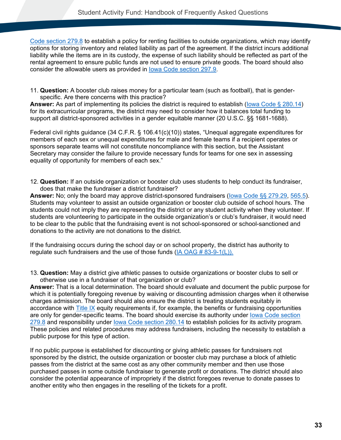[Code section 279.8](#page-77-0) to establish a policy for renting facilities to outside organizations, which may identify options for storing inventory and related liability as part of the agreement. If the district incurs additional liability while the items are in its custody, the expense of such liability should be reflected as part of the rental agreement to ensure public funds are not used to ensure private goods. The board should also consider the allowable users as provided in [Iowa Code section 297.9.](#page-80-0)

11. **Question:** A booster club raises money for a particular team (such as football), that is genderspecific. Are there concerns with this practice?

**Answer:** As part of implementing its policies the district is required to establish [\(Iowa Code § 280.14\)](#page-78-0) for its extracurricular programs, the district may need to consider how it balances total funding to support all district-sponsored activities in a gender equitable manner (20 U.S.C. §§ 1681-1688).

Federal civil rights guidance (34 C.F.R. § 106.41(c)(10)) states, "Unequal aggregate expenditures for members of each sex or unequal expenditures for male and female teams if a recipient operates or sponsors separate teams will not constitute noncompliance with this section, but the Assistant Secretary may consider the failure to provide necessary funds for teams for one sex in assessing equality of opportunity for members of each sex."

12. **Question:** If an outside organization or booster club uses students to help conduct its fundraiser, does that make the fundraiser a district fundraiser?

**Answer:** No; only the board may approve district-sponsored fundraisers [\(Iowa Code §§ 279.29,](#page-77-1) [565.5\)](#page-80-1). Students may volunteer to assist an outside organization or booster club outside of school hours. The students could not imply they are representing the district or any student activity when they volunteer. If students are volunteering to participate in the outside organization's or club's fundraiser, it would need to be clear to the public that the fundraising event is not school-sponsored or school-sanctioned and donations to the activity are not donations to the district.

If the fundraising occurs during the school day or on school property, the district has authority to regulate such fundraisers and the use of those funds [\(IA OAG # 83-9-1\(L\)\).](https://govt.westlaw.com/iaag/Document/If557f015493511e08b05fdf15589d8e8?originationContext=Search+Result&listSource=Search&viewType=FullText&navigationPath=Search%2fv3%2fsearch%2fresults%2fnavigation%2fi0ad62d33000001694a5767cb82396c45%3fstartIndex%3d1%26Nav%3dADMINDECISION_PUBLICVIEW%26contextData%3d(sc.Default)&rank=1&list=ADMINDECISION_PUBLICVIEW&transitionType=SearchItem&contextData=(sc.Search)&t_querytext=Opinion+No.+83-9-1(L)+September++1983&t_Method=WIN)

13. **Question:** May a district give athletic passes to outside organizations or booster clubs to sell or otherwise use in a fundraiser of that organization or club?

**Answer:** That is a local determination. The board should evaluate and document the public purpose for which it is potentially foregoing revenue by waiving or discounting admission charges when it otherwise charges admission. The board should also ensure the district is treating students equitably in accordance with [Title IX](https://educateiowa.gov/pk-12/accreditation-and-program-approval/equity-education/title-ix-education-equity) equity requirements if, for example, the benefits or fundraising opportunities are only for gender-specific teams. The board should exercise its authority under lowa Code section [279.8](#page-77-0) and responsibility under [Iowa Code section 280.14](#page-78-0) to establish policies for its activity program. These policies and related procedures may address fundraisers, including the necessity to establish a public purpose for this type of action.

If no public purpose is established for discounting or giving athletic passes for fundraisers not sponsored by the district, the outside organization or booster club may purchase a block of athletic passes from the district at the same cost as any other community member and then use those purchased passes in some outside fundraiser to generate profit or donations. The district should also consider the potential appearance of impropriety if the district foregoes revenue to donate passes to another entity who then engages in the reselling of the tickets for a profit.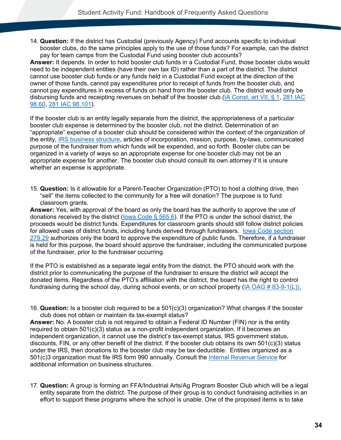14. **Question:** If the district has Custodial (previously Agency) Fund accounts specific to individual booster clubs, do the same principles apply to the use of those funds? For example, can the district pay for team camps from the Custodial Fund using booster club accounts?

**Answer:** It depends. In order to hold booster club funds in a Custodial Fund, those booster clubs would need to be independent entities (have their own tax ID) rather than a part of the district. The district cannot use booster club funds or any funds held in a Custodial Fund except at the direction of the owner of those funds, cannot pay expenditures prior to receipt of funds from the booster club, and cannot pay expenditures in excess of funds on hand from the booster club. The district would only be disbursing funds and receipting revenues on behalf of the booster club [\(IA Const, art VII, § 1,](#page-76-0) [281 IAC](#page-83-0)  [98.60,](#page-83-0) [281 IAC 98.101\)](#page-87-0).

If the booster club is an entity legally separate from the district, the appropriateness of a particular booster club expense is determined by the booster club, not the district. Determination of an "appropriate" expense of a booster club should be considered within the context of the organization of the entity, [IRS business structure,](https://www.irs.gov/businesses/small-businesses-self-employed/business-structures) articles of incorporation, mission, purpose, by-laws, communicated purpose of the fundraiser from which funds will be expended, and so forth. Booster clubs can be organized in a variety of ways so an appropriate expense for one booster club may not be an appropriate expense for another. The booster club should consult its own attorney if it is unsure whether an expense is appropriate.

15. **Question:** Is it allowable for a Parent-Teacher Organization (PTO) to host a clothing drive, then "sell" the items collected to the community for a free will donation? The purpose is to fund classroom grants.

**Answer:** Yes, with approval of the board as only the board has the authority to approve the use of donations received by the district [\(Iowa Code § 565.6\)](#page-80-1). If the PTO is under the school district, the proceeds would be district funds. Expenditures for classroom grants should still follow district policies for allowed uses of district funds, including funds derived through fundraisers. [Iowa Code section](#page-77-1)  [279.29](#page-77-1) authorizes only the board to approve the expenditure of public funds. Therefore, if a fundraiser is held for this purpose, the board should approve the fundraiser, including the communicated purpose of the fundraiser, prior to the fundraiser occurring.

If the PTO is established as a separate legal entity from the district, the PTO should work with the district prior to communicating the purpose of the fundraiser to ensure the district will accept the donated items. Regardless of the PTO's affiliation with the district, the board has the right to control fundraising during the school day, during school events, or on school property [\(IA OAG # 83-9-1\(L\)\).](https://govt.westlaw.com/iaag/Document/If557f015493511e08b05fdf15589d8e8?originationContext=Search+Result&listSource=Search&viewType=FullText&navigationPath=Search%2fv3%2fsearch%2fresults%2fnavigation%2fi0ad62d33000001694a5767cb82396c45%3fstartIndex%3d1%26Nav%3dADMINDECISION_PUBLICVIEW%26contextData%3d(sc.Default)&rank=1&list=ADMINDECISION_PUBLICVIEW&transitionType=SearchItem&contextData=(sc.Search)&t_querytext=Opinion+No.+83-9-1(L)+September++1983&t_Method=WIN)

16. **Question:** Is a booster club required to be a 501(c)(3) organization? What changes if the booster club does not obtain or maintain its tax-exempt status?

**Answer:** No. A booster club is not required to obtain a Federal ID Number (FIN) nor is the entity required to obtain 501(c)(3) status as a non-profit independent organization. If it becomes an independent organization, it cannot use the district's tax-exempt status, IRS government status, discounts, FIN, or any other benefit of the district. If the booster club obtains its own 501(c)(3) status under the IRS, then donations to the booster club may be tax deductible. Entities organized as a 501(c)3 organization must file IRS form 990 annually. Consult the [Internal Revenue Service](https://www.irs.gov/businesses/small-businesses-self-employed/business-structures) for additional information on business structures.

17. **Question:** A group is forming an FFA/Industrial Arts/Ag Program Booster Club which will be a legal entity separate from the district. The purpose of their group is to conduct fundraising activities in an effort to support these programs where the school is unable. One of the proposed items is to take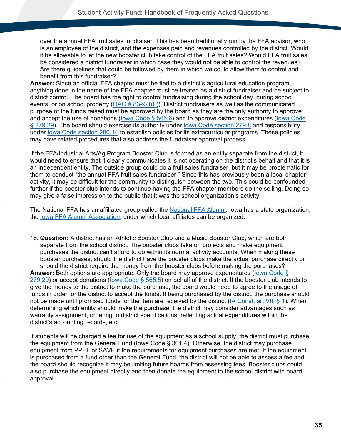over the annual FFA fruit sales fundraiser. This has been traditionally run by the FFA advisor, who is an employee of the district, and the expenses paid and revenues controlled by the district. Would it be allowable to let the new booster club take control of the FFA fruit sales? Would FFA fruit sales be considered a district fundraiser in which case they would not be able to control the revenues? Are there guidelines that could be followed by them in which we could allow them to control and benefit from this fundraiser?

**Answer:** Since an official FFA chapter must be tied to a district's agricultural education program, anything done in the name of the FFA chapter must be treated as a district fundraiser and be subject to district control. The board has the right to control fundraising during the school day, during school events, or on school property  $(OAG # 83-9-1(L))$ . District fundraisers as well as the communicated purpose of the funds raised must be approved by the board as they are the only authority to approve and accept the use of donations (lowa Code  $\S$  565.6) and to approve district expenditures (lowa Code [§ 279.29\)](#page-77-1). The board should exercise its authority under lowa Code section 279.8 and responsibility under [Iowa Code section 280.14](#page-78-0) to establish policies for its extracurricular programs. These policies may have related procedures that also address the fundraiser approval process.

If the FFA/Industrial Arts/Ag Program Booster Club is formed as an entity separate from the district, it would need to ensure that it clearly communicates it is not operating on the district's behalf and that it is an independent entity. The outside group could do a fruit sales fundraiser, but it may be problematic for them to conduct "the annual FFA fruit sales fundraiser." Since this has previously been a local chapter activity, it may be difficult for the community to distinguish between the two. This could be confounded further if the booster club intends to continue having the FFA chapter members do the selling. Doing so may give a false impression to the public that it was the school organization's activity.

The National FFA has an affiliated group called the [National FFA Alumni.](https://www.ffa.org/support/alumni) Iowa has a state organization, the [Iowa FFA Alumni Association,](http://www.iowaffaalumni.com/default.aspx) under which local affiliates can be organized.

18. **Question:** A district has an Athletic Booster Club and a Music Booster Club, which are both separate from the school district. The booster clubs take on projects and make equipment purchases the district can't afford to do within its normal activity accounts. When making these booster purchases, should the district have the booster clubs make the actual purchase directly or should the district require the money from the booster clubs before making the purchases?

**Answer:** Both options are appropriate. Only the board may approve expenditures [\(Iowa Code §](#page-77-1)  [279.29\)](#page-77-1) or accept donations [\(Iowa Code § 565.5\)](#page-80-1) on behalf of the district. If the booster club intends to give the money to the district to make the purchase, the board would need to agree to the usage of funds in order for the district to accept the funds. If being purchased by the district, the purchase should not be made until promised funds for the item are received by the district [\(IA Const, art VII, § 1\)](#page-76-0). When determining which entity should make the purchase, the district may consider advantages such as warranty assignment, ordering to district specifications, reflecting actual expenditures within the district's accounting records, etc.

If students will be charged a fee for use of the equipment as a school supply, the district must purchase the equipment from the General Fund (Iowa Code § 301.4). Otherwise, the district may purchase equipment from PPEL or SAVE if the requirements for equipment purchases are met. If the equipment is purchased from a fund other than the General Fund, the district will not be able to assess a fee and the board should recognize it may be limiting future boards from assessing fees. Booster clubs could also purchase the equipment directly and then donate the equipment to the school district with board approval.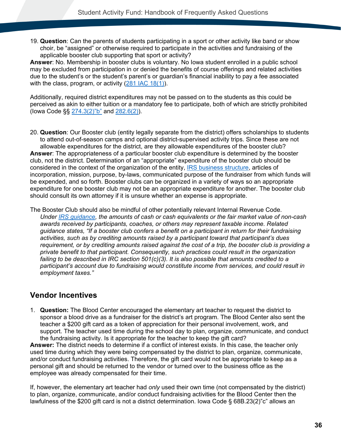19. **Question**: Can the parents of students participating in a sport or other activity like band or show choir, be "assigned" or otherwise required to participate in the activities and fundraising of the applicable booster club supporting that sport or activity?

**Answer**: No. Membership in booster clubs is voluntary. No Iowa student enrolled in a public school may be excluded from participation in or denied the benefits of course offerings and related activities due to the student's or the student's parent's or guardian's financial inability to pay a fee associated with the class, program, or activity [\(281 IAC 18\(1\)\)](#page-82-0).

Additionally, required district expenditures may not be passed on to the students as this could be perceived as akin to either tuition or a mandatory fee to participate, both of which are strictly prohibited (Iowa Code §§ [274.3\(2\)"b"](#page-76-1) and [282.6\(2\)\)](#page-78-1).

20. **Question**: Our Booster club (entity legally separate from the district) offers scholarships to students to attend out-of-season camps and optional district-supervised activity trips. Since these are not allowable expenditures for the district, are they allowable expenditures of the booster club? **Answer**: The appropriateness of a particular booster club expenditure is determined by the booster club, not the district. Determination of an "appropriate" expenditure of the booster club should be considered in the context of the organization of the entity, [IRS business structure,](https://www.irs.gov/businesses/small-businesses-self-employed/business-structures) articles of incorporation, mission, purpose, by-laws, communicated purpose of the fundraiser from which funds will be expended, and so forth. Booster clubs can be organized in a variety of ways so an appropriate expenditure for one booster club may not be an appropriate expenditure for another. The booster club should consult its own attorney if it is unsure whether an expense is appropriate.

The Booster Club should also be mindful of other potentially relevant Internal Revenue Code. *Under [IRS guidance,](https://www.irs.gov/pub/irs-tege/booster_club_field_directive_6-27.pdf) the amounts of cash or cash equivalents or the fair market value of non-cash awards received by participants, coaches, or others may represent taxable income. Related guidance states, "If a booster club confers a benefit on a participant in return for their fundraising activities, such as by crediting amounts raised by a participant toward that participant's dues requirement, or by crediting amounts raised against the cost of a trip, the booster club is providing a private benefit to that participant. Consequently, such practices could result in the organization failing to be described in IRC section 501(c)(3). It is also possible that amounts credited to a participant's account due to fundraising would constitute income from services, and could result in employment taxes."* 

### **Vendor Incentives**

1. **Question:** The Blood Center encouraged the elementary art teacher to request the district to sponsor a blood drive as a fundraiser for the district's art program. The Blood Center also sent the teacher a \$200 gift card as a token of appreciation for their personal involvement, work, and support. The teacher used time during the school day to plan, organize, communicate, and conduct the fundraising activity. Is it appropriate for the teacher to keep the gift card?

**Answer:** The district needs to determine if a conflict of interest exists. In this case, the teacher only used time during which they were being compensated by the district to plan, organize, communicate, and/or conduct fundraising activities. Therefore, the gift card would not be appropriate to keep as a personal gift and should be returned to the vendor or turned over to the business office as the employee was already compensated for their time.

If, however, the elementary art teacher had *only* used their own time (not compensated by the district) to plan, organize, communicate, and/or conduct fundraising activities for the Blood Center then the lawfulness of the \$200 gift card is not a district determination. Iowa Code § 68B.23(2)"c" allows an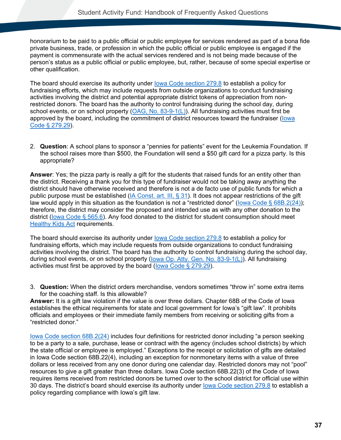honorarium to be paid to a public official or public employee for services rendered as part of a bona fide private business, trade, or profession in which the public official or public employee is engaged if the payment is commensurate with the actual services rendered and is not being made because of the person's status as a public official or public employee, but, rather, because of some special expertise or other qualification.

The board should exercise its authority under lowa Code section 279.8 to establish a policy for fundraising efforts, which may include requests from outside organizations to conduct fundraising activities involving the district and potential appropriate district tokens of appreciation from nonrestricted donors. The board has the authority to control fundraising during the school day, during school events, or on school property [\(OAG, No. 83-9-1\(L\)\)](https://govt.westlaw.com/iaag/Document/If557f015493511e08b05fdf15589d8e8?originationContext=Search+Result&listSource=Search&viewType=FullText&navigationPath=Search%2fv3%2fsearch%2fresults%2fnavigation%2fi0ad62d33000001694a5767cb82396c45%3fstartIndex%3d1%26Nav%3dADMINDECISION_PUBLICVIEW%26contextData%3d(sc.Default)&rank=1&list=ADMINDECISION_PUBLICVIEW&transitionType=SearchItem&contextData=(sc.Search)&t_querytext=Opinion+No.+83-9-1(L)+September++1983&t_Method=WIN). All fundraising activities must first be approved by the board, including the commitment of district resources toward the fundraiser [\(Iowa](#page-77-1)  [Code § 279.29\)](#page-77-1).

2. **Question**: A school plans to sponsor a "pennies for patients" event for the Leukemia Foundation. If the school raises more than \$500, the Foundation will send a \$50 gift card for a pizza party. Is this appropriate?

**Answer**: Yes; the pizza party is really a gift for the students that raised funds for an entity other than the district. Receiving a thank you for this type of fundraiser would not be taking away anything the district should have otherwise received and therefore is not a de facto use of public funds for which a public purpose must be established [\(IA Const. art. III, § 31\)](#page-76-2). It does not appear restrictions of the gift law would apply in this situation as the foundation is not a "restricted donor" (lowa Code § 68B.2(24)); therefore, the district may consider the proposed and intended use as with any other donation to the district [\(Iowa Code § 565.6\)](#page-80-1). Any food donated to the district for student consumption should meet [Healthy Kids Act](https://educateiowa.gov/pk-12/learner-supports/healthy-kids-act) requirements.

The board should exercise its authority under lowa Code section 279.8 to establish a policy for fundraising efforts, which may include requests from outside organizations to conduct fundraising activities involving the district. The board has the authority to control fundraising during the school day, during school events, or on school property (lowa Op. Atty. Gen. No. 83-9-1(L)). All fundraising activities must first be approved by the board (lowa Code  $\S$  279.29).

3. **Question:** When the district orders merchandise, vendors sometimes "throw in" some extra items for the coaching staff. Is this allowable?

**Answer:** It is a gift law violation if the value is over three dollars. Chapter 68B of the Code of Iowa establishes the ethical requirements for state and local government for Iowa's "gift law". It prohibits officials and employees or their immediate family members from receiving or soliciting gifts from a "restricted donor."

[Iowa Code section 68B.2\(24\)](#page-76-1) includes four definitions for restricted donor including "a person seeking to be a party to a sale, purchase, lease or contract with the agency (includes school districts) by which the state official or employee is employed." Exceptions to the receipt or solicitation of gifts are detailed in Iowa Code section 68B.22(4), including an exception for nonmonetary items with a value of three dollars or less received from any one donor during one calendar day. Restricted donors may not "pool" resources to give a gift greater than three dollars. Iowa Code section 68B.22(3) of the Code of Iowa requires items received from restricted donors be turned over to the school district for official use within 30 days. The district's board should exercise its authority under [Iowa Code section 279.8](#page-77-0) to establish a policy regarding compliance with Iowa's gift law.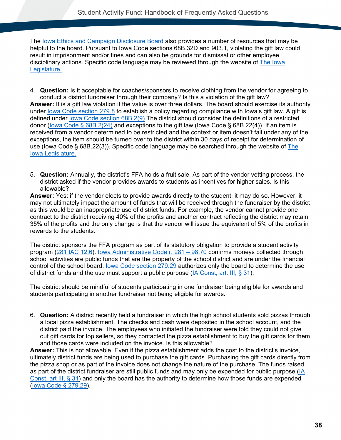The [Iowa Ethics and Campaign Disclosure Board](http://www.iowa.gov/government/iecdb/index.htm) also provides a number of resources that may be helpful to the board. Pursuant to Iowa Code sections 68B.32D and 903.1, violating the gift law could result in imprisonment and/or fines and can also be grounds for dismissal or other employee disciplinary actions. Specific code language may be reviewed through the website of [The Iowa](https://www.legis.iowa.gov/law)  [Legislature.](https://www.legis.iowa.gov/law)

- 4. **Question:** Is it acceptable for coaches/sponsors to receive clothing from the vendor for agreeing to conduct a district fundraiser through their company? Is this a violation of the gift law? **Answer:** It is a gift law violation if the value is over three dollars. The board should exercise its authority under [Iowa Code section 279.8](#page-77-0) to establish a policy regarding compliance with Iowa's gift law. A gift is defined under [Iowa Code section 68B.2\(9\).](#page-76-3)The district should consider the definitions of a restricted donor [\(Iowa Code § 68B.2\(24\)](#page-76-1) and exceptions to the gift law (Iowa Code § 68B.22(4)). If an item is received from a vendor determined to be restricted and the context or item doesn't fall under any of the exceptions, the item should be turned over to the district within 30 days of receipt for determination of use (Iowa Code § 68B.22(3)). Specific code language may be searched through the website of [The](https://www.legis.iowa.gov/law)  [Iowa Legislature.](https://www.legis.iowa.gov/law)
- 5. **Question:** Annually, the district's FFA holds a fruit sale. As part of the vendor vetting process, the district asked if the vendor provides awards to students as incentives for higher sales. Is this allowable?

**Answer:** Yes; if the vendor elects to provide awards directly to the student, it may do so. However, it may not ultimately impact the amount of funds that will be received through the fundraiser by the district as this would be an inappropriate use of district funds. For example, the vendor cannot provide one contract to the district receiving 40% of the profits and another contract reflecting the district may retain 35% of the profits and the only change is that the vendor will issue the equivalent of 5% of the profits in rewards to the students.

The district sponsors the FFA program as part of its statutory obligation to provide a student activity program [\(281 IAC 12.6\)](#page-82-1). [Iowa Administrative Code r. 281 –](#page-86-0) 98.70 confirms moneys collected through school activities are public funds that are the property of the school district and are under the financial control of the school board. lowa Code section 279.29 authorizes only the board to determine the use of district funds and the use must support a public purpose [\(IA Const, art. III, § 31\)](#page-76-2).

The district should be mindful of students participating in one fundraiser being eligible for awards and students participating in another fundraiser not being eligible for awards.

6. **Question:** A district recently held a fundraiser in which the high school students sold pizzas through a local pizza establishment. The checks and cash were deposited in the school account, and the district paid the invoice. The employees who initiated the fundraiser were told they could not give out gift cards for top sellers, so they contacted the pizza establishment to buy the gift cards for them and those cards were included on the invoice. Is this allowable?

**Answer:** This is not allowable. Even if the pizza establishment adds the cost to the district's invoice, ultimately district funds are being used to purchase the gift cards. Purchasing the gift cards directly from the pizza shop or as part of the invoice does not change the nature of the purchase. The funds raised as part of the district fundraiser are still public funds and may only be expended for public purpose  $(|A|)$ [Const. art III, § 31\)](#page-76-2) and only the board has the authority to determine how those funds are expended [\(Iowa Code § 279.29\)](#page-77-1).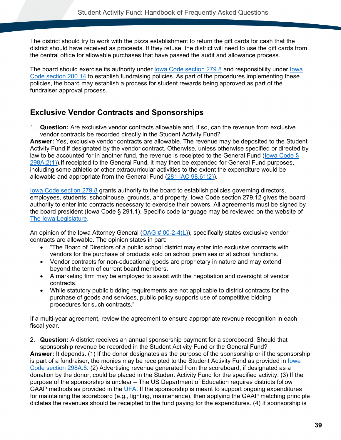The district should try to work with the pizza establishment to return the gift cards for cash that the district should have received as proceeds. If they refuse, the district will need to use the gift cards from the central office for allowable purchases that have passed the audit and allowance process.

The board should exercise its authority under [Iowa Code section 279.8](#page-77-0) and responsibility under [Iowa](#page-78-0)  [Code section 280.14](#page-78-0) to establish fundraising policies. As part of the procedures implementing these policies, the board may establish a process for student rewards being approved as part of the fundraiser approval process.

### **Exclusive Vendor Contracts and Sponsorships**

1. **Question:** Are exclusive vendor contracts allowable and, if so, can the revenue from exclusive vendor contracts be recorded directly in the Student Activity Fund?

**Answer:** Yes, exclusive vendor contracts are allowable. The revenue may be deposited to the Student Activity Fund if designated by the vendor contract. Otherwise, unless otherwise specified or directed by law to be accounted for in another fund, the revenue is receipted to the General Fund [\(Iowa Code §](#page-80-2)  [298A.2\(1\)\)](#page-80-2).If receipted to the General Fund, it may then be expended for General Fund purposes, including some athletic or other extracurricular activities to the extent the expenditure would be allowable and appropriate from the General Fund [\(281 IAC 98.61\(2\)\)](#page-83-1).

[Iowa Code section 279.8](#page-77-1) grants authority to the board to establish policies governing directors, employees, students, schoolhouse, grounds, and property. Iowa Code section 279.12 gives the board authority to enter into contracts necessary to exercise their powers. All agreements must be signed by the board president (Iowa Code § 291.1). Specific code language may be reviewed on the website of [The Iowa Legislature.](https://www.legis.iowa.gov/law)

An opinion of the Iowa Attorney General [\(OAG # 00-2-4\(L\)\)](https://govt.westlaw.com/iaag/Document/I0d6fe010129e11dba76edcd428e38b66?viewType=FullText&listSource=Search&originationContext=Search+Result&transitionType=SearchItem&contextData=(sc.Search)&navigationPath=Search%2fv1%2fresults%2fnavigation%2fi0ad62d330000016f7bb054b5cb6c4d87%3fNav%3dADMINDECISION_PUBLICVIEW%26fragmentIdentifier%3dI0d6fe010129e11dba76edcd428e38b66%26startIndex%3d1%26transitionType%3dSearchItem%26contextData%3d%2528sc.Default%2529%26originationContext%3dSearch%2520Result&list=ADMINDECISION_PUBLICVIEW&rank=2&t_querytext=00-2-4&t_Method=TNC), specifically states exclusive vendor contracts are allowable. The opinion states in part:

- "The Board of Directors of a public school district may enter into exclusive contracts with vendors for the purchase of products sold on school premises or at school functions.
- Vendor contracts for non-educational goods are proprietary in nature and may extend beyond the term of current board members.
- A marketing firm may be employed to assist with the negotiation and oversight of vendor contracts.
- While statutory public bidding requirements are not applicable to district contracts for the purchase of goods and services, public policy supports use of competitive bidding procedures for such contracts."

If a multi-year agreement, review the agreement to ensure appropriate revenue recognition in each fiscal year.

2. **Question:** A district receives an annual sponsorship payment for a scoreboard. Should that sponsorship revenue be recorded in the Student Activity Fund or the General Fund?

**Answer:** It depends. (1) If the donor designates as the purpose of the sponsorship or if the sponsorship is part of a fundraiser, the monies may be receipted to the Student Activity Fund as provided in [Iowa](#page-80-3)  [Code section 298A.8.](#page-80-3) (2) Advertising revenue generated from the scoreboard, if designated as a donation by the donor, could be placed in the Student Activity Fund for the specified activity. (3) If the purpose of the sponsorship is unclear – The US Department of Education requires districts follow GAAP methods as provided in the [UFA.](https://educateiowa.gov/pk-12/school-business-finance/accounting-reporting/uniform-financial-accounting) If the sponsorship is meant to support ongoing expenditures for maintaining the scoreboard (e.g., lighting, maintenance), then applying the GAAP matching principle dictates the revenues should be receipted to the fund paying for the expenditures. (4) If sponsorship is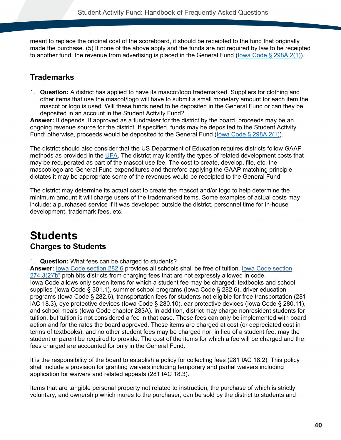meant to replace the original cost of the scoreboard, it should be receipted to the fund that originally made the purchase. (5) If none of the above apply and the funds are not required by law to be receipted to another fund, the revenue from advertising is placed in the General Fund (lowa Code  $\S$  298A.2(1)).

## **Trademarks**

1. **Question:** A district has applied to have its mascot/logo trademarked. Suppliers for clothing and other items that use the mascot/logo will have to submit a small monetary amount for each item the mascot or logo is used. Will these funds need to be deposited in the General Fund or can they be deposited in an account in the Student Activity Fund?

**Answer:** It depends. If approved as a fundraiser for the district by the board, proceeds may be an ongoing revenue source for the district. If specified, funds may be deposited to the Student Activity Fund; otherwise, proceeds would be deposited to the General Fund [\(Iowa Code § 298A.2\(1\)\)](#page-80-2).

The district should also consider that the US Department of Education requires districts follow GAAP methods as provided in the [UFA.](https://educateiowa.gov/pk-12/school-business-finance/accounting-reporting/uniform-financial-accounting) The district may identify the types of related development costs that may be recuperated as part of the mascot use fee. The cost to create, develop, file, etc. the mascot/logo are General Fund expenditures and therefore applying the GAAP matching principle dictates it may be appropriate some of the revenues would be receipted to the General Fund.

The district may determine its actual cost to create the mascot and/or logo to help determine the minimum amount it will charge users of the trademarked items. Some examples of actual costs may include: a purchased service if it was developed outside the district, personnel time for in-house development, trademark fees, etc.

# **Students Charges to Students**

#### 1. **Question:** What fees can be charged to students?

**Answer:** [Iowa Code section 282.6](#page-78-1) provides all schools shall be free of tuition. [Iowa Code section](#page-76-1)  [274.3\(2\)"b"](#page-76-1) prohibits districts from charging fees that are not expressly allowed in code. Iowa Code allows only seven items for which a student fee may be charged: textbooks and school supplies (Iowa Code § 301.1), summer school programs (Iowa Code § 282.6), driver education programs (Iowa Code § 282.6), transportation fees for students not eligible for free transportation (281 IAC 18.3), eye protective devices (Iowa Code § 280.10), ear protective devices (Iowa Code § 280.11), and school meals (Iowa Code chapter 283A). In addition, district may charge nonresident students for tuition, but tuition is not considered a fee in that case. These fees can only be implemented with board action and for the rates the board approved. These items are charged at cost (or depreciated cost in terms of textbooks), and no other student fees may be charged nor, in lieu of a student fee, may the student or parent be required to provide. The cost of the items for which a fee will be charged and the fees charged are accounted for only in the General Fund.

It is the responsibility of the board to establish a policy for collecting fees (281 IAC 18.2). This policy shall include a provision for granting waivers including temporary and partial waivers including application for waivers and related appeals (281 IAC 18.3).

Items that are tangible personal property not related to instruction, the purchase of which is strictly voluntary, and ownership which inures to the purchaser, can be sold by the district to students and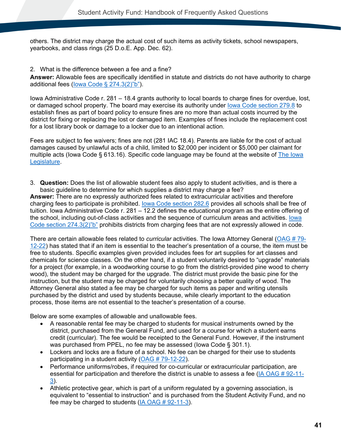others. The district may charge the actual cost of such items as activity tickets, school newspapers, yearbooks, and class rings (25 D.o.E. App. Dec. 62).

2. What is the difference between a fee and a fine?

**Answer:** Allowable fees are specifically identified in statute and districts do not have authority to charge additional fees [\(Iowa Code § 274.3\(2\)"b"\)](#page-76-1).

Iowa Administrative Code r. 281 – 18.4 grants authority to local boards to charge fines for overdue, lost, or damaged school property. The board may exercise its authority under [Iowa Code section 279.8](#page-77-0) to establish fines as part of board policy to ensure fines are no more than actual costs incurred by the district for fixing or replacing the lost or damaged item. Examples of fines include the replacement cost for a lost library book or damage to a locker due to an intentional action.

Fees are subject to fee waivers; fines are not (281 IAC 18.4). Parents are liable for the cost of actual damages caused by unlawful acts of a child, limited to \$2,000 per incident or \$5,000 per claimant for multiple acts (Iowa Code § 613.16). Specific code language may be found at the website of [The Iowa](http://www.legis.iowa.gov/law)  [Legislature.](http://www.legis.iowa.gov/law)

3. **Question:** Does the list of allowable student fees also apply to student activities, and is there a basic guideline to determine for which supplies a district may charge a fee?

**Answer:** There are no expressly authorized fees related to extracurricular activities and therefore charging fees to participate is prohibited. [Iowa Code section 282.6](#page-78-1) provides all schools shall be free of tuition. Iowa Administrative Code r. 281 – 12.2 defines the educational program as the entire offering of the school, including out-of-class activities and the sequence of curriculum areas and activities. [Iowa](#page-76-1)  [Code section 274.3\(2\)"b"](#page-76-1) prohibits districts from charging fees that are not expressly allowed in code.

There are certain allowable fees related to *curricular* activities. The Iowa Attorney General [\(OAG # 79-](https://govt.westlaw.com/iaag/Document/I247bc19108d811db91d9f7db97e2132f?viewType=FullText&listSource=Search&originationContext=Search+Result&transitionType=SearchItem&contextData=(sc.Search)&navigationPath=Search%2fv1%2fresults%2fnavigation%2fi0ad62d330000016f7bb28acacb6c4dd6%3fNav%3dADMINDECISION_PUBLICVIEW%26fragmentIdentifier%3dI247bc19108d811db91d9f7db97e2132f%26startIndex%3d1%26transitionType%3dSearchItem%26contextData%3d%2528sc.Default%2529%26originationContext%3dSearch%2520Result&list=ADMINDECISION_PUBLICVIEW&rank=2&t_querytext=79-12-22&t_Method=TNC) [12-22\)](https://govt.westlaw.com/iaag/Document/I247bc19108d811db91d9f7db97e2132f?viewType=FullText&listSource=Search&originationContext=Search+Result&transitionType=SearchItem&contextData=(sc.Search)&navigationPath=Search%2fv1%2fresults%2fnavigation%2fi0ad62d330000016f7bb28acacb6c4dd6%3fNav%3dADMINDECISION_PUBLICVIEW%26fragmentIdentifier%3dI247bc19108d811db91d9f7db97e2132f%26startIndex%3d1%26transitionType%3dSearchItem%26contextData%3d%2528sc.Default%2529%26originationContext%3dSearch%2520Result&list=ADMINDECISION_PUBLICVIEW&rank=2&t_querytext=79-12-22&t_Method=TNC) has stated that if an item is essential to the teacher's presentation of a course, the item must be free to students. Specific examples given provided includes fees for art supplies for art classes and chemicals for science classes. On the other hand, if a student voluntarily desired to "upgrade" materials for a project (for example, in a woodworking course to go from the district-provided pine wood to cherry wood), the student may be charged for the upgrade. The district must provide the basic pine for the instruction, but the student may be charged for voluntarily choosing a better quality of wood. The Attorney General also stated a fee may be charged for such items as paper and writing utensils purchased by the district and used by students because, while clearly important to the education process, those items are not essential to the teacher's presentation of a course.

Below are some examples of allowable and unallowable fees.

- A reasonable rental fee may be charged to students for musical instruments owned by the district, purchased from the General Fund, and used for a course for which a student earns credit (curricular). The fee would be receipted to the General Fund. However, if the instrument was purchased from PPEL, no fee may be assessed (Iowa Code § 301.1).
- Lockers and locks are a fixture of a school. No fee can be charged for their use to students participating in a student activity [\(OAG # 79-12-22\)](https://govt.westlaw.com/iaag/Document/I247bc19108d811db91d9f7db97e2132f?viewType=FullText&listSource=Search&originationContext=Search+Result&transitionType=SearchItem&contextData=(sc.Search)&navigationPath=Search%2fv1%2fresults%2fnavigation%2fi0ad62d330000016f7bb28acacb6c4dd6%3fNav%3dADMINDECISION_PUBLICVIEW%26fragmentIdentifier%3dI247bc19108d811db91d9f7db97e2132f%26startIndex%3d1%26transitionType%3dSearchItem%26contextData%3d%2528sc.Default%2529%26originationContext%3dSearch%2520Result&list=ADMINDECISION_PUBLICVIEW&rank=2&t_querytext=79-12-22&t_Method=TNC).
- Performance uniforms/robes, if required for co-curricular or extracurricular participation, are essential for participation and therefore the district is unable to assess a fee [\(IA OAG # 92-11-](https://govt.westlaw.com/iaag/Document/Ib9ca270008ce11db91d9f7db97e2132f?viewType=FullText&listSource=Search&originationContext=Search+Result&transitionType=SearchItem&contextData=(sc.Search)&navigationPath=Search%2fv1%2fresults%2fnavigation%2fi0ad62d340000016f7ba164f5e670557c%3fNav%3dADMINDECISION_PUBLICVIEW%26fragmentIdentifier%3dIb9ca270008ce11db91d9f7db97e2132f%26startIndex%3d1%26transitionType%3dSearchItem%26contextData%3d%2528sc.Default%2529%26originationContext%3dSearch%2520Result&list=ADMINDECISION_PUBLICVIEW&rank=1&t_querytext=92-11-3&t_Method=TNC) [3\)](https://govt.westlaw.com/iaag/Document/Ib9ca270008ce11db91d9f7db97e2132f?viewType=FullText&listSource=Search&originationContext=Search+Result&transitionType=SearchItem&contextData=(sc.Search)&navigationPath=Search%2fv1%2fresults%2fnavigation%2fi0ad62d340000016f7ba164f5e670557c%3fNav%3dADMINDECISION_PUBLICVIEW%26fragmentIdentifier%3dIb9ca270008ce11db91d9f7db97e2132f%26startIndex%3d1%26transitionType%3dSearchItem%26contextData%3d%2528sc.Default%2529%26originationContext%3dSearch%2520Result&list=ADMINDECISION_PUBLICVIEW&rank=1&t_querytext=92-11-3&t_Method=TNC).
- Athletic protective gear, which is part of a uniform regulated by a governing association, is equivalent to "essential to instruction" and is purchased from the Student Activity Fund, and no fee may be charged to students  $(IA OAG # 92-11-3)$ .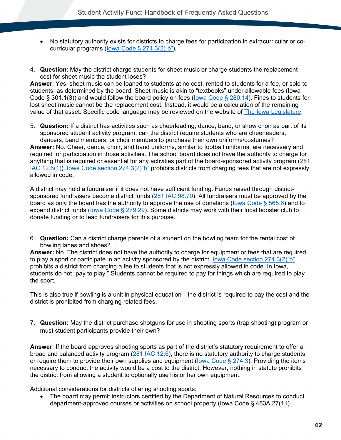- No statutory authority exists for districts to charge fees for participation in extracurricular or cocurricular programs [\(Iowa Code § 274.3\(2\)"b"\)](#page-76-1).
- 4. **Question**: May the district charge students for sheet music or charge students the replacement cost for sheet music the student loses?

**Answer**: Yes; sheet music can be loaned to students at no cost, rented to students for a fee, or sold to students, as determined by the board. Sheet music is akin to "textbooks" under allowable fees (Iowa Code § 301.1(3)) and would follow the board policy on fees [\(Iowa Code § 280.14\)](#page-78-0). Fines to students for lost sheet music cannot be the replacement cost. Instead, it would be a calculation of the remaining value of that asset. Specific code language may be reviewed on the website of [The Iowa Legislature.](https://www.legis.iowa.gov/law)

5. **Question:** If a district has activities such as cheerleading, dance, band, or show choir as part of its sponsored student activity program, can the district require students who are cheerleaders, dancers, band members, or choir members to purchase their own uniforms/costumes?

**Answer:** No. Cheer, dance, choir, and band uniforms, similar to football uniforms, are necessary and required for participation in those activities. The school board does not have the authority to charge for anything that is required or essential for any activities part of the board-sponsored activity program [\(281](#page-82-1)  [IAC 12.6\(1\)\)](#page-82-1). [Iowa Code section 274.3\(2\)"b"](#page-76-1) prohibits districts from charging fees that are not expressly allowed in code.

A district may hold a fundraiser if it does not have sufficient funding. Funds raised through districtsponsored fundraisers become district funds [\(281 IAC 98.70\)](#page-86-0). All fundraisers must be approved by the board as only the board has the authority to approve the use of donations [\(Iowa Code § 565.6\)](#page-80-1) and to expend district funds [\(Iowa Code § 279.29\)](#page-77-1). Some districts may work with their local booster club to donate funding or to lead fundraisers for this purpose.

6. **Question:** Can a district charge parents of a student on the bowling team for the rental cost of bowling lanes and shoes?

**Answer:** No. The district does not have the authority to charge for equipment or fees that are required to play a sport or participate in an activity sponsored by the district. [Iowa Code section 274.3\(2\)"b"](#page-76-1) prohibits a district from charging a fee to students that is not expressly allowed in code. In Iowa, students do not "pay to play." Students cannot be required to pay for things which are required to play the sport.

This is also true if bowling is a unit in physical education—the district is required to pay the cost and the district is prohibited from charging related fees.

7. **Question:** May the district purchase shotguns for use in shooting sports (trap shooting) program or must student participants provide their own?

**Answer**: If the board approves shooting sports as part of the district's statutory requirement to offer a broad and balanced activity program [\(281 IAC 12.6\)](#page-82-1), there is no statutory authority to charge students or require them to provide their own supplies and equipment [\(Iowa Code § 274.3\)](#page-76-1). Providing the items necessary to conduct the activity would be a cost to the district. However, nothing in statute prohibits the district from allowing a student to optionally use his or her own equipment.

Additional considerations for districts offering shooting sports:

• The board may permit instructors certified by the Department of Natural Resources to conduct department-approved courses or activities on school property (Iowa Code § 483A.27(11).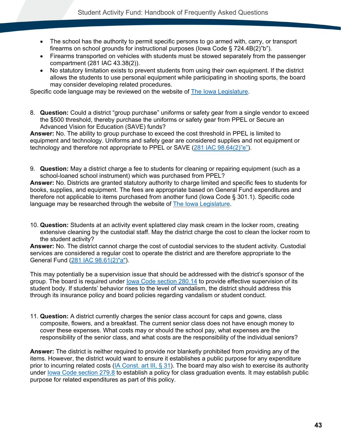- The school has the authority to permit specific persons to go armed with, carry, or transport firearms on school grounds for instructional purposes (Iowa Code § 724.4B(2)"b").
- Firearms transported on vehicles with students must be stowed separately from the passenger compartment (281 IAC 43.38(2)).
- No statutory limitation exists to prevent students from using their own equipment. If the district allows the students to use personal equipment while participating in shooting sports, the board may consider developing related procedures.

Specific code language may be reviewed on the website of [The Iowa Legislature.](http://www.legis.iowa.gov/law)

8. **Question:** Could a district "group purchase" uniforms or safety gear from a single vendor to exceed the \$500 threshold, thereby purchase the uniforms or safety gear from PPEL or Secure an Advanced Vision for Education (SAVE) funds?

**Answer:** No. The ability to group purchase to exceed the cost threshold in PPEL is limited to equipment and technology. Uniforms and safety gear are considered supplies and not equipment or technology and therefore not appropriate to PPEL or SAVE [\(281 IAC 98.64\(2\)"e"\)](#page-84-0).

9. **Question:** May a district charge a fee to students for cleaning or repairing equipment (such as a school-loaned school instrument) which was purchased from PPEL?

**Answer:** No. Districts are granted statutory authority to charge limited and specific fees to students for books, supplies, and equipment. The fees are appropriate based on General Fund expenditures and therefore not applicable to items purchased from another fund (Iowa Code § 301.1). Specific code language may be researched through the website of [The Iowa Legislature.](https://www.legis.iowa.gov/law)

10. **Question:** Students at an activity event splattered clay mask cream in the locker room, creating extensive cleaning by the custodial staff. May the district charge the cost to clean the locker room to the student activity?

**Answer:** No. The district cannot charge the cost of custodial services to the student activity. Custodial services are considered a regular cost to operate the district and are therefore appropriate to the General Fund [\(281 IAC 98.61\(2\)"a"\)](#page-83-1).

This may potentially be a supervision issue that should be addressed with the district's sponsor of the group. The board is required under [Iowa Code section 280.14](#page-78-0) to provide effective supervision of its student body. If students' behavior rises to the level of vandalism, the district should address this through its insurance policy and board policies regarding vandalism or student conduct.

11. **Question:** A district currently charges the senior class account for caps and gowns, class composite, flowers, and a breakfast. The current senior class does not have enough money to cover these expenses. What costs may or should the school pay, what expenses are the responsibility of the senior class, and what costs are the responsibility of the individual seniors?

**Answer:** The district is neither required to provide nor blanketly prohibited from providing any of the items. However, the district would want to ensure it establishes a public purpose for any expenditure prior to incurring related costs [\(IA Const. art III, § 31\)](#page-76-2). The board may also wish to exercise its authority under lowa Code section 279.8 to establish a policy for class graduation events. It may establish public purpose for related expenditures as part of this policy.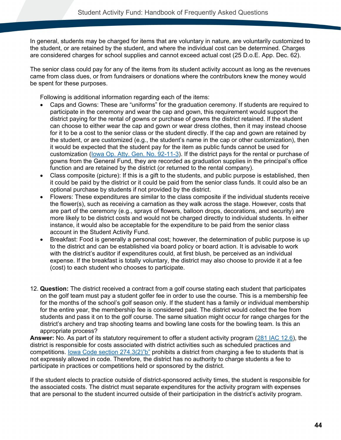In general, students may be charged for items that are voluntary in nature, are voluntarily customized to the student, or are retained by the student, and where the individual cost can be determined. Charges are considered charges for school supplies and cannot exceed actual cost (25 D.o.E. App. Dec. 62).

The senior class could pay for any of the items from its student activity account as long as the revenues came from class dues, or from fundraisers or donations where the contributors knew the money would be spent for these purposes.

Following is additional information regarding each of the items:

- Caps and Gowns: These are "uniforms" for the graduation ceremony. If students are required to participate in the ceremony and wear the cap and gown, this requirement would support the district paying for the rental of gowns or purchase of gowns the district retained. If the student can choose to either wear the cap and gown or wear dress clothes, then it may instead choose for it to be a cost to the senior class or the student directly. If the cap and gown are retained by the student, or are customized (e.g., the student's name in the cap or other customization), then it would be expected that the student pay for the item as public funds cannot be used for customization (Iowa Op. Atty. [Gen. No. 92-11-3\)](https://govt.westlaw.com/iaag/Document/If557f015493511e08b05fdf15589d8e8?originationContext=Search+Result&listSource=Search&viewType=FullText&navigationPath=Search%2fv3%2fsearch%2fresults%2fnavigation%2fi0ad62d33000001694a5767cb82396c45%3fstartIndex%3d1%26Nav%3dADMINDECISION_PUBLICVIEW%26contextData%3d(sc.Default)&rank=1&list=ADMINDECISION_PUBLICVIEW&transitionType=SearchItem&contextData=(sc.Search)&t_querytext=Opinion+No.+83-9-1(L)+September++1983&t_Method=WIN). If the district pays for the rental or purchase of gowns from the General Fund, they are recorded as graduation supplies in the principal's office function and are retained by the district (or returned to the rental company).
- Class composite (picture): If this is a gift to the students, and public purpose is established, then it could be paid by the district or it could be paid from the senior class funds. It could also be an optional purchase by students if not provided by the district.
- Flowers: These expenditures are similar to the class composite if the individual students receive the flower(s), such as receiving a carnation as they walk across the stage. However, costs that are part of the ceremony (e.g., sprays of flowers, balloon drops, decorations, and security) are more likely to be district costs and would not be charged directly to individual students. In either instance, it would also be acceptable for the expenditure to be paid from the senior class account in the Student Activity Fund.
- Breakfast: Food is generally a personal cost; however, the determination of public purpose is up to the district and can be established via board policy or board action. It is advisable to work with the district's auditor if expenditures could, at first blush, be perceived as an individual expense. If the breakfast is totally voluntary, the district may also choose to provide it at a fee (cost) to each student who chooses to participate.
- 12. **Question:** The district received a contract from a golf course stating each student that participates on the golf team must pay a student golfer fee in order to use the course. This is a membership fee for the months of the school's golf season only. If the student has a family or individual membership for the entire year, the membership fee is considered paid. The district would collect the fee from students and pass it on to the golf course. The same situation might occur for range charges for the district's archery and trap shooting teams and bowling lane costs for the bowling team. Is this an appropriate process?

**Answer:** No. As part of its statutory requirement to offer a student activity program [\(281 IAC 12.6\)](#page-82-1), the district is responsible for costs associated with district activities such as scheduled practices and competitions. [Iowa Code section 274.3\(2\)"b"](#page-76-1) prohibits a district from charging a fee to students that is not expressly allowed in code. Therefore, the district has no authority to charge students a fee to participate in practices or competitions held or sponsored by the district.

If the student elects to practice outside of district-sponsored activity times, the student is responsible for the associated costs. The district must separate expenditures for the activity program with expenses that are personal to the student incurred outside of their participation in the district's activity program.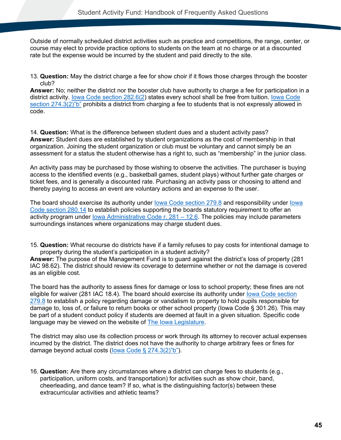Outside of normally scheduled district activities such as practice and competitions, the range, center, or course may elect to provide practice options to students on the team at no charge or at a discounted rate but the expense would be incurred by the student and paid directly to the site.

13. **Question:** May the district charge a fee for show choir if it flows those charges through the booster club?

**Answer:** No; neither the district nor the booster club have authority to charge a fee for participation in a district activity. lowa Code section 282.6(2) states every school shall be free from tuition. lowa Code [section 274.3\(2\)"b"](#page-76-1) prohibits a district from charging a fee to students that is not expressly allowed in code.

14. **Question:** What is the difference between student dues and a student activity pass? **Answer:** Student dues are established by student organizations as the cost of membership in that organization. Joining the student organization or club must be voluntary and cannot simply be an assessment for a status the student otherwise has a right to, such as "membership" in the junior class.

An activity pass may be purchased by those wishing to observe the activities. The purchaser is buying access to the identified events (e.g., basketball games, student plays) without further gate charges or ticket fees, and is generally a discounted rate. Purchasing an activity pass or choosing to attend and thereby paying to access an event are voluntary actions and an expense to the user.

The board should exercise its authority under [Iowa Code section 279.8](#page-77-0) and responsibility under [Iowa](#page-78-0)  [Code section 280.14](#page-78-0) to establish policies supporting the boards statutory requirement to offer an activity program under [Iowa Administrative Code r. 281 –](#page-82-1) 12.6. The policies may include parameters surroundings instances where organizations may charge student dues.

15. **Question:** What recourse do districts have if a family refuses to pay costs for intentional damage to property during the student's participation in a student activity?

**Answer:** The purpose of the Management Fund is to guard against the district's loss of property (281 IAC 98.62). The district should review its coverage to determine whether or not the damage is covered as an eligible cost.

The board has the authority to assess fines for damage or loss to school property; these fines are not eligible for waiver (281 IAC 18.4). The board should exercise its authority under [Iowa Code section](#page-77-0)  [279.8](#page-77-0) to establish a policy regarding damage or vandalism to property to hold pupils responsible for damage to, loss of, or failure to return books or other school property (Iowa Code § 301.26). This may be part of a student conduct policy if students are deemed at fault in a given situation. Specific code language may be viewed on the website of [The Iowa Legislature.](http://www.legis.iowa.gov/law)

The district may also use its collection process or work through its attorney to recover actual expenses incurred by the district. The district does not have the authority to charge arbitrary fees or fines for damage beyond actual costs [\(Iowa Code § 274.3\(2\)"b"\)](#page-76-1).

16. **Question:** Are there any circumstances where a district can charge fees to students (e.g., participation, uniform costs, and transportation) for activities such as show choir, band, cheerleading, and dance team? If so, what is the distinguishing factor(s) between these extracurricular activities and athletic teams?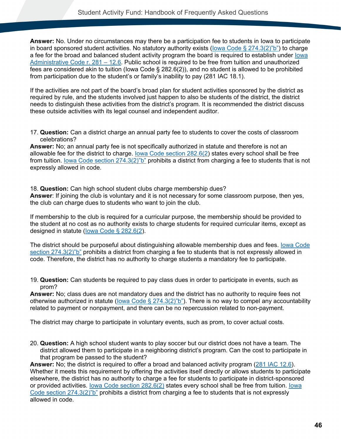**Answer:** No. Under no circumstances may there be a participation fee to students in Iowa to participate in board sponsored student activities. No statutory authority exists (lowa Code § 274.3(2)"b") to charge a fee for the broad and balanced student activity program the board is required to establish under lowa [Administrative Code r. 281 –](#page-82-1) 12.6. Public school is required to be free from tuition and unauthorized fees are considered akin to tuition (Iowa Code § 282.6(2)), and no student is allowed to be prohibited from participation due to the student's or family's inability to pay (281 IAC 18.1).

If the activities are not part of the board's broad plan for student activities sponsored by the district as required by rule, and the students involved just happen to also be students of the district, the district needs to distinguish these activities from the district's program. It is recommended the district discuss these outside activities with its legal counsel and independent auditor.

17. **Question:** Can a district charge an annual party fee to students to cover the costs of classroom celebrations?

**Answer:** No; an annual party fee is not specifically authorized in statute and therefore is not an allowable fee for the district to charge. [Iowa Code section 282.6\(2\)](#page-78-1) states every school shall be free from tuition. [Iowa Code section 274.3\(2\)"b"](#page-76-1) prohibits a district from charging a fee to students that is not expressly allowed in code.

18. **Question:** Can high school student clubs charge membership dues?

**Answer**: If joining the club is voluntary and it is not necessary for some classroom purpose, then yes, the club can charge dues to students who want to join the club.

If membership to the club is required for a curricular purpose, the membership should be provided to the student at no cost as no authority exists to charge students for required curricular items, except as designed in statute [\(Iowa Code § 282.6\(2\)](#page-78-1).

The district should be purposeful about distinguishing allowable membership dues and fees. **Iowa Code** [section 274.3\(2\)"b"](#page-76-1) prohibits a district from charging a fee to students that is not expressly allowed in code. Therefore, the district has no authority to charge students a mandatory fee to participate.

19. **Question:** Can students be required to pay class dues in order to participate in events, such as prom?

**Answer:** No; class dues are not mandatory dues and the district has no authority to require fees not otherwise authorized in statute (lowa Code § 274.3(2)"b"). There is no way to compel any accountability related to payment or nonpayment, and there can be no repercussion related to non-payment.

The district may charge to participate in voluntary events, such as prom, to cover actual costs.

20. **Question:** A high school student wants to play soccer but our district does not have a team. The district allowed them to participate in a neighboring district's program. Can the cost to participate in that program be passed to the student?

**Answer:** No; the district is required to offer a broad and balanced activity program [\(281 IAC 12.6\)](#page-82-1). Whether it meets this requirement by offering the activities itself directly or allows students to participate elsewhere, the district has no authority to charge a fee for students to participate in district-sponsored or provided activities. [Iowa Code section 282.6\(2\)](#page-78-1) states every school shall be free from tuition. [Iowa](#page-76-1)  [Code section 274.3\(2\)"b"](#page-76-1) prohibits a district from charging a fee to students that is not expressly allowed in code.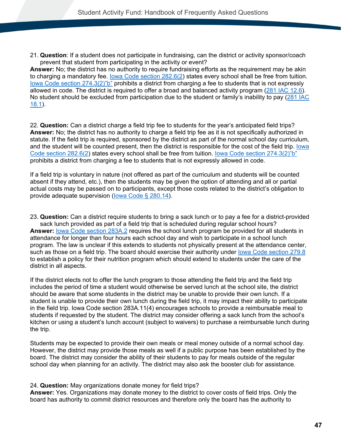21. **Question**: If a student does not participate in fundraising, can the district or activity sponsor/coach prevent that student from participating in the activity or event?

**Answer:** No; the district has no authority to require fundraising efforts as the requirement may be akin to charging a mandatory fee. [Iowa Code section 282.6\(2\)](#page-78-1) states every school shall be free from tuition. [Iowa Code section 274.3\(2\)"b"](#page-76-1) prohibits a district from charging a fee to students that is not expressly allowed in code. The district is required to offer a broad and balanced activity program [\(281 IAC 12.6\)](#page-82-1). No student should be excluded from participation due to the student or family's inability to pay [\(281 IAC](#page-82-0)  [18.1\)](#page-82-0).

22. **Question:** Can a district charge a field trip fee to students for the year's anticipated field trips? **Answer:** No; the district has no authority to charge a field trip fee as it is not specifically authorized in statute. If the field trip is required, sponsored by the district as part of the normal school day curriculum, and the student will be counted present, then the district is responsible for the cost of the field trip. [Iowa](#page-78-1)  [Code section 282.6\(2\)](#page-78-1) states every school shall be free from tuition. [Iowa Code section 274.3\(2\)"b"](#page-76-1) prohibits a district from charging a fee to students that is not expressly allowed in code.

If a field trip is voluntary in nature (not offered as part of the curriculum and students will be counted absent if they attend, etc.), then the students may be given the option of attending and all or partial actual costs may be passed on to participants, except those costs related to the district's obligation to provide adequate supervision (lowa Code § 280.14).

23. **Question:** Can a district require students to bring a sack lunch or to pay a fee for a district-provided sack lunch provided as part of a field trip that is scheduled during regular school hours? **Answer:** [Iowa Code section 283A.2](#page-79-0) requires the school lunch program be provided for all students in attendance for longer than four hours each school day and wish to participate in a school lunch program. The law is unclear if this extends to students not physically present at the attendance center, such as those on a field trip. The board should exercise their authority under [Iowa Code section 279.8](#page-77-0) to establish a policy for their nutrition program which should extend to students under the care of the district in all aspects.

If the district elects not to offer the lunch program to those attending the field trip and the field trip includes the period of time a student would otherwise be served lunch at the school site, the district should be aware that some students in the district may be unable to provide their own lunch. If a student is unable to provide their own lunch during the field trip, it may impact their ability to participate in the field trip. Iowa Code section 283A.11(4) encourages schools to provide a reimbursable meal to students if requested by the student. The district may consider offering a sack lunch from the school's kitchen or using a student's lunch account (subject to waivers) to purchase a reimbursable lunch during the trip.

Students may be expected to provide their own meals or meal money outside of a normal school day. However, the district may provide those meals as well if a public purpose has been established by the board. The district may consider the ability of their students to pay for meals outside of the regular school day when planning for an activity. The district may also ask the booster club for assistance.

#### 24. **Question:** May organizations donate money for field trips?

**Answer:** Yes. Organizations may donate money to the district to cover costs of field trips. Only the board has authority to commit district resources and therefore only the board has the authority to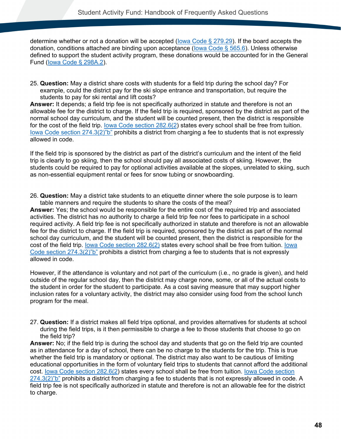determine whether or not a donation will be accepted [\(Iowa Code § 279.29\)](#page-77-1). If the board accepts the donation, conditions attached are binding upon acceptance [\(Iowa Code § 565.6\)](#page-80-1). Unless otherwise defined to support the student activity program, these donations would be accounted for in the General Fund [\(Iowa Code § 298A.2\)](#page-80-2).

25. **Question:** May a district share costs with students for a field trip during the school day? For example, could the district pay for the ski slope entrance and transportation, but require the students to pay for ski rental and lift costs?

**Answer:** It depends; a field trip fee is not specifically authorized in statute and therefore is not an allowable fee for the district to charge. If the field trip is required, sponsored by the district as part of the normal school day curriculum, and the student will be counted present, then the district is responsible for the cost of the field trip. [Iowa Code section 282.6\(2\)](#page-78-1) states every school shall be free from tuition. Iowa Code section  $274.3(2)$ "b" prohibits a district from charging a fee to students that is not expressly allowed in code.

If the field trip is sponsored by the district as part of the district's curriculum and the intent of the field trip is clearly to go skiing, then the school should pay all associated costs of skiing. However, the students could be required to pay for optional activities available at the slopes, unrelated to skiing, such as non-essential equipment rental or fees for snow tubing or snowboarding.

26. **Question:** May a district take students to an etiquette dinner where the sole purpose is to learn table manners and require the students to share the costs of the meal?

**Answer:** Yes; the school would be responsible for the entire cost of the required trip and associated activities. The district has no authority to charge a field trip fee nor fees to participate in a school required activity. A field trip fee is not specifically authorized in statute and therefore is not an allowable fee for the district to charge. If the field trip is required, sponsored by the district as part of the normal school day curriculum, and the student will be counted present, then the district is responsible for the cost of the field trip. [Iowa Code section 282.6\(2\)](#page-78-1) states every school shall be free from tuition. [Iowa](#page-76-1)  [Code section 274.3\(2\)"b"](#page-76-1) prohibits a district from charging a fee to students that is not expressly allowed in code.

However, if the attendance is voluntary and not part of the curriculum (i.e., no grade is given), and held outside of the regular school day, then the district may charge none, some, or all of the actual costs to the student in order for the student to participate. As a cost saving measure that may support higher inclusion rates for a voluntary activity, the district may also consider using food from the school lunch program for the meal.

27. **Question:** If a district makes all field trips optional, and provides alternatives for students at school during the field trips, is it then permissible to charge a fee to those students that choose to go on the field trip?

**Answer:** No; if the field trip is during the school day and students that go on the field trip are counted as in attendance for a day of school, there can be no charge to the students for the trip. This is true whether the field trip is mandatory or optional. The district may also want to be cautious of limiting educational opportunities in the form of voluntary field trips to students that cannot afford the additional cost. [Iowa Code section 282.6\(2\)](#page-78-1) states every school shall be free from tuition. Iowa Code section  $274.3(2)$ "b" prohibits a district from charging a fee to students that is not expressly allowed in code. A field trip fee is not specifically authorized in statute and therefore is not an allowable fee for the district to charge.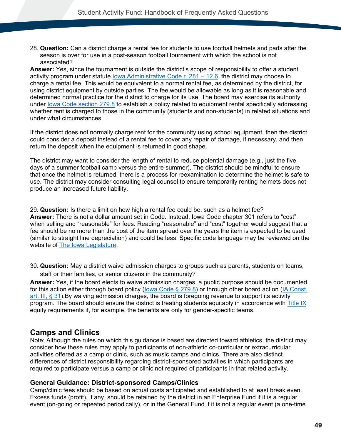28. **Question:** Can a district charge a rental fee for students to use football helmets and pads after the season is over for use in a post-season football tournament with which the school is not associated?

**Answer:** Yes, since the tournament is outside the district's scope of responsibility to offer a student activity program under statute lowa Administrative Code r.  $281 - 12.6$ , the district may choose to charge a rental fee. This would be equivalent to a normal rental fee, as determined by the district, for using district equipment by outside parties. The fee would be allowable as long as it is reasonable and determined normal practice for the district to charge for its use. The board may exercise its authority under [Iowa Code section 279.8](#page-77-0) to establish a policy related to equipment rental specifically addressing whether rent is charged to those in the community (students and non-students) in related situations and under what circumstances.

If the district does not normally charge rent for the community using school equipment, then the district could consider a deposit instead of a rental fee to cover any repair of damage, if necessary, and then return the deposit when the equipment is returned in good shape.

The district may want to consider the length of rental to reduce potential damage (e.g., just the five days of a summer football camp versus the entire summer). The district should be mindful to ensure that once the helmet is returned, there is a process for reexamination to determine the helmet is safe to use. The district may consider consulting legal counsel to ensure temporarily renting helmets does not produce an increased future liability.

29. **Question:** Is there a limit on how high a rental fee could be, such as a helmet fee? **Answer:** There is not a dollar amount set in Code. Instead, Iowa Code chapter 301 refers to "cost" when selling and "reasonable" for fees. Reading "reasonable" and "cost" together would suggest that a fee should be no more than the cost of the item spread over the years the item is expected to be used (similar to straight line depreciation) and could be less. Specific code language may be reviewed on the website of **The Iowa Legislature**.

30. **Question:** May a district waive admission charges to groups such as parents, students on teams, staff or their families, or senior citizens in the community?

**Answer:** Yes, if the board elects to waive admission charges, a public purpose should be documented for this action either through board policy [\(Iowa Code § 279.8\)](#page-77-0) or through other board action [\(IA Const.](#page-76-2)  [art. III, § 31\)](#page-76-2).By waiving admission charges, the board is foregoing revenue to support its activity program. The board should ensure the district is treating students equitably in accordance with [Title IX](https://educateiowa.gov/pk-12/accreditation-and-program-approval/equity-education/title-ix-education-equity) equity requirements if, for example, the benefits are only for gender-specific teams.

### **Camps and Clinics**

Note: Although the rules on which this guidance is based are directed toward athletics, the district may consider how these rules may apply to participants of non-athletic co-curricular or extracurricular activities offered as a camp or clinic, such as music camps and clinics. There are also distinct differences of district responsibility regarding district-sponsored activities in which participants are required to participate versus a camp or clinic not required of participants in that related activity.

#### **General Guidance: District-sponsored Camps/Clinics**

Camp/clinic fees should be based on actual costs anticipated and established to at least break even. Excess funds (profit), if any, should be retained by the district in an Enterprise Fund if it is a regular event (on-going or repeated periodically), or in the General Fund if it is not a regular event (a one-time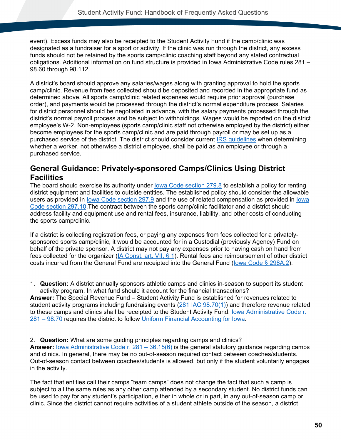event). Excess funds may also be receipted to the Student Activity Fund if the camp/clinic was designated as a fundraiser for a sport or activity. If the clinic was run through the district, any excess funds should not be retained by the sports camp/clinic coaching staff beyond any stated contractual obligations. Additional information on fund structure is provided in Iowa Administrative Code rules 281 – 98.60 through 98.112.

A district's board should approve any salaries/wages along with granting approval to hold the sports camp/clinic. Revenue from fees collected should be deposited and recorded in the appropriate fund as determined above. All sports camp/clinic related expenses would require prior approval (purchase order), and payments would be processed through the district's normal expenditure process. Salaries for district personnel should be negotiated in advance, with the salary payments processed through the district's normal payroll process and be subject to withholdings. Wages would be reported on the district employee's W-2. Non-employees (sports camp/clinic staff not otherwise employed by the district) either become employees for the sports camp/clinic and are paid through payroll or may be set up as a purchased service of the district. The district should consider current [IRS guidelines](https://www.irs.gov/businesses/small-businesses-self-employed/independent-contractor-self-employed-or-employee) when determining whether a worker, not otherwise a district employee, shall be paid as an employee or through a purchased service.

### **General Guidance: Privately-sponsored Camps/Clinics Using District Facilities**

The board should exercise its authority under lowa Code section 279.8 to establish a policy for renting district equipment and facilities to outside entities. The established policy should consider the allowable users as provided in [Iowa Code section 297.9](#page-80-0) and the use of related compensation as provided in [Iowa](#page-80-4)  [Code section 297.10.](#page-80-4)The contract between the sports camp/clinic facilitator and a district should address facility and equipment use and rental fees, insurance, liability, and other costs of conducting the sports camp/clinic.

If a district is collecting registration fees, or paying any expenses from fees collected for a privatelysponsored sports camp/clinic, it would be accounted for in a Custodial (previously Agency) Fund on behalf of the private sponsor. A district may not pay any expenses prior to having cash on hand from fees collected for the organizer [\(IA Const. art. VII, § 1\)](#page-76-0). Rental fees and reimbursement of other district costs incurred from the General Fund are receipted into the General Fund (lowa Code § 298A.2).

<span id="page-53-0"></span>1. **Question:** A district annually sponsors athletic camps and clinics in-season to support its student activity program. In what fund should it account for the financial transactions?

**Answer:** The Special Revenue Fund – Student Activity Fund is established for revenues related to student activity programs including fundraising events [\(281 IAC 98.70\(1\)\)](#page-86-1) and therefore revenue related to these camps and clinics shall be receipted to the Student Activity Fund. [Iowa Administrative Code r.](#page-86-0)  [281 –](#page-86-0) 98.70 requires the district to follow [Uniform Financial Accounting for Iowa.](https://www.iahsaa.org/information/general/)

2. **Question:** What are some guiding principles regarding camps and clinics? **Answer:** [Iowa Administrative Code r. 281 –](#page-82-2) 36.15(6) is the general statutory guidance regarding camps and clinics. In general, there may be no out-of-season required contact between coaches/students. Out-of-season contact between coaches/students is allowed, but only if the student voluntarily engages in the activity.

The fact that entities call their camps "team camps" does not change the fact that such a camp is subject to all the same rules as any other camp attended by a secondary student. No district funds can be used to pay for any student's participation, either in whole or in part, in any out-of-season camp or clinic. Since the district cannot require activities of a student athlete outside of the season, a district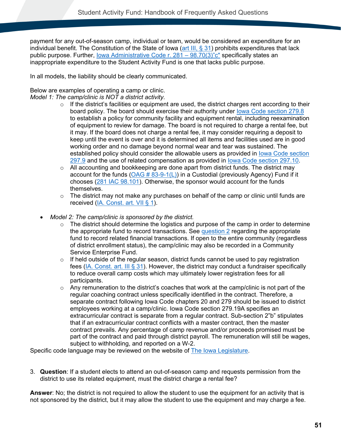payment for any out-of-season camp, individual or team, would be considered an expenditure for an individual benefit. The Constitution of the State of Iowa [\(art III,](#page-76-2) § 31) prohibits expenditures that lack public purpose. Further, lowa Administrative Code r.  $281 - 98.70(3)$ "c" specifically states an inappropriate expenditure to the Student Activity Fund is one that lacks public purpose.

In all models, the liability should be clearly communicated.

#### Below are examples of operating a camp or clinic.

*Model 1: The camp/clinic is NOT a district activity.* 

- $\circ$  If the district's facilities or equipment are used, the district charges rent according to their board policy. The board should exercise their authority under [Iowa Code section 279.8](#page-77-0) to establish a policy for community facility and equipment rental, including reexamination of equipment to review for damage. The board is not required to charge a rental fee, but it may. If the board does not charge a rental fee, it may consider requiring a deposit to keep until the event is over and it is determined all items and facilities used are in good working order and no damage beyond normal wear and tear was sustained. The established policy should consider the allowable users as provided in [Iowa Code section](#page-80-0)  [297.9](#page-80-0) and the use of related compensation as provided in [Iowa Code section 297.10.](#page-80-4)
- o All accounting and bookkeeping are done apart from district funds. The district may account for the funds  $(OAG # 83-9-1(L))$  in a Custodial (previously Agency) Fund if it chooses [\(281 IAC 98.101\)](#page-87-0). Otherwise, the sponsor would account for the funds themselves.
- $\circ$  The district may not make any purchases on behalf of the camp or clinic until funds are received [\(IA. Const. art. VII § 1\)](#page-76-0).
- *Model 2: The camp/clinic is sponsored by the district.* 
	- $\circ$  The district should determine the logistics and purpose of the camp in order to determine the appropriate fund to record transactions. See [question 2](#page-53-0) regarding the appropriate fund to record related financial transactions. If open to the entire community (regardless of district enrollment status), the camp/clinic may also be recorded in a Community Service Enterprise Fund.
	- $\circ$  If held outside of the regular season, district funds cannot be used to pay registration fees [\(IA. Const. art. III § 31\)](#page-76-2). However, the district may conduct a fundraiser specifically to reduce overall camp costs which may ultimately lower registration fees for all participants.
	- $\circ$  Any remuneration to the district's coaches that work at the camp/clinic is not part of the regular coaching contract unless specifically identified in the contract. Therefore, a separate contract following Iowa Code chapters 20 and 279 should be issued to district employees working at a camp/clinic. Iowa Code section 279.19A specifies an extracurricular contract is separate from a regular contract. Sub-section 2"b" stipulates that if an extracurricular contract conflicts with a master contract, then the master contract prevails. Any percentage of camp revenue and/or proceeds promised must be part of the contract and paid through district payroll. The remuneration will still be wages, subject to withholding, and reported on a W-2.

Specific code language may be reviewed on the website of [The Iowa Legislature.](https://www.legis.iowa.gov/law)

3. **Question**: If a student elects to attend an out-of-season camp and requests permission from the district to use its related equipment, must the district charge a rental fee?

**Answer**: No; the district is not required to allow the student to use the equipment for an activity that is not sponsored by the district, but it may allow the student to use the equipment and may charge a fee.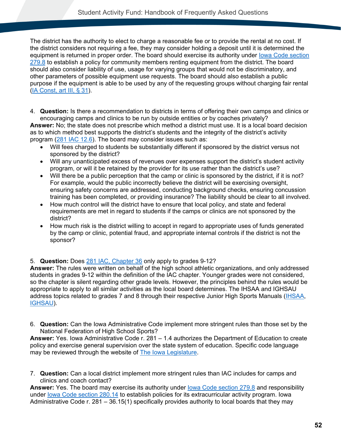The district has the authority to elect to charge a reasonable fee or to provide the rental at no cost. If the district considers not requiring a fee, they may consider holding a deposit until it is determined the equipment is returned in proper order. The board should exercise its authority under lowa Code section [279.8](#page-77-0) to establish a policy for community members renting equipment from the district. The board should also consider liability of use, usage for varying groups that would not be discriminatory, and other parameters of possible equipment use requests. The board should also establish a public purpose if the equipment is able to be used by any of the requesting groups without charging fair rental [\(IA Const, art III, § 31\)](#page-76-2).

4. **Question:** Is there a recommendation to districts in terms of offering their own camps and clinics or encouraging camps and clinics to be run by outside entities or by coaches privately?

**Answer:** No; the state does not prescribe which method a district must use. It is a local board decision as to which method best supports the district's students and the integrity of the district's activity program [\(281 IAC 12.6\)](#page-82-1). The board may consider issues such as:

- Will fees charged to students be substantially different if sponsored by the district versus not sponsored by the district?
- Will any unanticipated excess of revenues over expenses support the district's student activity program, or will it be retained by the provider for its use rather than the district's use?
- Will there be a public perception that the camp or clinic is sponsored by the district, if it is not? For example, would the public incorrectly believe the district will be exercising oversight, ensuring safety concerns are addressed, conducting background checks, ensuring concussion training has been completed, or providing insurance? The liability should be clear to all involved.
- How much control will the district have to ensure that local policy, and state and federal requirements are met in regard to students if the camps or clinics are not sponsored by the district?
- How much risk is the district willing to accept in regard to appropriate uses of funds generated by the camp or clinic, potential fraud, and appropriate internal controls if the district is not the sponsor?

#### 5. **Question:** Does [281 IAC, Chapter 36](https://www.legis.iowa.gov/docs/iac/chapter/03-16-2016.281.36.pdf) only apply to grades 9-12?

**Answer:** The rules were written on behalf of the high school athletic organizations, and only addressed students in grades 9-12 within the definition of the IAC chapter. Younger grades were not considered, so the chapter is silent regarding other grade levels. However, the principles behind the rules would be appropriate to apply to all similar activities as the local board determines. The IHSAA and IGHSAU address topics related to grades 7 and 8 through their respective Junior High Sports Manuals [\(IHSAA,](https://www.iahsaa.org/information/general/) [IGHSAU\)](https://ighsau.org/coaches-administrators/documents-forms/).

6. **Question:** Can the Iowa Administrative Code implement more stringent rules than those set by the National Federation of High School Sports?

**Answer:** Yes. Iowa Administrative Code r. 281 – 1.4 authorizes the Department of Education to create policy and exercise general supervision over the state system of education. Specific code language may be reviewed through the website of [The Iowa Legislature.](https://www.legis.iowa.gov/law)

7. **Question:** Can a local district implement more stringent rules than IAC includes for camps and clinics and coach contact?

Answer: Yes. The board may exercise its authority under **lowa Code section 279.8** and responsibility under [Iowa Code section 280.14](#page-78-0) to establish policies for its extracurricular activity program. Iowa Administrative Code r. 281 – 36.15(1) specifically provides authority to local boards that they may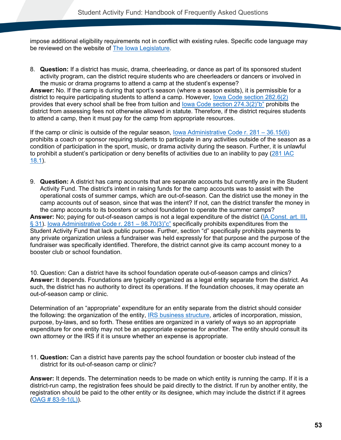impose additional eligibility requirements not in conflict with existing rules. Specific code language may be reviewed on the website of [The Iowa Legislature.](http://www.legis.iowa.gov/law)

8. **Question:** If a district has music, drama, cheerleading, or dance as part of its sponsored student activity program, can the district require students who are cheerleaders or dancers or involved in the music or drama programs to attend a camp at the student's expense?

**Answer:** No. If the camp is during that sport's season (where a season exists), it is permissible for a district to require participating students to attend a camp. However, [Iowa Code section 282.6\(2\)](#page-78-1) provides that every school shall be free from tuition and [Iowa Code section 274.3\(2\)"b"](#page-76-1) prohibits the district from assessing fees not otherwise allowed in statute. Therefore, if the district requires students to attend a camp, then it must pay for the camp from appropriate resources.

If the camp or clinic is outside of the regular season, [Iowa Administrative Code r. 281 –](#page-82-2) 36.15(6) prohibits a coach or sponsor requiring students to participate in any activities outside of the season as a condition of participation in the sport, music, or drama activity during the season. Further, it is unlawful to prohibit a student's participation or deny benefits of activities due to an inability to pay [\(281 IAC](#page-82-0)  [18.1\)](#page-82-0).

9. **Question:** A district has camp accounts that are separate accounts but currently are in the Student Activity Fund. The district's intent in raising funds for the camp accounts was to assist with the operational costs of summer camps, which are out-of-season. Can the district use the money in the camp accounts out of season, since that was the intent? If not, can the district transfer the money in the camp accounts to its boosters or school foundation to operate the summer camps?

**Answer:** No; paying for out-of-season camps is not a legal expenditure of the district [\(IA Const. art. III,](#page-76-2)  [§ 31\)](#page-76-2). [Iowa Administrative Code r. 281 –](#page-86-2) 98.70(3)"c" specifically prohibits expenditures from the Student Activity Fund that lack public purpose. Further, section "d" specifically prohibits payments to any private organization unless a fundraiser was held expressly for that purpose and the purpose of the fundraiser was specifically identified. Therefore, the district cannot give its camp account money to a booster club or school foundation.

10. Question: Can a district have its school foundation operate out-of-season camps and clinics? **Answer:** It depends. Foundations are typically organized as a legal entity separate from the district. As such, the district has no authority to direct its operations. If the foundation chooses, it may operate an out-of-season camp or clinic.

Determination of an "appropriate" expenditure for an entity separate from the district should consider the following: the organization of the entity, [IRS business structure,](https://www.irs.gov/businesses/small-businesses-self-employed/business-structures) articles of incorporation, mission, purpose, by-laws, and so forth. These entities are organized in a variety of ways so an appropriate expenditure for one entity may not be an appropriate expense for another. The entity should consult its own attorney or the IRS if it is unsure whether an expense is appropriate.

11. **Question:** Can a district have parents pay the school foundation or booster club instead of the district for its out-of-season camp or clinic?

**Answer:** It depends. The determination needs to be made on which entity is running the camp. If it is a district-run camp, the registration fees should be paid directly to the district. If run by another entity, the registration should be paid to the other entity or its designee, which may include the district if it agrees  $(OAG # 83-9-1(L)).$  $(OAG # 83-9-1(L)).$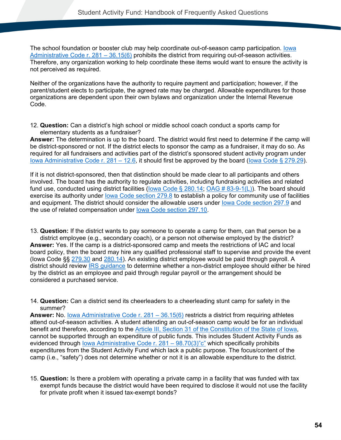The school foundation or booster club may help coordinate out-of-season camp participation. [Iowa](#page-82-2)  [Administrative Code r. 281 –](#page-82-2) 36.15(6) prohibits the district from requiring out-of-season activities. Therefore, any organization working to help coordinate these items would want to ensure the activity is not perceived as required.

Neither of the organizations have the authority to require payment and participation; however, if the parent/student elects to participate, the agreed rate may be charged. Allowable expenditures for those organizations are dependent upon their own bylaws and organization under the Internal Revenue Code.

12. **Question:** Can a district's high school or middle school coach conduct a sports camp for elementary students as a fundraiser?

**Answer:** The determination is up to the board. The district would first need to determine if the camp will be district-sponsored or not. If the district elects to sponsor the camp as a fundraiser, it may do so. As required for all fundraisers and activities part of the district's sponsored student activity program under [Iowa Administrative Code r. 281 –](#page-82-1) 12.6, it should first be approved by the board [\(Iowa Code § 279.29\)](#page-77-1).

If it is not district-sponsored, then that distinction should be made clear to all participants and others involved. The board has the authority to regulate activities, including fundraising activities and related fund use, conducted using district facilities (lowa Code § 280.14; [OAG # 83-9-1\(L\)\)](https://govt.westlaw.com/iaag/Document/If557f015493511e08b05fdf15589d8e8?viewType=FullText&listSource=Search&originationContext=Search+Result&transitionType=SearchItem&contextData=(sc.Search)&navigationPath=Search%2fv1%2fresults%2fnavigation%2fi0ad62d330000016f7bac29eacb6c4d49%3fNav%3dADMINDECISION_PUBLICVIEW%26fragmentIdentifier%3dIf557f015493511e08b05fdf15589d8e8%26startIndex%3d1%26transitionType%3dSearchItem%26contextData%3d%2528sc.Default%2529%26originationContext%3dSearch%2520Result&list=ADMINDECISION_PUBLICVIEW&rank=1&t_querytext=83-9-1&t_Method=TNC#termNavBottom). The board should exercise its authority under lowa Code section 279.8 to establish a policy for community use of facilities and equipment. The district should consider the allowable users under [Iowa Code section 297.9](#page-80-0) and the use of related compensation under [Iowa Code section 297.10.](#page-80-4)

13. **Question:** If the district wants to pay someone to operate a camp for them, can that person be a district employee (e.g., secondary coach), or a person not otherwise employed by the district? **Answer:** Yes. If the camp is a district-sponsored camp and meets the restrictions of IAC and local board policy, then the board may hire any qualified professional staff to supervise and provide the event (Iowa Code §§ [279.30](#page-77-2) and [280.14\)](#page-78-0). An existing district employee would be paid through payroll. A district should review **IRS** guidance to determine whether a non-district employee should either be hired by the district as an employee and paid through regular payroll or the arrangement should be considered a purchased service.

14. **Question:** Can a district send its cheerleaders to a cheerleading stunt camp for safety in the summer?

**Answer:** No. lowa Administrative Code r. 281 – 36.15(6) restricts a district from requiring athletes attend out-of-season activities. A student attending an out-of-season camp would be for an individual benefit and therefore, according to the [Article III, Section 31 of the Constitution of the State of Iowa,](#page-76-2) cannot be supported through an expenditure of public funds. This includes Student Activity Funds as evidenced through Iowa Administrative Code r. 281 - 98.70(3)"c" which specifically prohibits expenditures from the Student Activity Fund which lack a public purpose. The focus/content of the camp (i.e., "safety") does not determine whether or not it is an allowable expenditure to the district.

15. **Question:** Is there a problem with operating a private camp in a facility that was funded with tax exempt funds because the district would have been required to disclose it would not use the facility for private profit when it issued tax-exempt bonds?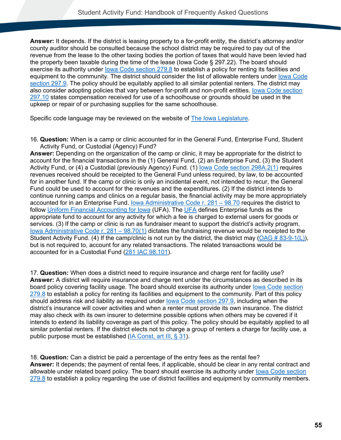**Answer:** It depends. If the district is leasing property to a for-profit entity, the district's attorney and/or county auditor should be consulted because the school district may be required to pay out of the revenue from the lease to the other taxing bodies the portion of taxes that would have been levied had the property been taxable during the time of the lease (Iowa Code § 297.22). The board should exercise its authority under [Iowa Code section 279.8](#page-77-0) to establish a policy for renting its facilities and equipment to the community. The district should consider the list of allowable renters under [Iowa Code](#page-80-0)  [section 297.9.](#page-80-0) The policy should be equitably applied to all similar potential renters. The district may also consider adopting policies that vary between for-profit and non-profit entities. [Iowa Code section](#page-80-4)  [297.10](#page-80-4) states compensation received for use of a schoolhouse or grounds should be used in the upkeep or repair of or purchasing supplies for the same schoolhouse.

Specific code language may be reviewed on the website of [The Iowa Legislature.](https://www.legis.iowa.gov/law)

16. **Question:** When is a camp or clinic accounted for in the General Fund, Enterprise Fund, Student Activity Fund, or Custodial (Agency) Fund?

**Answer:** Depending on the organization of the camp or clinic, it may be appropriate for the district to account for the financial transactions in the (1) General Fund, (2) an Enterprise Fund, (3) the Student Activity Fund, or (4) a Custodial (previously Agency) Fund. (1) lowa Code section 298A.2(1) requires revenues received should be receipted to the General Fund unless required, by law, to be accounted for in another fund. If the camp or clinic is only an incidental event, not intended to recur, the General Fund could be used to account for the revenues and the expenditures. (2) If the district intends to continue running camps and clinics on a regular basis, the financial activity may be more appropriately accounted for in an Enterprise Fund. [Iowa Administrative Code r. 281 –](#page-86-0) 98.70 requires the district to follow [Uniform Financial Accounting for Iowa](https://www.iahsaa.org/information/general/) (UFA). The [UFA](https://educateiowa.gov/pk-12/school-business-finance/accounting-reporting/uniform-financial-accounting) defines Enterprise funds as the appropriate fund to account for any activity for which a fee is charged to external users for goods or services. (3) If the camp or clinic is run as fundraiser meant to support the district's activity program, [Iowa Administrative Code r. 281 –](#page-86-1) 98.70(1) dictates the fundraising revenue would be receipted to the Student Activity Fund. (4) If the camp/clinic is not run by the district, the district may [\(OAG # 83-9-1\(L\)\)](https://govt.westlaw.com/iaag/Document/If557f015493511e08b05fdf15589d8e8?viewType=FullText&listSource=Search&originationContext=Search+Result&transitionType=SearchItem&contextData=(sc.Search)&navigationPath=Search%2fv1%2fresults%2fnavigation%2fi0ad62d330000016f7bac29eacb6c4d49%3fNav%3dADMINDECISION_PUBLICVIEW%26fragmentIdentifier%3dIf557f015493511e08b05fdf15589d8e8%26startIndex%3d1%26transitionType%3dSearchItem%26contextData%3d%2528sc.Default%2529%26originationContext%3dSearch%2520Result&list=ADMINDECISION_PUBLICVIEW&rank=1&t_querytext=83-9-1&t_Method=TNC#termNavBottom), but is not required to, account for any related transactions. The related transactions would be accounted for in a Custodial Fund [\(281 IAC 98.101\)](#page-87-0).

17. **Question:** When does a district need to require insurance and charge rent for facility use? **Answer:** A district will require insurance and charge rent under the circumstances as described in its board policy covering facility usage. The board should exercise its authority under [Iowa Code section](#page-77-0)  [279.8](#page-77-0) to establish a policy for renting its facilities and equipment to the community. Part of this policy should address risk and liability as required under [Iowa Code section 297.9,](#page-80-0) including when the district's insurance will cover activities and when a renter must provide its own insurance. The district may also check with its own insurer to determine possible options when others may be covered if it intends to extend its liability coverage as part of this policy. The policy should be equitably applied to all similar potential renters. If the district elects not to charge a group of renters a charge for facility use, a public purpose must be established [\(IA Const, art III, § 31\)](#page-76-2).

18. **Question:** Can a district be paid a percentage of the entry fees as the rental fee? **Answer:** It depends; the payment of rental fees, if applicable, should be clear in any rental contract and allowable under related board policy. The board should exercise its authority under lowa Code section [279.8](#page-77-0) to establish a policy regarding the use of district facilities and equipment by community members.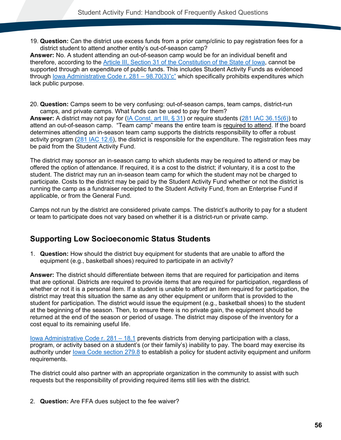19. **Question:** Can the district use excess funds from a prior camp/clinic to pay registration fees for a district student to attend another entity's out-of-season camp?

**Answer:** No. A student attending an out-of-season camp would be for an individual benefit and therefore, according to the [Article III, Section 31 of the Constitution of the State of Iowa,](#page-76-2) cannot be supported through an expenditure of public funds. This includes Student Activity Funds as evidenced through lowa Administrative Code r.  $281 - 98.70(3)$ "c" which specifically prohibits expenditures which lack public purpose.

20. **Question:** Camps seem to be very confusing: out-of-season camps, team camps, district-run camps, and private camps. What funds can be used to pay for them?

**Answer:** A district may not pay for [\(IA Const. art III, § 31\)](#page-76-2) or require students [\(281 IAC 36.15\(6\)\)](#page-82-2) to attend an out-of-season camp. "Team camp" means the entire team is required to attend. If the board determines attending an in-season team camp supports the districts responsibility to offer a robust activity program [\(281 IAC 12.6\)](#page-82-1), the district is responsible for the expenditure. The registration fees may be paid from the Student Activity Fund.

The district may sponsor an in-season camp to which students may be required to attend or may be offered the option of attendance. If required, it is a cost to the district; if voluntary, it is a cost to the student. The district may run an in-season team camp for which the student may not be charged to participate. Costs to the district may be paid by the Student Activity Fund whether or not the district is running the camp as a fundraiser receipted to the Student Activity Fund, from an Enterprise Fund if applicable, or from the General Fund.

Camps not run by the district are considered private camps. The district's authority to pay for a student or team to participate does not vary based on whether it is a district-run or private camp.

### **Supporting Low Socioeconomic Status Students**

1. **Question:** How should the district buy equipment for students that are unable to afford the equipment (e.g., basketball shoes) required to participate in an activity?

**Answer:** The district should differentiate between items that are required for participation and items that are optional. Districts are required to provide items that are required for participation, regardless of whether or not it is a personal item. If a student is unable to afford an item required for participation, the district may treat this situation the same as any other equipment or uniform that is provided to the student for participation. The district would issue the equipment (e.g., basketball shoes) to the student at the beginning of the season. Then, to ensure there is no private gain, the equipment should be returned at the end of the season or period of usage. The district may dispose of the inventory for a cost equal to its remaining useful life.

[Iowa Administrative Code r. 281 –](#page-82-0) 18.1 prevents districts from denying participation with a class, program, or activity based on a student's (or their family's) inability to pay. The board may exercise its authority under [Iowa Code section 279.8](#page-77-0) to establish a policy for student activity equipment and uniform requirements.

The district could also partner with an appropriate organization in the community to assist with such requests but the responsibility of providing required items still lies with the district.

2. **Question:** Are FFA dues subject to the fee waiver?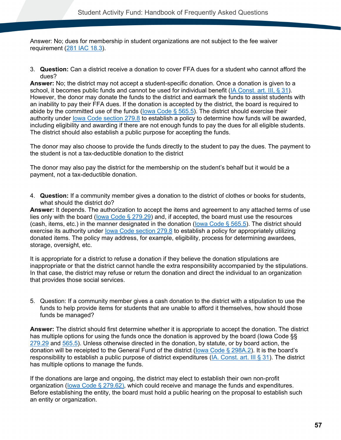Answer: No; dues for membership in student organizations are not subject to the fee waiver requirement [\(281 IAC 18.3\)](#page-82-3).

3. **Question:** Can a district receive a donation to cover FFA dues for a student who cannot afford the dues?

**Answer:** No; the district may not accept a student-specific donation. Once a donation is given to a school, it becomes public funds and cannot be used for individual benefit [\(IA Const. art. III, § 31\)](#page-76-2). However, the donor may donate the funds to the district and earmark the funds to assist students with an inability to pay their FFA dues. If the donation is accepted by the district, the board is required to abide by the committed use of the funds (lowa Code § 565.5). The district should exercise their authority under [Iowa Code section 279.8](#page-77-0) to establish a policy to determine how funds will be awarded, including eligibility and awarding if there are not enough funds to pay the dues for all eligible students. The district should also establish a public purpose for accepting the funds.

The donor may also choose to provide the funds directly to the student to pay the dues. The payment to the student is not a tax-deductible donation to the district

The donor may also pay the district for the membership on the student's behalf but it would be a payment, not a tax-deductible donation.

4. **Question:** If a community member gives a donation to the district of clothes or books for students, what should the district do?

**Answer:** It depends. The authorization to accept the items and agreement to any attached terms of use lies only with the board (lowa Code  $\S$  279.29) and, if accepted, the board must use the resources (cash, items, etc.) in the manner designated in the donation [\(Iowa Code § 565.5\)](#page-80-1). The district should exercise its authority under [Iowa Code section 279.8](#page-77-0) to establish a policy for appropriately utilizing donated items. The policy may address, for example, eligibility, process for determining awardees, storage, oversight, etc.

It is appropriate for a district to refuse a donation if they believe the donation stipulations are inappropriate or that the district cannot handle the extra responsibility accompanied by the stipulations. In that case, the district may refuse or return the donation and direct the individual to an organization that provides those social services.

5. Question: If a community member gives a cash donation to the district with a stipulation to use the funds to help provide items for students that are unable to afford it themselves, how should those funds be managed?

**Answer:** The district should first determine whether it is appropriate to accept the donation. The district has multiple options for using the funds once the donation is approved by the board (lowa Code §§ [279.29](#page-77-1) and [565.5\)](#page-80-1). Unless otherwise directed in the donation, by statute, or by board action, the donation will be receipted to the General Fund of the district [\(Iowa Code § 298A.2\)](#page-80-2). It is the board's responsibility to establish a public purpose of district expenditures [\(IA. Const. art. III § 31\)](#page-76-2). The district has multiple options to manage the funds.

If the donations are large and ongoing, the district may elect to establish their own non-profit organization [\(Iowa Code § 279.62\)](#page-77-3), which could receive and manage the funds and expenditures. Before establishing the entity, the board must hold a public hearing on the proposal to establish such an entity or organization.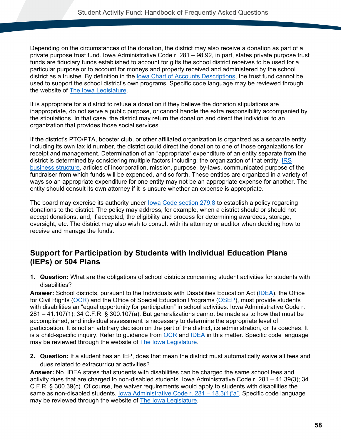Depending on the circumstances of the donation, the district may also receive a donation as part of a private purpose trust fund. Iowa Administrative Code r. 281 – 98.92, in part, states private purpose trust funds are fiduciary funds established to account for gifts the school district receives to be used for a particular purpose or to account for moneys and property received and administered by the school district as a trustee. By definition in the [Iowa Chart of Accounts](https://educateiowa.gov/pk-12/school-business-finance/accounting-reporting/uniform-financial-accounting) Descriptions, the trust fund cannot be used to support the school district's own programs. Specific code language may be reviewed through the website of [The Iowa Legislature.](https://www.legis.iowa.gov/law)

It is appropriate for a district to refuse a donation if they believe the donation stipulations are inappropriate, do not serve a public purpose, or cannot handle the extra responsibility accompanied by the stipulations. In that case, the district may return the donation and direct the individual to an organization that provides those social services.

If the district's PTO/PTA, booster club, or other affiliated organization is organized as a separate entity, including its own tax id number, the district could direct the donation to one of those organizations for receipt and management. Determination of an "appropriate" expenditure of an entity separate from the district is determined by considering multiple factors including: the organization of that entity, [IRS](https://www.irs.gov/businesses/small-businesses-self-employed/business-structures)  [business structure,](https://www.irs.gov/businesses/small-businesses-self-employed/business-structures) articles of incorporation, mission, purpose, by-laws, communicated purpose of the fundraiser from which funds will be expended, and so forth. These entities are organized in a variety of ways so an appropriate expenditure for one entity may not be an appropriate expense for another. The entity should consult its own attorney if it is unsure whether an expense is appropriate.

The board may exercise its authority under [Iowa Code section 279.8](#page-77-0) to establish a policy regarding donations to the district. The policy may address, for example, when a district should or should not accept donations, and, if accepted, the eligibility and process for determining awardees, storage, oversight, etc. The district may also wish to consult with its attorney or auditor when deciding how to receive and manage the funds.

### **Support for Participation by Students with Individual Education Plans (IEPs) or 504 Plans**

**1. Question:** What are the obligations of school districts concerning student activities for students with disabilities?

**Answer:** School districts, pursuant to the Individuals with Disabilities Education Act [\(IDEA\)](https://sites.ed.gov/idea/), the Office for Civil Rights [\(OCR\)](https://www.hhs.gov/ocr/index.html) and the Office of Special Education Programs [\(OSEP\)](https://www2.ed.gov/about/offices/list/osers/osep/index.html), must provide students with disabilities an "equal opportunity for participation" in school activities. Iowa Administrative Code r. 281 – 41.107(1); 34 C.F.R. § 300.107(a). But generalizations cannot be made as to how that must be accomplished, and individual assessment is necessary to determine the appropriate level of participation. It is not an arbitrary decision on the part of the district, its administration, or its coaches. It is a child-specific inquiry. Refer to guidance from  $OCR$  and [IDEA](https://sites.ed.gov/idea/) in this matter. Specific code language may be reviewed through the website of [The Iowa Legislature.](https://www.legis.iowa.gov/law)

**2. Question:** If a student has an IEP, does that mean the district must automatically waive all fees and dues related to extracurricular activities?

**Answer:** No. IDEA states that students with disabilities can be charged the same school fees and activity dues that are charged to non-disabled students. Iowa Administrative Code r. 281 – 41.39(3); 34 C.F.R. § 300.39(c). Of course, fee waiver requirements would apply to students with disabilities the same as non-disabled students. <u>Iowa Administrative Code r. 281 – 18.3(1)</u>"a". Specific code language may be reviewed through the website of [The Iowa Legislature.](https://www.legis.iowa.gov/law)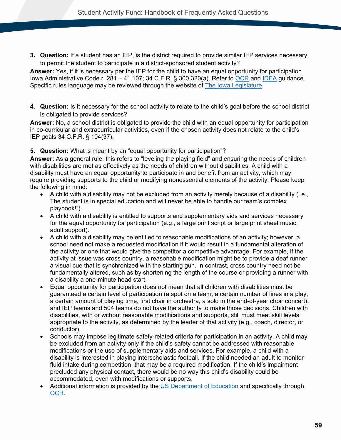**3. Question:** If a student has an IEP, is the district required to provide similar IEP services necessary to permit the student to participate in a district-sponsored student activity?

**Answer:** Yes, if it is necessary per the IEP for the child to have an equal opportunity for participation. Iowa Administrative Code r. 281 – 41.107; 34 C.F.R. § 300.320(a). Refer to [OCR](https://www2.ed.gov/about/offices/list/ocr/letters/colleague-201301-504.pdf) and [IDEA](https://sites.ed.gov/idea/) guidance. Specific rules language may be reviewed through the website of [The Iowa Legislature.](https://www.legis.iowa.gov/law)

**4. Question:** Is it necessary for the school activity to relate to the child's goal before the school district is obligated to provide services?

**Answer:** No, a school district is obligated to provide the child with an equal opportunity for participation in co-curricular and extracurricular activities, even if the chosen activity does not relate to the child's IEP goals 34 C.F.R. § 104(37).

#### **5. Question:** What is meant by an "equal opportunity for participation"?

**Answer:** As a general rule, this refers to "leveling the playing field" and ensuring the needs of children with disabilities are met as effectively as the needs of children without disabilities. A child with a disability must have an equal opportunity to participate in and benefit from an activity, which may require providing supports to the child or modifying nonessential elements of the activity. Please keep the following in mind:

- A child with a disability may not be excluded from an activity merely because of a disability (i.e., The student is in special education and will never be able to handle our team's complex playbook!").
- A child with a disability is entitled to supports and supplementary aids and services necessary for the equal opportunity for participation (e.g., a large print script or large print sheet music, adult support).
- A child with a disability may be entitled to reasonable modifications of an activity; however, a school need not make a requested modification if it would result in a fundamental alteration of the activity or one that would give the competitor a competitive advantage. For example, if the activity at issue was cross country, a reasonable modification might be to provide a deaf runner a visual cue that is synchronized with the starting gun. In contrast, cross country need not be fundamentally altered, such as by shortening the length of the course or providing a runner with a disability a one-minute head start.
- Equal opportunity for participation does not mean that all children with disabilities must be guaranteed a certain level of participation (a spot on a team, a certain number of lines in a play, a certain amount of playing time, first chair in orchestra, a solo in the end-of-year choir concert), and IEP teams and 504 teams do not have the authority to make those decisions. Children with disabilities, with or without reasonable modifications and supports, still must meet skill levels appropriate to the activity, as determined by the leader of that activity (e.g., coach, director, or conductor).
- Schools may impose legitimate safety-related criteria for participation in an activity. A child may be excluded from an activity only if the child's safety cannot be addressed with reasonable modifications or the use of supplementary aids and services. For example, a child with a disability is interested in playing interscholastic football. If the child needed an adult to monitor fluid intake during competition, that may be a required modification. If the child's impairment precluded any physical contact, there would be no way this child's disability could be accommodated, even with modifications or supports.
- Additional information is provided by the [US Department of Education](https://www2.ed.gov/policy/rights/reg/ocr/edlite-34cfr104.html) and specifically through [OCR.](https://www2.ed.gov/about/offices/list/ocr/letters/colleague-201301-504.pdf)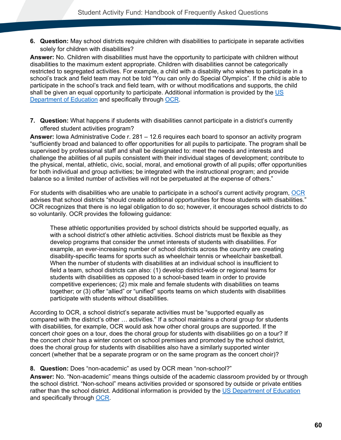**6. Question:** May school districts require children with disabilities to participate in separate activities solely for children with disabilities?

**Answer:** No. Children with disabilities must have the opportunity to participate with children without disabilities to the maximum extent appropriate. Children with disabilities cannot be categorically restricted to segregated activities. For example, a child with a disability who wishes to participate in a school's track and field team may not be told "You can only do Special Olympics". If the child is able to participate in the school's track and field team, with or without modifications and supports, the child shall be given an equal opportunity to participate. Additional information is provided by the US [Department of Education](https://www2.ed.gov/policy/rights/reg/ocr/edlite-34cfr104.html) and specifically through [OCR.](https://www2.ed.gov/about/offices/list/ocr/letters/colleague-201301-504.pdf)

**7. Question:** What happens if students with disabilities cannot participate in a district's currently offered student activities program?

**Answer:** Iowa Administrative Code r. 281 – 12.6 requires each board to sponsor an activity program "sufficiently broad and balanced to offer opportunities for all pupils to participate. The program shall be supervised by professional staff and shall be designated to: meet the needs and interests and challenge the abilities of all pupils consistent with their individual stages of development; contribute to the physical, mental, athletic, civic, social, moral, and emotional growth of all pupils; offer opportunities for both individual and group activities; be integrated with the instructional program; and provide balance so a limited number of activities will not be perpetuated at the expense of others."

For students with disabilities who are unable to participate in a school's current activity program, [OCR](https://www2.ed.gov/about/offices/list/ocr/letters/colleague-201301-504.pdf) advises that school districts "should create additional opportunities for those students with disabilities." OCR recognizes that there is no legal obligation to do so; however, it encourages school districts to do so voluntarily. OCR provides the following guidance:

These athletic opportunities provided by school districts should be supported equally, as with a school district's other athletic activities. School districts must be flexible as they develop programs that consider the unmet interests of students with disabilities. For example, an ever-increasing number of school districts across the country are creating disability-specific teams for sports such as wheelchair tennis or wheelchair basketball. When the number of students with disabilities at an individual school is insufficient to field a team, school districts can also: (1) develop district-wide or regional teams for students with disabilities as opposed to a school-based team in order to provide competitive experiences; (2) mix male and female students with disabilities on teams together; or (3) offer "allied" or "unified" sports teams on which students with disabilities participate with students without disabilities.

According to OCR, a school district's separate activities must be "supported equally as compared with the district's other … activities." If a school maintains a choral group for students with disabilities, for example, OCR would ask how other choral groups are supported. If the concert choir goes on a tour, does the choral group for students with disabilities go on a tour? If the concert choir has a winter concert on school premises and promoted by the school district, does the choral group for students with disabilities also have a similarly supported winter concert (whether that be a separate program or on the same program as the concert choir)?

#### **8. Question:** Does "non-academic" as used by OCR mean "non-school?"

**Answer:** No. "Non-academic" means things outside of the academic classroom provided by or through the school district. "Non-school" means activities provided or sponsored by outside or private entities rather than the school district. Additional information is provided by the [US Department of Education](https://www2.ed.gov/policy/rights/reg/ocr/edlite-34cfr104.html) and specifically through [OCR.](https://www2.ed.gov/about/offices/list/ocr/letters/colleague-201301-504.pdf)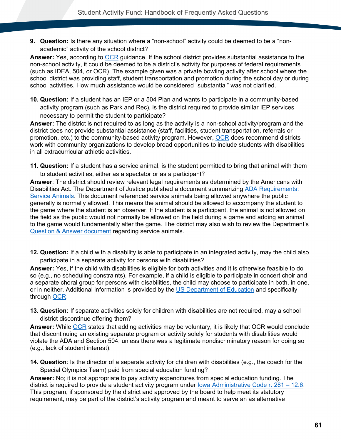**9. Question:** Is there any situation where a "non-school" activity could be deemed to be a "nonacademic" activity of the school district?

**Answer:** Yes, according to [OCR](https://www2.ed.gov/about/offices/list/ocr/letters/colleague-201301-504.pdf) guidance. If the school district provides substantial assistance to the non-school activity, it could be deemed to be a district's activity for purposes of federal requirements (such as IDEA, 504, or OCR). The example given was a private bowling activity after school where the school district was providing staff, student transportation and promotion during the school day or during school activities. How much assistance would be considered "substantial" was not clarified.

**10. Question:** If a student has an IEP or a 504 Plan and wants to participate in a community-based activity program (such as Park and Rec), is the district required to provide similar IEP services necessary to permit the student to participate?

**Answer:** The district is not required to as long as the activity is a non-school activity/program and the district does not provide substantial assistance (staff, facilities, student transportation, referrals or promotion, etc.) to the community-based activity program. However, [OCR](https://www2.ed.gov/about/offices/list/ocr/letters/colleague-201301-504.pdf) does recommend districts work with community organizations to develop broad opportunities to include students with disabilities in all extracurricular athletic activities.

**11. Question:** If a student has a service animal, is the student permitted to bring that animal with them to student activities, either as a spectator or as a participant?

**Answer**: The district should review relevant legal requirements as determined by the Americans with Disabilities Act. The Department of Justice published a document summarizing [ADA Requirements:](https://www.ada.gov/service_animals_2010.htm)  [Service Animals.](https://www.ada.gov/service_animals_2010.htm) This document referenced service animals being allowed anywhere the public generally is normally allowed. This means the animal should be allowed to accompany the student to the game where the student is an observer. If the student is a participant, the animal is not allowed on the field as the public would not normally be allowed on the field during a game and adding an animal to the game would fundamentally alter the game. The district may also wish to review the Department's [Question & Answer document](https://educateiowa.gov/sites/files/ed/documents/2022-03-17_RevisedServiceAnimalRegulations.pdf) regarding service animals.

**12. Question:** If a child with a disability is able to participate in an integrated activity, may the child also participate in a separate activity for persons with disabilities?

**Answer:** Yes, if the child with disabilities is eligible for both activities and it is otherwise feasible to do so (e.g., no scheduling constraints). For example, if a child is eligible to participate in concert choir and a separate choral group for persons with disabilities, the child may choose to participate in both, in one, or in neither. Additional information is provided by the [US Department of Education](https://www2.ed.gov/policy/rights/reg/ocr/edlite-34cfr104.html) and specifically through [OCR.](https://www2.ed.gov/about/offices/list/ocr/letters/colleague-201301-504.pdf)

**13. Question:** If separate activities solely for children with disabilities are not required, may a school district discontinue offering them?

**Answer:** While [OCR](https://www2.ed.gov/about/offices/list/ocr/letters/colleague-201301-504.pdf) states that adding activities may be voluntary, it is likely that OCR would conclude that discontinuing an existing separate program or activity solely for students with disabilities would violate the ADA and Section 504, unless there was a legitimate nondiscriminatory reason for doing so (e.g., lack of student interest).

**14. Question**: Is the director of a separate activity for children with disabilities (e.g., the coach for the Special Olympics Team) paid from special education funding?

**Answer:** No; it is not appropriate to pay activity expenditures from special education funding. The district is required to provide a student activity program under lowa Administrative Code r. 281 – 12.6. This program, if sponsored by the district and approved by the board to help meet its statutory requirement, may be part of the district's activity program and meant to serve an as alternative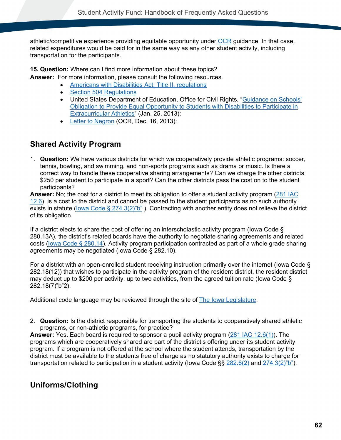athletic/competitive experience providing equitable opportunity under [OCR](https://www2.ed.gov/about/offices/list/ocr/letters/colleague-201301-504.pdf) guidance. In that case, related expenditures would be paid for in the same way as any other student activity, including transportation for the participants.

**15. Question:** Where can I find more information about these topics?

**Answer:** For more information, please consult the following resources.

- [Americans with Disabilities Act, Title II, regulations](https://www2.ed.gov/policy/rights/reg/ocr/edlite-28cfr35.html)
- [Section 504 Regulations](http://www2.ed.gov/policy/rights/reg/ocr/edlite-34cfr104.html)
- United States Department of Education, Office for Civil Rights, "Guidance on Schools' [Obligation to Provide Equal Opportunity to Students with Disabilities to Participate in](http://www2.ed.gov/about/offices/list/ocr/letters/colleague-201301-504.pdf)  [Extracurricular Athletics"](http://www2.ed.gov/about/offices/list/ocr/letters/colleague-201301-504.pdf) (Jan. 25, 2013):
- [Letter to Negron](https://cdn-files.nsba.org/s3fs-public/reports/OCR%20Dec.%2016%20%20Letter%20-%20RE%20-%20NSBA%20May%202013%20Letter.pdf?GVDX_mj8e.78EviYF0_oriv5OU8nNIr8) (OCR, Dec. 16, 2013):

### **Shared Activity Program**

1. **Question:** We have various districts for which we cooperatively provide athletic programs: soccer, tennis, bowling, and swimming, and non-sports programs such as drama or music. Is there a correct way to handle these cooperative sharing arrangements? Can we charge the other districts \$250 per student to participate in a sport? Can the other districts pass the cost on to the student participants?

**Answer:** No; the cost for a district to meet its obligation to offer a student activity program [\(281 IAC](#page-82-1)   $12.6$ ). is a cost to the district and cannot be passed to the student participants as no such authority exists in statute [\(Iowa Code § 274.3\(2\)"b"](#page-76-1) ). Contracting with another entity does not relieve the district of its obligation.

If a district elects to share the cost of offering an interscholastic activity program (Iowa Code § 280.13A), the district's related boards have the authority to negotiate sharing agreements and related costs [\(Iowa Code § 280.14\)](#page-78-0). Activity program participation contracted as part of a whole grade sharing agreements may be negotiated (Iowa Code § 282.10).

For a district with an open-enrolled student receiving instruction primarily over the internet (Iowa Code § 282.18(12)) that wishes to participate in the activity program of the resident district, the resident district may deduct up to \$200 per activity, up to two activities, from the agreed tuition rate (Iowa Code § 282.18(7)"b"2).

Additional code language may be reviewed through the site of [The Iowa Legislature.](https://www.legis.iowa.gov/)

2. **Question:** Is the district responsible for transporting the students to cooperatively shared athletic programs, or non-athletic programs, for practice?

**Answer:** Yes. Each board is required to sponsor a pupil activity program [\(281 IAC 12.6\(1\)\)](#page-82-1). The programs which are cooperatively shared are part of the district's offering under its student activity program. If a program is not offered at the school where the student attends, transportation by the district must be available to the students free of charge as no statutory authority exists to charge for transportation related to participation in a student activity (lowa Code §§ [282.6\(2\)](#page-78-1) and [274.3\(2\)"b"\)](#page-76-1).

### **Uniforms/Clothing**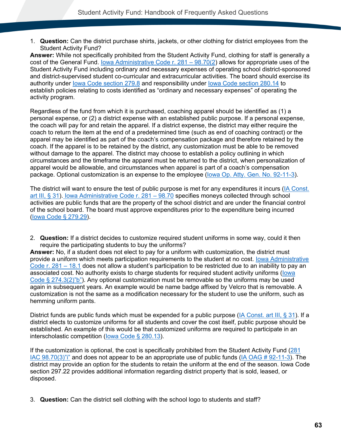1. **Question:** Can the district purchase shirts, jackets, or other clothing for district employees from the Student Activity Fund?

**Answer:** While not specifically prohibited from the Student Activity Fund, clothing for staff is generally a cost of the General Fund. [Iowa Administrative Code r. 281 –](#page-86-3) 98.70(2) allows for appropriate uses of the Student Activity Fund including ordinary and necessary expenses of operating school district-sponsored and district-supervised student co-curricular and extracurricular activities. The board should exercise its authority under [Iowa Code section 279.8](#page-77-0) and responsibility under [Iowa Code section 280.14](#page-78-0) to establish policies relating to costs identified as "ordinary and necessary expenses" of operating the activity program.

Regardless of the fund from which it is purchased, coaching apparel should be identified as (1) a personal expense, or (2) a district expense with an established public purpose. If a personal expense, the coach will pay for and retain the apparel. If a district expense, the district may either require the coach to return the item at the end of a predetermined time (such as end of coaching contract) or the apparel may be identified as part of the coach's compensation package and therefore retained by the coach. If the apparel is to be retained by the district, any customization must be able to be removed without damage to the apparel. The district may choose to establish a policy outlining in which circumstances and the timeframe the apparel must be returned to the district, when personalization of apparel would be allowable, and circumstances when apparel is part of a coach's compensation package. Optional customization is an expense to the employee [\(Iowa Op. Atty. Gen. No. 92-11-3\)](https://govt.westlaw.com/iaag/Document/If557f015493511e08b05fdf15589d8e8?originationContext=Search+Result&listSource=Search&viewType=FullText&navigationPath=Search%2fv3%2fsearch%2fresults%2fnavigation%2fi0ad62d33000001694a5767cb82396c45%3fstartIndex%3d1%26Nav%3dADMINDECISION_PUBLICVIEW%26contextData%3d(sc.Default)&rank=1&list=ADMINDECISION_PUBLICVIEW&transitionType=SearchItem&contextData=(sc.Search)&t_querytext=Opinion+No.+83-9-1(L)+September++1983&t_Method=WIN).

The district will want to ensure the test of public purpose is met for any expenditures it incurs [\(IA Const.](#page-76-2)  [art III, § 31\)](#page-76-2). [Iowa Administrative Code r. 281 –](#page-86-0) 98.70 specifies moneys collected through school activities are public funds that are the property of the school district and are under the financial control of the school board. The board must approve expenditures prior to the expenditure being incurred [\(Iowa Code § 279.29\)](#page-77-1).

2. **Question:** If a district decides to customize required student uniforms in some way, could it then require the participating students to buy the uniforms?

**Answer:** No, if a student does not elect to pay for a uniform with customization, the district must provide a uniform which meets participation requirements to the student at no cost. [Iowa Administrative](#page-82-0)  [Code r. 281 –](#page-82-0) 18.1 does not allow a student's participation to be restricted due to an inability to pay an associated cost. No authority exists to charge students for required student activity uniforms [\(Iowa](#page-76-1)  Code  $\S 274.3(2)$ "b"). Any optional customization must be removable so the uniforms may be used again in subsequent years. An example would be name badge affixed by Velcro that is removable. A customization is not the same as a modification necessary for the student to use the uniform, such as hemming uniform pants.

District funds are public funds which must be expended for a public purpose [\(IA Const. art III, § 31\)](#page-76-2). If a district elects to customize uniforms for all students and cover the cost itself, public purpose should be established. An example of this would be that customized uniforms are required to participate in an interscholastic competition [\(Iowa Code § 280.13\)](#page-78-2).

If the customization is optional, the cost is specifically prohibited from the Student Activity Fund [\(281](#page-86-2)  [IAC 98.70\(3\)"i"](#page-86-2) and does not appear to be an appropriate use of public funds [\(IA OAG # 92-11-3\)](https://govt.westlaw.com/iaag/Document/Ib9ca270008ce11db91d9f7db97e2132f?viewType=FullText&listSource=Search&originationContext=Search+Result&transitionType=SearchItem&contextData=(sc.Search)&navigationPath=Search%2fv1%2fresults%2fnavigation%2fi0ad62d340000016f7ba164f5e670557c%3fNav%3dADMINDECISION_PUBLICVIEW%26fragmentIdentifier%3dIb9ca270008ce11db91d9f7db97e2132f%26startIndex%3d1%26transitionType%3dSearchItem%26contextData%3d%2528sc.Default%2529%26originationContext%3dSearch%2520Result&list=ADMINDECISION_PUBLICVIEW&rank=1&t_querytext=92-11-3&t_Method=TNC). The district may provide an option for the students to retain the uniform at the end of the season. Iowa Code section 297.22 provides additional information regarding district property that is sold, leased, or disposed.

3. **Question:** Can the district sell clothing with the school logo to students and staff?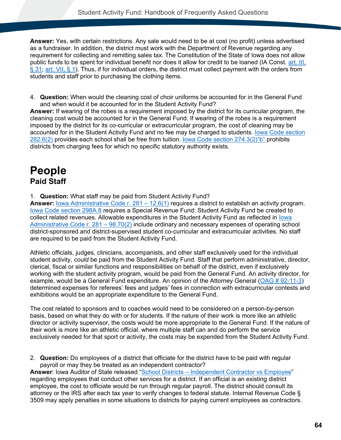**Answer:** Yes, with certain restrictions. Any sale would need to be at cost (no profit) unless advertised as a fundraiser. In addition, the district must work with the Department of Revenue regarding any requirement for collecting and remitting sales tax. The Constitution of the State of Iowa does not allow public funds to be spent for individual benefit nor does it allow for credit to be loaned (IA Const. [art. III,](#page-76-2)  [§ 31;](#page-76-2) [art. VII, § 1\)](#page-76-0). Thus, if for individual orders, the district must collect payment with the orders from students and staff prior to purchasing the clothing items.

4. **Question:** When would the cleaning cost of choir uniforms be accounted for in the General Fund and when would it be accounted for in the Student Activity Fund?

**Answer:** If wearing of the robes is a requirement imposed by the district for its curricular program, the cleaning cost would be accounted for in the General Fund. If wearing of the robes is a requirement imposed by the district for its co-curricular or extracurricular program, the cost of cleaning may be accounted for in the Student Activity Fund and no fee may be charged to students. [Iowa Code section](#page-78-1)  [282.6\(2\)](#page-78-1) provides each school shall be free from tuition. [Iowa Code section 274.3\(2\)"b"](#page-76-1) prohibits districts from charging fees for which no specific statutory authority exists.

# **People Paid Staff**

1. **Question:** What staff may be paid from Student Activity Fund?

**Answer:** [Iowa Administrative Code r. 281 –](#page-82-1) 12.6(1) requires a district to establish an activity program. [Iowa Code section 298A.8](#page-80-3) requires a Special Revenue Fund: Student Activity Fund be created to collect related revenues. Allowable expenditures in the Student Activity Fund as reflected in [Iowa](#page-86-3)  [Administrative Code r. 281 –](#page-86-3) 98.70(2) include ordinary and necessary expenses of operating school district-sponsored and district-supervised student co-curricular and extracurricular activities. No staff are required to be paid from the Student Activity Fund.

Athletic officials, judges, clinicians, accompanists, and other staff exclusively used for the individual student activity, *could* be paid from the Student Activity Fund. Staff that perform administrative, director, clerical, fiscal or similar functions and responsibilities on behalf of the district, even if exclusively working with the student activity program, would be paid from the General Fund. An activity director, for example, would be a General Fund expenditure. An opinion of the Attorney General [\(OAG # 92-11-3\)](https://govt.westlaw.com/iaag/Document/Ib9ca270008ce11db91d9f7db97e2132f?viewType=FullText&listSource=Search&originationContext=Search+Result&transitionType=SearchItem&contextData=(sc.Search)&navigationPath=Search%2fv1%2fresults%2fnavigation%2fi0ad62d330000016f7bb59ce5cb6c4dfe%3fNav%3dADMINDECISION_PUBLICVIEW%26fragmentIdentifier%3dIb9ca270008ce11db91d9f7db97e2132f%26startIndex%3d1%26transitionType%3dSearchItem%26contextData%3d%2528sc.Default%2529%26originationContext%3dSearch%2520Result&list=ADMINDECISION_PUBLICVIEW&rank=1&t_querytext=92-11-3&t_Method=TNC) determined expenses for referees' fees and judges' fees in connection with extracurricular contests and exhibitions would be an appropriate expenditure to the General Fund.

The cost related to sponsors and to coaches would need to be considered on a person-by-person basis, based on what they do with or for students. If the nature of their work is more like an athletic director or activity supervisor, the costs would be more appropriate to the General Fund. If the nature of their work is more like an athletic official, where multiple staff can and do perform the service exclusively needed for that sport or activity, the costs may be expended from the Student Activity Fund.

2. **Question:** Do employees of a district that officiate for the district have to be paid with regular payroll or may they be treated as an independent contractor?

Answer: Iowa Auditor of State released "School Districts - [Independent Contractor vs Employee"](https://www.auditor.iowa.gov/media/cms/tecindependentcontractorvsemployee_7F899CE7D41A9.pdf) regarding employees that conduct other services for a district. If an official is an existing district employee, the cost to officiate would be run through regular payroll. The district should consult its attorney or the IRS after each tax year to verify changes to federal statute. Internal Revenue Code § 3509 may apply penalties in some situations to districts for paying current employees as contractors.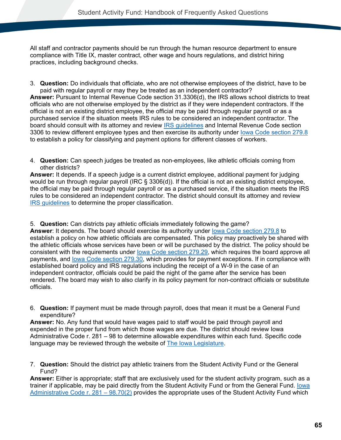All staff and contractor payments should be run through the human resource department to ensure compliance with Title IX, master contract, other wage and hours regulations, and district hiring practices, including background checks.

- 3. **Question:** Do individuals that officiate, who are not otherwise employees of the district, have to be paid with regular payroll or may they be treated as an independent contractor? **Answer:** Pursuant to Internal Revenue Code section 31.3306(d), the IRS allows school districts to treat officials who are not otherwise employed by the district as if they were independent contractors. If the official is not an existing district employee, the official may be paid through regular payroll or as a purchased service if the situation meets IRS rules to be considered an independent contractor. The board should consult with its attorney and review **IRS guidelines** and Internal Revenue Code section 3306 to review different employee types and then exercise its authority under [Iowa Code section 279.8](#page-77-0) to establish a policy for classifying and payment options for different classes of workers.
- 4. **Question:** Can speech judges be treated as non-employees, like athletic officials coming from other districts?

**Answer:** It depends. If a speech judge is a current district employee, additional payment for judging would be run through regular payroll (IRC § 3306(d)). If the official is not an existing district employee, the official may be paid through regular payroll or as a purchased service, if the situation meets the IRS rules to be considered an independent contractor. The district should consult its attorney and review [IRS guidelines](https://www.irs.gov/businesses/small-businesses-self-employed/independent-contractor-self-employed-or-employee) to determine the proper classification.

5. **Question:** Can districts pay athletic officials immediately following the game?

**Answer**: It depends. The board should exercise its authority under [Iowa Code section 279.8](#page-77-0) to establish a policy on how athletic officials are compensated. This policy may proactively be shared with the athletic officials whose services have been or will be purchased by the district. The policy should be consistent with the requirements under [Iowa Code section 279.29,](#page-77-1) which requires the board approve all payments, and lowa Code section 279.30, which provides for payment exceptions. If in compliance with established board policy and IRS regulations including the receipt of a W-9 in the case of an independent contractor, officials could be paid the night of the game after the service has been rendered. The board may wish to also clarify in its policy payment for non-contract officials or substitute officials.

6. **Question:** If payment must be made through payroll, does that mean it must be a General Fund expenditure?

**Answer:** No. Any fund that would have wages paid to staff would be paid through payroll and expended in the proper fund from which those wages are due. The district should review Iowa Administrative Code r. 281 – 98 to determine allowable expenditures within each fund. Specific code language may be reviewed through the website of [The Iowa Legislature.](https://www.legis.iowa.gov/law)

7. **Question:** Should the district pay athletic trainers from the Student Activity Fund or the General Fund?

**Answer:** Either is appropriate; staff that are exclusively used for the student activity program, such as a trainer if applicable, may be paid directly from the Student Activity Fund or from the General Fund. [Iowa](#page-86-3)  [Administrative Code r. 281 –](#page-86-3) 98.70(2) provides the appropriate uses of the Student Activity Fund which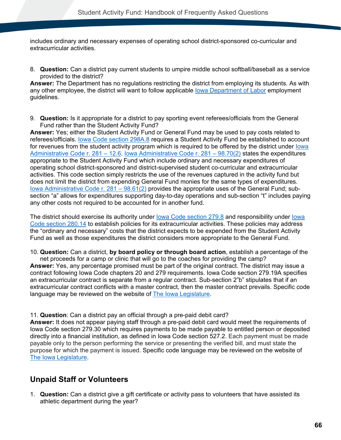includes ordinary and necessary expenses of operating school district-sponsored co-curricular and extracurricular activities.

8. **Question:** Can a district pay current students to umpire middle school softball/baseball as a service provided to the district?

**Answer:** The Department has no regulations restricting the district from employing its students. As with any other employee, the district will want to follow applicable [Iowa Department of Labor](https://www.iowadivisionoflabor.gov/child-labor) employment guidelines.

9. **Question:** Is it appropriate for a district to pay sporting event referees/officials from the General Fund rather than the Student Activity Fund?

**Answer:** Yes; either the Student Activity Fund or General Fund may be used to pay costs related to referees/officials. [Iowa Code section 298A.8](#page-80-3) requires a Student Activity Fund be established to account for revenues from the student activity program which is required to be offered by the district under lowa [Administrative Code r. 281 –](#page-82-1) 12.6. [Iowa Administrative Code r. 281 –](#page-86-3) 98.70(2) states the expenditures appropriate to the Student Activity Fund which include ordinary and necessary expenditures of operating school district-sponsored and district-supervised student co-curricular and extracurricular activities. This code section simply restricts the use of the revenues captured in the activity fund but does not limit the district from expending General Fund monies for the same types of expenditures. [Iowa Administrative Code r. 281 –](#page-83-1) 98.61(2) provides the appropriate uses of the General Fund; subsection "a" allows for expenditures supporting day-to-day operations and sub-section "t" includes paying any other costs not required to be accounted for in another fund.

The district should exercise its authority under [Iowa Code section 279.8](#page-77-0) and responsibility under [Iowa](#page-78-0)  [Code section 280.14](#page-78-0) to establish policies for its extracurricular activities. These policies may address the "ordinary and necessary" costs that the district expects to be expended from the Student Activity Fund as well as those expenditures the district considers more appropriate to the General Fund.

10. **Question:** Can a district, **by board policy or through board action**, establish a percentage of the

net proceeds for a camp or clinic that will go to the coaches for providing the camp? **Answer:** Yes, any percentage promised must be part of the original contract. The district may issue a contract following Iowa Code chapters 20 and 279 requirements. Iowa Code section 279.19A specifies an extracurricular contract is separate from a regular contract. Sub-section 2"b" stipulates that if an extracurricular contract conflicts with a master contract, then the master contract prevails. Specific code language may be reviewed on the website of [The Iowa Legislature.](https://www.legis.iowa.gov/law)

11. **Question**: Can a district pay an official through a pre-paid debit card?

**Answer:** It does not appear paying staff through a pre-paid debit card would meet the requirements of Iowa Code section 279.30 which requires payments to be made payable to entitled person or deposited directly into a financial institution, as defined in Iowa Code section 527.2. Each payment must be made payable only to the person performing the service or presenting the verified bill, and must state the purpose for which the payment is issued. Specific code language may be reviewed on the website of [The Iowa Legislature.](https://www.legis.iowa.gov/law)

### **Unpaid Staff or Volunteers**

1. **Question:** Can a district give a gift certificate or activity pass to volunteers that have assisted its athletic department during the year?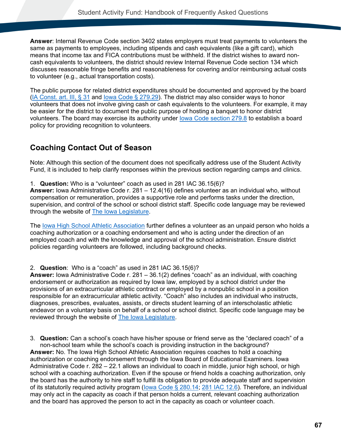**Answer**: Internal Revenue Code section 3402 states employers must treat payments to volunteers the same as payments to employees, including stipends and cash equivalents (like a gift card), which means that income tax and FICA contributions must be withheld. If the district wishes to award noncash equivalents to volunteers, the district should review Internal Revenue Code section 134 which discusses reasonable fringe benefits and reasonableness for covering and/or reimbursing actual costs to volunteer (e.g., actual transportation costs).

The public purpose for related district expenditures should be documented and approved by the board [\(IA Const. art. III, § 31](#page-76-2) and lowa Code § 279.29). The district may also consider ways to honor volunteers that does not involve giving cash or cash equivalents to the volunteers. For example, it may be easier for the district to document the public purpose of hosting a banquet to honor district volunteers. The board may exercise its authority under [Iowa Code section 279.8](#page-77-0) to establish a board policy for providing recognition to volunteers.

## **Coaching Contact Out of Season**

Note: Although this section of the document does not specifically address use of the Student Activity Fund, it is included to help clarify responses within the previous section regarding camps and clinics.

1. **Question:** Who is a "volunteer" coach as used in 281 IAC 36.15(6)?

**Answer:** Iowa Administrative Code r. 281 – 12.4(16) defines volunteer as an individual who, without compensation or remuneration, provides a supportive role and performs tasks under the direction, supervision, and control of the school or school district staff. Specific code language may be reviewed through the website of [The Iowa Legislature.](https://www.legis.iowa.gov/law)

The [Iowa High School Athletic Association](https://www.iahsaa.org/wp-content/uploads/2018/11/2018-2019_IHSAA-handbook-11.26.pdf) further defines a volunteer as an unpaid person who holds a coaching authorization or a coaching endorsement and who is acting under the direction of an employed coach and with the knowledge and approval of the school administration. Ensure district policies regarding volunteers are followed, including background checks.

2. **Question**: Who is a "coach" as used in 281 IAC 36.15(6)?

**Answer:** Iowa Administrative Code r. 281 – 36.1(2) defines "coach" as an individual, with coaching endorsement or authorization as required by Iowa law, employed by a school district under the provisions of an extracurricular athletic contract or employed by a nonpublic school in a position responsible for an extracurricular athletic activity. "Coach" also includes an individual who instructs, diagnoses, prescribes, evaluates, assists, or directs student learning of an interscholastic athletic endeavor on a voluntary basis on behalf of a school or school district. Specific code language may be reviewed through the website of [The Iowa Legislature.](https://www.legis.iowa.gov/law)

3. **Question:** Can a school's coach have his/her spouse or friend serve as the "declared coach" of a non-school team while the school's coach is providing instruction in the background? **Answer:** No. The Iowa High School Athletic Association requires coaches to hold a coaching authorization or coaching endorsement through the Iowa Board of Educational Examiners. Iowa Administrative Code r. 282 – 22.1 allows an individual to coach in middle, junior high school, or high school with a coaching authorization. Even if the spouse or friend holds a coaching authorization, only the board has the authority to hire staff to fulfill its obligation to provide adequate staff and supervision of its statutorily required activity program (lowa Code § 280.14; [281 IAC 12.6\)](#page-82-1). Therefore, an individual may only act in the capacity as coach if that person holds a current, relevant coaching authorization and the board has approved the person to act in the capacity as coach or volunteer coach.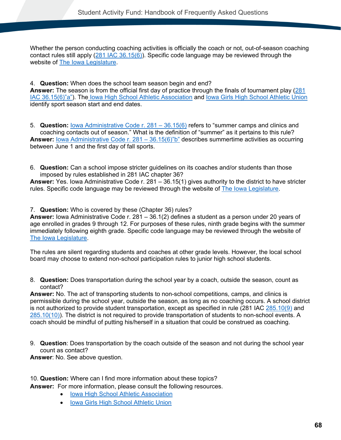Whether the person conducting coaching activities is officially the coach or not, out-of-season coaching contact rules still apply [\(281 IAC 36.15\(6\)\)](#page-82-2). Specific code language may be reviewed through the website of [The Iowa Legislature.](https://www.legis.iowa.gov/law)

4. **Question:** When does the school team season begin and end?

**Answer:** The season is from the official first day of practice through the finals of tournament play [\(281](#page-82-2)  [IAC 36.15\(6\)"a"\)](#page-82-2). The [Iowa High School Athletic Association](https://www.iahsaa.org/information/general/) and [Iowa Girls High School Athletic Union](https://ighsau.org/sports/) identify sport season start and end dates.

5. **Question:** [Iowa Administrative Code r. 281 –](#page-82-2) 36.15(6) refers to "summer camps and clinics and coaching contacts out of season." What is the definition of "summer" as it pertains to this rule? **Answer:** <u>[Iowa Administrative Code r. 281 –](#page-82-2) 36.15(6)"b"</u> describes summertime activities as occurring between June 1 and the first day of fall sports.

6. **Question:** Can a school impose stricter guidelines on its coaches and/or students than those imposed by rules established in 281 IAC chapter 36?

**Answer:** Yes. Iowa Administrative Code r. 281 – 36.15(1) gives authority to the district to have stricter rules. Specific code language may be reviewed through the website of [The Iowa Legislature.](https://www.legis.iowa.gov/law)

7. **Question:** Who is covered by these (Chapter 36) rules?

**Answer:** Iowa Administrative Code r. 281 – 36.1(2) defines a student as a person under 20 years of age enrolled in grades 9 through 12. For purposes of these rules, ninth grade begins with the summer immediately following eighth grade. Specific code language may be reviewed through the website of [The Iowa Legislature.](https://www.legis.iowa.gov/law)

The rules are silent regarding students and coaches at other grade levels. However, the local school board may choose to extend non-school participation rules to junior high school students.

8. **Question:** Does transportation during the school year by a coach, outside the season, count as contact?

**Answer:** No. The act of transporting students to non-school competitions, camps, and clinics is permissible during the school year, outside the season, as long as no coaching occurs. A school district is not authorized to provide student transportation, except as specified in rule (281 IAC [285.10\(9\)](#page-79-1) and [285.10\(10\)\)](#page-79-1). The district is not required to provide transportation of students to non-school events. A coach should be mindful of putting his/herself in a situation that could be construed as coaching.

9. **Question**: Does transportation by the coach outside of the season and not during the school year count as contact?

**Answer**: No. See above question.

10. **Question:** Where can I find more information about these topics?

**Answer:** For more information, please consult the following resources.

- Iowa High School [Athletic Association](https://www.iahsaa.org/information/general/)
- [Iowa Girls High School Athletic Union](https://ighsau.org/sports/)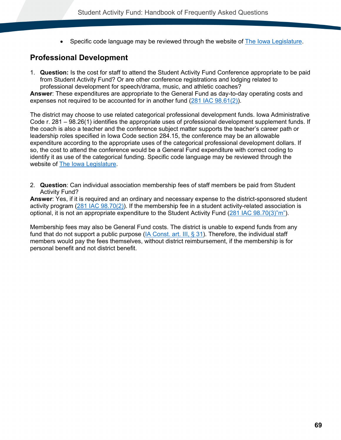• Specific code language may be reviewed through the website of [The Iowa Legislature.](https://www.legis.iowa.gov/law)

# **Professional Development**

1. **Question:** Is the cost for staff to attend the Student Activity Fund Conference appropriate to be paid from Student Activity Fund? Or are other conference registrations and lodging related to professional development for speech/drama, music, and athletic coaches?

**Answer**: These expenditures are appropriate to the General Fund as day-to-day operating costs and expenses not required to be accounted for in another fund [\(281 IAC 98.61\(2\)\)](#page-83-0).

The district may choose to use related categorical professional development funds. Iowa Administrative Code r. 281 – 98.26(1) identifies the appropriate uses of professional development supplement funds. If the coach is also a teacher and the conference subject matter supports the teacher's career path or leadership roles specified in Iowa Code section 284.15, the conference may be an allowable expenditure according to the appropriate uses of the categorical professional development dollars. If so, the cost to attend the conference would be a General Fund expenditure with correct coding to identify it as use of the categorical funding. Specific code language may be reviewed through the website of [The Iowa Legislature.](https://www.legis.iowa.gov/law)

2. **Question**: Can individual association membership fees of staff members be paid from Student Activity Fund?

**Answer**: Yes, if it is required and an ordinary and necessary expense to the district-sponsored student activity program [\(281 IAC 98.70\(2\)\)](#page-86-0). If the membership fee in a student activity-related association is optional, it is not an appropriate expenditure to the Student Activity Fund [\(281 IAC 98.70\(3\)"m"\)](#page-86-1).

Membership fees may also be General Fund costs. The district is unable to expend funds from any fund that do not support a public purpose (IA Const. art. III,  $\S$  31). Therefore, the individual staff members would pay the fees themselves, without district reimbursement, if the membership is for personal benefit and not district benefit.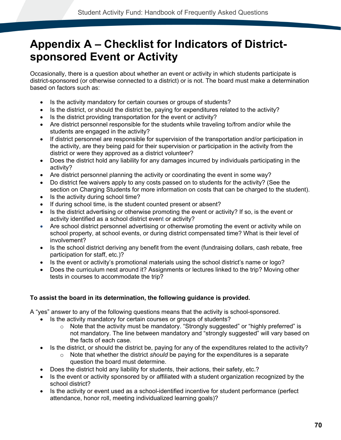# **Appendix A – Checklist for Indicators of Districtsponsored Event or Activity**

Occasionally, there is a question about whether an event or activity in which students participate is district-sponsored (or otherwise connected to a district) or is not. The board must make a determination based on factors such as:

- Is the activity mandatory for certain courses or groups of students?
- Is the district, or should the district be, paying for expenditures related to the activity?
- Is the district providing transportation for the event or activity?
- Are district personnel responsible for the students while traveling to/from and/or while the students are engaged in the activity?
- If district personnel are responsible for supervision of the transportation and/or participation in the activity, are they being paid for their supervision or participation in the activity from the district or were they approved as a district volunteer?
- Does the district hold any liability for any damages incurred by individuals participating in the activity?
- Are district personnel planning the activity or coordinating the event in some way?
- Do district fee waivers apply to any costs passed on to students for the activity? (See the section on Charging Students for more information on costs that can be charged to the student).
- Is the activity during school time?
- If during school time, is the student counted present or absent?
- Is the district advertising or otherwise promoting the event or activity? If so, is the event or activity identified as a school district event or activity?
- Are school district personnel advertising or otherwise promoting the event or activity while on school property, at school events, or during district compensated time? What is their level of involvement?
- Is the school district deriving any benefit from the event (fundraising dollars, cash rebate, free participation for staff, etc.)?
- Is the event or activity's promotional materials using the school district's name or logo?
- Does the curriculum nest around it? Assignments or lectures linked to the trip? Moving other tests in courses to accommodate the trip?

# **To assist the board in its determination, the following guidance is provided.**

A "yes" answer to any of the following questions means that the activity is school-sponsored.

- Is the activity mandatory for certain courses or groups of students?
	- o Note that the activity must be mandatory. "Strongly suggested" or "highly preferred" is not mandatory. The line between mandatory and "strongly suggested" will vary based on the facts of each case.
- Is the district, or should the district be, paying for any of the expenditures related to the activity?
	- o Note that whether the district *should* be paying for the expenditures is a separate question the board must determine.
- Does the district hold any liability for students, their actions, their safety, etc.?
- Is the event or activity sponsored by or affiliated with a student organization recognized by the school district?
- Is the activity or event used as a school-identified incentive for student performance (perfect attendance, honor roll, meeting individualized learning goals)?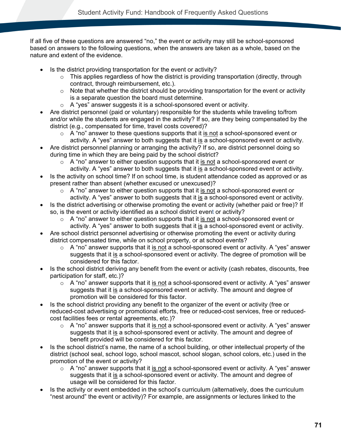If all five of these questions are answered "no," the event or activity may still be school-sponsored based on answers to the following questions, when the answers are taken as a whole, based on the nature and extent of the evidence.

- Is the district providing transportation for the event or activity?
	- $\circ$  This applies regardless of how the district is providing transportation (directly, through contract, through reimbursement, etc.).
	- $\circ$  Note that whether the district should be providing transportation for the event or activity is a separate question the board must determine.
	- o A "yes" answer suggests it is a school-sponsored event or activity.
- Are district personnel (paid or voluntary) responsible for the students while traveling to/from and/or while the students are engaged in the activity? If so, are they being compensated by the district (e.g., compensated for time, travel costs covered)?
	- $\circ$  A "no" answer to these questions supports that it is not a school-sponsored event or activity. A "yes" answer to both suggests that it is a school-sponsored event or activity.
- Are district personnel planning or arranging the activity? If so, are district personnel doing so during time in which they are being paid by the school district?
	- $\circ$  A "no" answer to either question supports that it is not a school-sponsored event or activity. A "yes" answer to both suggests that it is a school-sponsored event or activity.
- Is the activity on school time? If on school time, is student attendance coded as approved or as present rather than absent (whether excused or unexcused)?
	- $\circ$  A "no" answer to either question supports that it is not a school-sponsored event or activity. A "yes" answer to both suggests that it is a school-sponsored event or activity.
- Is the district advertising or otherwise promoting the event or activity (whether paid or free)? If so, is the event or activity identified as a school district event or activity?
	- $\circ$  A "no" answer to either question supports that it is not a school-sponsored event or activity. A "yes" answer to both suggests that it is a school-sponsored event or activity.
- Are school district personnel advertising or otherwise promoting the event or activity during district compensated time, while on school property, or at school events?
	- $\circ$  A "no" answer supports that it is not a school-sponsored event or activity. A "yes" answer suggests that it is a school-sponsored event or activity. The degree of promotion will be considered for this factor.
- Is the school district deriving any benefit from the event or activity (cash rebates, discounts, free participation for staff, etc.)?
	- $\circ$  A "no" answer supports that it is not a school-sponsored event or activity. A "yes" answer suggests that it is a school-sponsored event or activity. The amount and degree of promotion will be considered for this factor.
- Is the school district providing any benefit to the organizer of the event or activity (free or reduced-cost advertising or promotional efforts, free or reduced-cost services, free or reducedcost facilities fees or rental agreements, etc.)?
	- $\circ$  A "no" answer supports that it is not a school-sponsored event or activity. A "yes" answer suggests that it is a school-sponsored event or activity. The amount and degree of benefit provided will be considered for this factor.
- Is the school district's name, the name of a school building, or other intellectual property of the district (school seal, school logo, school mascot, school slogan, school colors, etc.) used in the promotion of the event or activity?
	- $\circ$  A "no" answer supports that it is not a school-sponsored event or activity. A "yes" answer suggests that it is a school-sponsored event or activity. The amount and degree of usage will be considered for this factor.
- Is the activity or event embedded in the school's curriculum (alternatively, does the curriculum "nest around" the event or activity)? For example, are assignments or lectures linked to the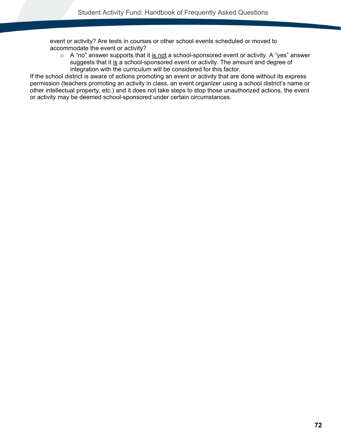event or activity? Are tests in courses or other school events scheduled or moved to accommodate the event or activity?

 $\circ$  A "no" answer supports that it is not a school-sponsored event or activity. A "yes" answer suggests that it is a school-sponsored event or activity. The amount and degree of integration with the curriculum will be considered for this factor.

If the school district is aware of actions promoting an event or activity that are done without its express permission (teachers promoting an activity in class, an event organizer using a school district's name or other intellectual property, etc.) and it does not take steps to stop those unauthorized actions, the event or activity may be deemed school-sponsored under certain circumstances.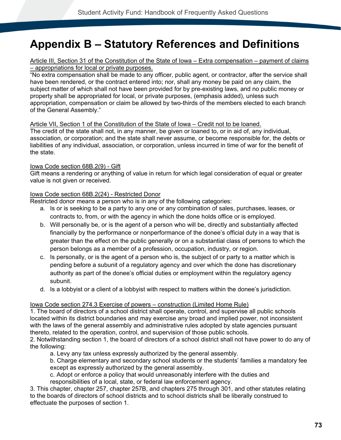# **Appendix B – Statutory References and Definitions**

## <span id="page-76-0"></span>Article III, Section 31 of the Constitution of the State of Iowa – Extra compensation – payment of claims – appropriations for local or private purposes.

"No extra compensation shall be made to any officer, public agent, or contractor, after the service shall have been rendered, or the contract entered into; nor, shall any money be paid on any claim, the subject matter of which shall not have been provided for by pre-existing laws, and no public money or property shall be appropriated for local, or private purposes, (emphasis added), unless such appropriation, compensation or claim be allowed by two-thirds of the members elected to each branch of the General Assembly."

## Article VII, Section 1 of the Constitution of the State of Iowa – Credit not to be loaned.

The credit of the state shall not, in any manner, be given or loaned to, or in aid of, any individual, association, or corporation; and the state shall never assume, or become responsible for, the debts or liabilities of any individual, association, or corporation, unless incurred in time of war for the benefit of the state.

## Iowa Code section 68B.2(9) - Gift

Gift means a rendering or anything of value in return for which legal consideration of equal or greater value is not given or received.

## Iowa Code section 68B.2(24) - Restricted Donor

Restricted donor means a person who is in any of the following categories:

- a. Is or is seeking to be a party to any one or any combination of sales, purchases, leases, or contracts to, from, or with the agency in which the done holds office or is employed.
- b. Will personally be, or is the agent of a person who will be, directly and substantially affected financially by the performance or nonperformance of the donee's official duty in a way that is greater than the effect on the public generally or on a substantial class of persons to which the person belongs as a member of a profession, occupation, industry, or region.
- c. Is personally, or is the agent of a person who is, the subject of or party to a matter which is pending before a subunit of a regulatory agency and over which the done has discretionary authority as part of the donee's official duties or employment within the regulatory agency subunit.
- d. Is a lobbyist or a client of a lobbyist with respect to matters within the donee's jurisdiction.

## Iowa Code section 274.3 Exercise of powers – construction (Limited Home Rule)

1. The board of directors of a school district shall operate, control, and supervise all public schools located within its district boundaries and may exercise any broad and implied power, not inconsistent with the laws of the general assembly and administrative rules adopted by state agencies pursuant thereto, related to the operation, control, and supervision of those public schools.

2. Notwithstanding section 1, the board of directors of a school district shall not have power to do any of the following:

a. Levy any tax unless expressly authorized by the general assembly.

b. Charge elementary and secondary school students or the students' families a mandatory fee except as expressly authorized by the general assembly.

c. Adopt or enforce a policy that would unreasonably interfere with the duties and

responsibilities of a local, state, or federal law enforcement agency.

3. This chapter, chapter 257, chapter 257B, and chapters 275 through 301, and other statutes relating to the boards of directors of school districts and to school districts shall be liberally construed to effectuate the purposes of section 1.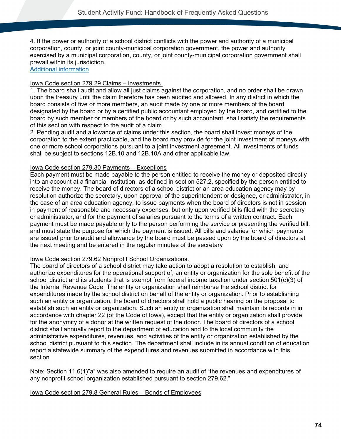4. If the power or authority of a school district conflicts with the power and authority of a municipal corporation, county, or joint county-municipal corporation government, the power and authority exercised by a municipal corporation, county, or joint county-municipal corporation government shall prevail within its jurisdiction.

# [Additional information](https://educateiowa.gov/resources/legal-resources/legal-lessons/limited-home-rule-june-2017-school-leader-update)

## Iowa Code section 279.29 Claims – investments.

1. The board shall audit and allow all just claims against the corporation, and no order shall be drawn upon the treasury until the claim therefore has been audited and allowed. In any district in which the board consists of five or more members, an audit made by one or more members of the board designated by the board or by a certified public accountant employed by the board, and certified to the board by such member or members of the board or by such accountant, shall satisfy the requirements of this section with respect to the audit of a claim.

2. Pending audit and allowance of claims under this section, the board shall invest moneys of the corporation to the extent practicable, and the board may provide for the joint investment of moneys with one or more school corporations pursuant to a joint investment agreement. All investments of funds shall be subject to sections 12B.10 and 12B.10A and other applicable law.

## Iowa Code section 279.30 Payments – Exceptions

Each payment must be made payable to the person entitled to receive the money or deposited directly into an account at a financial institution, as defined in section 527.2, specified by the person entitled to receive the money. The board of directors of a school district or an area education agency may by resolution authorize the secretary, upon approval of the superintendent or designee, or administrator, in the case of an area education agency, to issue payments when the board of directors is not in session in payment of reasonable and necessary expenses, but only upon verified bills filed with the secretary or administrator, and for the payment of salaries pursuant to the terms of a written contract. Each payment must be made payable only to the person performing the service or presenting the verified bill, and must state the purpose for which the payment is issued. All bills and salaries for which payments are issued prior to audit and allowance by the board must be passed upon by the board of directors at the next meeting and be entered in the regular minutes of the secretary

## Iowa Code section 279.62 Nonprofit School Organizations.

The board of directors of a school district may take action to adopt a resolution to establish, and authorize expenditures for the operational support of, an entity or organization for the sole benefit of the school district and its students that is exempt from federal income taxation under section 501(c)(3) of the Internal Revenue Code. The entity or organization shall reimburse the school district for expenditures made by the school district on behalf of the entity or organization. Prior to establishing such an entity or organization, the board of directors shall hold a public hearing on the proposal to establish such an entity or organization. Such an entity or organization shall maintain its records in in accordance with chapter 22 (of the Code of Iowa), except that the entity or organization shall provide for the anonymity of a donor at the written request of the donor. The board of directors of a school district shall annually report to the department of education and to the local community the administrative expenditures, revenues, and activities of the entity or organization established by the school district pursuant to this section. The department shall include in its annual condition of education report a statewide summary of the expenditures and revenues submitted in accordance with this section

Note: Section 11.6(1)"a" was also amended to require an audit of "the revenues and expenditures of any nonprofit school organization established pursuant to section 279.62."

#### Iowa Code section 279.8 General Rules – Bonds of Employees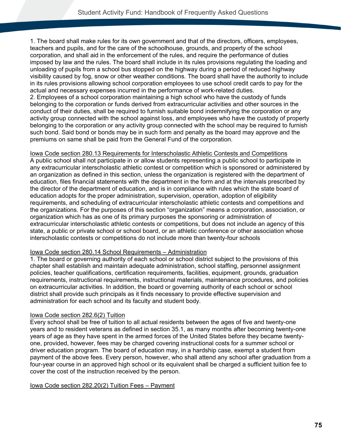1. The board shall make rules for its own government and that of the directors, officers, employees, teachers and pupils, and for the care of the schoolhouse, grounds, and property of the school corporation, and shall aid in the enforcement of the rules, and require the performance of duties imposed by law and the rules. The board shall include in its rules provisions regulating the loading and unloading of pupils from a school bus stopped on the highway during a period of reduced highway visibility caused by fog, snow or other weather conditions. The board shall have the authority to include in its rules provisions allowing school corporation employees to use school credit cards to pay for the actual and necessary expenses incurred in the performance of work-related duties. 2. Employees of a school corporation maintaining a high school who have the custody of funds belonging to the corporation or funds derived from extracurricular activities and other sources in the conduct of their duties, shall be required to furnish suitable bond indemnifying the corporation or any activity group connected with the school against loss, and employees who have the custody of property belonging to the corporation or any activity group connected with the school may be required to furnish such bond. Said bond or bonds may be in such form and penalty as the board may approve and the premiums on same shall be paid from the General Fund of the corporation.

#### Iowa Code section 280.13 Requirements for Interscholastic Athletic Contests and Competitions

A public school shall not participate in or allow students representing a public school to participate in any extracurricular interscholastic athletic contest or competition which is sponsored or administered by an organization as defined in this section, unless the organization is registered with the department of education, files financial statements with the department in the form and at the intervals prescribed by the director of the department of education, and is in compliance with rules which the state board of education adopts for the proper administration, supervision, operation, adoption of eligibility requirements, and scheduling of extracurricular interscholastic athletic contests and competitions and the organizations. For the purposes of this section "organization" means a corporation, association, or organization which has as one of its primary purposes the sponsoring or administration of extracurricular interscholastic athletic contests or competitions, but does not include an agency of this state, a public or private school or school board, or an athletic conference or other association whose interscholastic contests or competitions do not include more than twenty-four schools

#### Iowa Code section 280.14 School Requirements – Administration

1. The board or governing authority of each school or school district subject to the provisions of this chapter shall establish and maintain adequate administration, school staffing, personnel assignment policies, teacher qualifications, certification requirements, facilities, equipment, grounds, graduation requirements, instructional requirements, instructional materials, maintenance procedures, and policies on extracurricular activities. In addition, the board or governing authority of each school or school district shall provide such principals as it finds necessary to provide effective supervision and administration for each school and its faculty and student body.

#### Iowa Code section 282.6(2) Tuition

Every school shall be free of tuition to all actual residents between the ages of five and twenty-one years and to resident veterans as defined in section 35.1, as many months after becoming twenty-one years of age as they have spent in the armed forces of the United States before they became twentyone, provided, however, fees may be charged covering instructional costs for a summer school or driver education program. The board of education may, in a hardship case, exempt a student from payment of the above fees. Every person, however, who shall attend any school after graduation from a four-year course in an approved high school or its equivalent shall be charged a sufficient tuition fee to cover the cost of the instruction received by the person.

#### Iowa Code section 282.20(2) Tuition Fees – Payment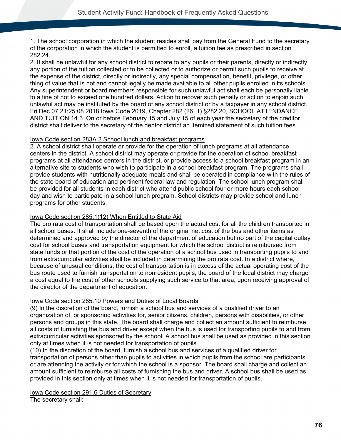1. The school corporation in which the student resides shall pay from the General Fund to the secretary of the corporation in which the student is permitted to enroll, a tuition fee as prescribed in section 282.24.

2. It shall be unlawful for any school district to rebate to any pupils or their parents, directly or indirectly, any portion of the tuition collected or to be collected or to authorize or permit such pupils to receive at the expense of the district, directly or indirectly, any special compensation, benefit, privilege, or other thing of value that is not and cannot legally be made available to all other pupils enrolled in its schools. Any superintendent or board members responsible for such unlawful act shall each be personally liable to a fine of not to exceed one hundred dollars. Action to recover such penalty or action to enjoin such unlawful act may be instituted by the board of any school district or by a taxpayer in any school district. Fri Dec 07 21:25:08 2018 Iowa Code 2019, Chapter 282 (26, 1) §282.20, SCHOOL ATTENDANCE AND TUITION 14 3. On or before February 15 and July 15 of each year the secretary of the creditor district shall deliver to the secretary of the debtor district an itemized statement of such tuition fees

## Iowa Code section 283A.2 School lunch and breakfast programs

2. A school district shall operate or provide for the operation of lunch programs at all attendance centers in the district. A school district may operate or provide for the operation of school breakfast programs at all attendance centers in the district, or provide access to a school breakfast program in an alternative site to students who wish to participate in a school breakfast program. The programs shall provide students with nutritionally adequate meals and shall be operated in compliance with the rules of the state board of education and pertinent federal law and regulation. The school lunch program shall be provided for all students in each district who attend public school four or more hours each school day and wish to participate in a school lunch program. School districts may provide school and lunch programs for other students.

## Iowa Code section 285.1(12) When Entitled to State Aid

The pro rata cost of transportation shall be based upon the actual cost for all the children transported in all school buses. It shall include one-seventh of the original net cost of the bus and other items as determined and approved by the director of the department of education but no part of the capital outlay cost for school buses and transportation equipment for which the school district is reimbursed from state funds or that portion of the cost of the operation of a school bus used in transporting pupils to and from extracurricular activities shall be included in determining the pro rata cost. In a district where, because of unusual conditions, the cost of transportation is in excess of the actual operating cost of the bus route used to furnish transportation to nonresident pupils, the board of the local district may charge a cost equal to the cost of other schools supplying such service to that area, upon receiving approval of the director of the department of education.

# Iowa Code section 285.10 Powers and Duties of Local Boards

(9) In the discretion of the board, furnish a school bus and services of a qualified driver to an organization of, or sponsoring activities for, senior citizens, children, persons with disabilities, or other persons and groups in this state. The board shall charge and collect an amount sufficient to reimburse all costs of furnishing the bus and driver except when the bus is used for transporting pupils to and from extracurricular activities sponsored by the school. A school bus shall be used as provided in this section only at times when it is not needed for transportation of pupils.

(10) In the discretion of the board, furnish a school bus and services of a qualified driver for transportation of persons other than pupils to activities in which pupils from the school are participants or are attending the activity or for which the school is a sponsor. The board shall charge and collect an amount sufficient to reimburse all costs of furnishing the bus and driver. A school bus shall be used as provided in this section only at times when it is not needed for transportation of pupils.

Iowa Code section 291.6 Duties of Secretary The secretary shall: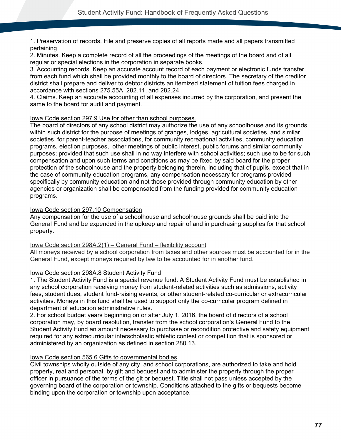1. Preservation of records. File and preserve copies of all reports made and all papers transmitted pertaining

2. Minutes. Keep a complete record of all the proceedings of the meetings of the board and of all regular or special elections in the corporation in separate books.

3. Accounting records. Keep an accurate account record of each payment or electronic funds transfer from each fund which shall be provided monthly to the board of directors. The secretary of the creditor district shall prepare and deliver to debtor districts an itemized statement of tuition fees charged in accordance with sections 275.55A, 282.11, and 282.24.

4. Claims. Keep an accurate accounting of all expenses incurred by the corporation, and present the same to the board for audit and payment.

## Iowa Code section 297.9 Use for other than school purposes.

The board of directors of any school district may authorize the use of any schoolhouse and its grounds within such district for the purpose of meetings of granges, lodges, agricultural societies, and similar societies, for parent-teacher associations, for community recreational activities, community education programs, election purposes, other meetings of public interest, public forums and similar community purposes; provided that such use shall in no way interfere with school activities; such use to be for such compensation and upon such terms and conditions as may be fixed by said board for the proper protection of the schoolhouse and the property belonging therein, including that of pupils, except that in the case of community education programs, any compensation necessary for programs provided specifically by community education and not those provided through community education by other agencies or organization shall be compensated from the funding provided for community education programs.

# Iowa Code section 297.10 Compensation

Any compensation for the use of a schoolhouse and schoolhouse grounds shall be paid into the General Fund and be expended in the upkeep and repair of and in purchasing supplies for that school property.

## Iowa Code section 298A.2(1) – General Fund – flexibility account

All moneys received by a school corporation from taxes and other sources must be accounted for in the General Fund, except moneys required by law to be accounted for in another fund.

# Iowa Code section 298A.8 Student Activity Fund

1. The Student Activity Fund is a special revenue fund. A Student Activity Fund must be established in any school corporation receiving money from student-related activities such as admissions, activity fees, student dues, student fund-raising events, or other student-related co-curricular or extracurricular activities. Moneys in this fund shall be used to support only the co-curricular program defined in department of education administrative rules.

2. For school budget years beginning on or after July 1, 2016, the board of directors of a school corporation may, by board resolution, transfer from the school corporation's General Fund to the Student Activity Fund an amount necessary to purchase or recondition protective and safety equipment required for any extracurricular interscholastic athletic contest or competition that is sponsored or administered by an organization as defined in section 280.13.

# Iowa Code section 565.6 Gifts to governmental bodies

Civil townships wholly outside of any city, and school corporations, are authorized to take and hold property, real and personal, by gift and bequest and to administer the property through the proper officer in pursuance of the terms of the git or bequest. Title shall not pass unless accepted by the governing board of the corporation or township. Conditions attached to the gifts or bequests become binding upon the corporation or township upon acceptance.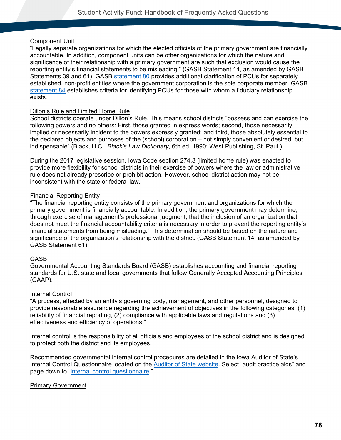## Component Unit

"Legally separate organizations for which the elected officials of the primary government are financially accountable. In addition, component units can be other organizations for which the nature and significance of their relationship with a primary government are such that exclusion would cause the reporting entity's financial statements to be misleading." (GASB Statement 14, as amended by GASB Statements 39 and 61). GASB [statement 80](https://www.gasb.org/jsp/GASB/Document_C/DocumentPage?cid=1176167862585&acceptedDisclaimer=true) provides additional clarification of PCUs for separately established, non-profit entities where the government corporation is the sole corporate member. GASB [statement 84](https://gasb.org/jsp/GASB/Document_C/DocumentPage?cid=1176168786182&acceptedDisclaimer=true) establishes criteria for identifying PCUs for those with whom a fiduciary relationship exists.

## Dillon's Rule and Limited Home Rule

School districts operate under Dillon's Rule. This means school districts "possess and can exercise the following powers and no others: First, those granted in express words; second, those necessarily implied or necessarily incident to the powers expressly granted; and third, those absolutely essential to the declared objects and purposes of the (school) corporation – not simply convenient or desired, but indispensable" (Black, H.C., *Black's Law Dictionary*, 6th ed. 1990: West Publishing, St. Paul.)

During the 2017 legislative session, Iowa Code section 274.3 (limited home rule) was enacted to provide more flexibility for school districts in their exercise of powers where the law or administrative rule does not already prescribe or prohibit action. However, school district action may not be inconsistent with the state or federal law.

## Financial Reporting Entity

"The financial reporting entity consists of the primary government and organizations for which the primary government is financially accountable. In addition, the primary government may determine, through exercise of management's professional judgment, that the inclusion of an organization that does not meet the financial accountability criteria is necessary in order to prevent the reporting entity's financial statements from being misleading." This determination should be based on the nature and significance of the organization's relationship with the district. (GASB Statement 14, as amended by GASB Statement 61)

## GASB

Governmental Accounting Standards Board (GASB) establishes accounting and financial reporting standards for U.S. state and local governments that follow Generally Accepted Accounting Principles (GAAP).

## Internal Control

"A process, effected by an entity's governing body, management, and other personnel, designed to provide reasonable assurance regarding the achievement of objectives in the following categories: (1) reliability of financial reporting, (2) compliance with applicable laws and regulations and (3) effectiveness and efficiency of operations."

Internal control is the responsibility of all officials and employees of the school district and is designed to protect both the district and its employees.

Recommended governmental internal control procedures are detailed in the Iowa Auditor of State's Internal Control Questionnaire located on the [Auditor of State website.](http://auditor.iowa.gov/) Select "audit practice aids" and page down to ["internal control questionnaire.](https://www.auditor.iowa.gov/other-resources/audit-practice-aids)"

# Primary Government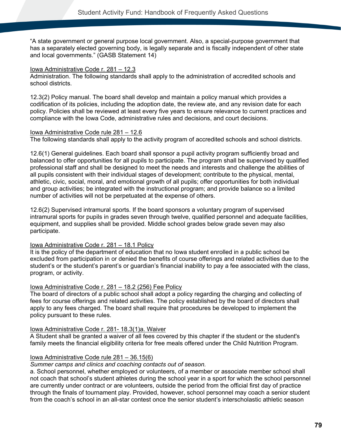"A state government or general purpose local government. Also, a special-purpose government that has a separately elected governing body, is legally separate and is fiscally independent of other state and local governments." (GASB Statement 14)

#### Iowa Administrative Code r. 281 – 12.3

Administration. The following standards shall apply to the administration of accredited schools and school districts.

12.3(2) Policy manual. The board shall develop and maintain a policy manual which provides a codification of its policies, including the adoption date, the review ate, and any revision date for each policy. Policies shall be reviewed at least every five years to ensure relevance to current practices and compliance with the Iowa Code, administrative rules and decisions, and court decisions.

#### Iowa Administrative Code rule 281 – 12.6

The following standards shall apply to the activity program of accredited schools and school districts.

12.6(1) General guidelines. Each board shall sponsor a pupil activity program sufficiently broad and balanced to offer opportunities for all pupils to participate. The program shall be supervised by qualified professional staff and shall be designed to meet the needs and interests and challenge the abilities of all pupils consistent with their individual stages of development; contribute to the physical, mental, athletic, civic, social, moral, and emotional growth of all pupils; offer opportunities for both individual and group activities; be integrated with the instructional program; and provide balance so a limited number of activities will not be perpetuated at the expense of others.

12.6(2) Supervised intramural sports. If the board sponsors a voluntary program of supervised intramural sports for pupils in grades seven through twelve, qualified personnel and adequate facilities, equipment, and supplies shall be provided. Middle school grades below grade seven may also participate.

## Iowa Administrative Code r. 281 – 18.1 Policy

It is the policy of the department of education that no Iowa student enrolled in a public school be excluded from participation in or denied the benefits of course offerings and related activities due to the student's or the student's parent's or guardian's financial inability to pay a fee associated with the class, program, or activity.

## Iowa Administrative Code r. 281 – 18.2 (256) Fee Policy

The board of directors of a public school shall adopt a policy regarding the charging and collecting of fees for course offerings and related activities. The policy established by the board of directors shall apply to any fees charged. The board shall require that procedures be developed to implement the policy pursuant to these rules.

## Iowa Administrative Code r. 281- 18.3(1)a. Waiver

A Student shall be granted a waiver of all fees covered by this chapter if the student or the student's family meets the financial eligibility criteria for free meals offered under the Child Nutrition Program.

## Iowa Administrative Code rule 281 – 36.15(6)

*Summer camps and clinics and coaching contacts out of season.* 

a. School personnel, whether employed or volunteers, of a member or associate member school shall not coach that school's student athletes during the school year in a sport for which the school personnel are currently under contract or are volunteers, outside the period from the official first day of practice through the finals of tournament play. Provided, however, school personnel may coach a senior student from the coach's school in an all-star contest once the senior student's interscholastic athletic season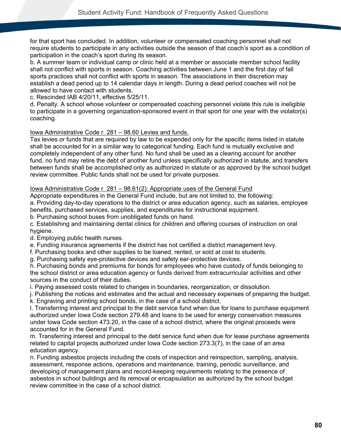for that sport has concluded. In addition, volunteer or compensated coaching personnel shall not require students to participate in any activities outside the season of that coach's sport as a condition of participation in the coach's sport during its season.

b. A summer team or individual camp or clinic held at a member or associate member school facility shall not conflict with sports in season. Coaching activities between June 1 and the first day of fall sports practices shall not conflict with sports in season. The associations in their discretion may establish a dead period up to 14 calendar days in length. During a dead period coaches will not be allowed to have contact with students.

c. Rescinded IAB 4/20/11, effective 5/25/11.

d. Penalty. A school whose volunteer or compensated coaching personnel violate this rule is ineligible to participate in a governing organization-sponsored event in that sport for one year with the violator(s) coaching.

## Iowa Administrative Code r. 281 – 98.60 Levies and funds.

Tax levies or funds that are required by law to be expended only for the specific items listed in statute shall be accounted for in a similar way to categorical funding. Each fund is mutually exclusive and completely independent of any other fund. No fund shall be used as a clearing account for another fund, no fund may retire the debt of another fund unless specifically authorized in statute, and transfers between funds shall be accomplished only as authorized in statute or as approved by the school budget review committee. Public funds shall not be used for private purposes.

#### <span id="page-83-0"></span>Iowa Administrative Code r. 281 – 98.61(2): Appropriate uses of the General Fund

Appropriate expenditures in the General Fund include, but are not limited to, the following:

a. Providing day-to-day operations to the district or area education agency, such as salaries, employee benefits, purchased services, supplies, and expenditures for instructional equipment.

b. Purchasing school buses from unobligated funds on hand.

c. Establishing and maintaining dental clinics for children and offering courses of instruction on oral hygiene.

d. Employing public health nurses.

e. Funding insurance agreements if the district has not certified a district management levy.

f. Purchasing books and other supplies to be loaned, rented, or sold at cost to students.

g. Purchasing safety eye-protective devices and safety ear-protective devices.

h. Purchasing bonds and premiums for bonds for employees who have custody of funds belonging to the school district or area education agency or funds derived from extracurricular activities and other sources in the conduct of their duties.

i. Paying assessed costs related to changes in boundaries, reorganization, or dissolution.

j. Publishing the notices and estimates and the actual and necessary expenses of preparing the budget.

k. Engraving and printing school bonds, in the case of a school district.

l. Transferring interest and principal to the debt service fund when due for loans to purchase equipment authorized under Iowa Code section 279.48 and loans to be used for energy conservation measures under Iowa Code section 473.20, in the case of a school district, where the original proceeds were accounted for in the General Fund.

m. Transferring interest and principal to the debt service fund when due for lease purchase agreements related to capital projects authorized under Iowa Code section 273.3(7), in the case of an area education agency.

n. Funding asbestos projects including the costs of inspection and reinspection, sampling, analysis, assessment, response actions, operations and maintenance, training, periodic surveillance, and developing of management plans and record-keeping requirements relating to the presence of asbestos in school buildings and its removal or encapsulation as authorized by the school budget review committee in the case of a school district.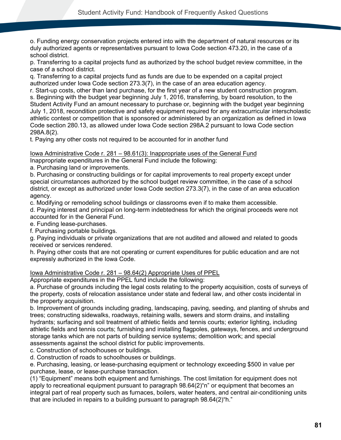o. Funding energy conservation projects entered into with the department of natural resources or its duly authorized agents or representatives pursuant to Iowa Code section 473.20, in the case of a school district.

p. Transferring to a capital projects fund as authorized by the school budget review committee, in the case of a school district.

q. Transferring to a capital projects fund as funds are due to be expended on a capital project authorized under Iowa Code section 273.3(7), in the case of an area education agency.

r. Start-up costs, other than land purchase, for the first year of a new student construction program. s. Beginning with the budget year beginning July 1, 2016, transferring, by board resolution, to the Student Activity Fund an amount necessary to purchase or, beginning with the budget year beginning July 1, 2018, recondition protective and safety equipment required for any extracurricular interscholastic athletic contest or competition that is sponsored or administered by an organization as defined in Iowa Code section 280.13, as allowed under Iowa Code section 298A.2 pursuant to Iowa Code section 298A.8(2).

t. Paying any other costs not required to be accounted for in another fund

# Iowa Administrative Code r. 281 – 98.61(3): Inappropriate uses of the General Fund

Inappropriate expenditures in the General Fund include the following:

a. Purchasing land or improvements.

b. Purchasing or constructing buildings or for capital improvements to real property except under special circumstances authorized by the school budget review committee, in the case of a school district, or except as authorized under Iowa Code section 273.3(7), in the case of an area education agency.

c. Modifying or remodeling school buildings or classrooms even if to make them accessible.

d. Paying interest and principal on long-term indebtedness for which the original proceeds were not accounted for in the General Fund.

e. Funding lease-purchases.

f. Purchasing portable buildings.

g. Paying individuals or private organizations that are not audited and allowed and related to goods received or services rendered.

h. Paying other costs that are not operating or current expenditures for public education and are not expressly authorized in the Iowa Code.

## Iowa Administrative Code r. 281 – 98.64(2) Appropriate Uses of PPEL

Appropriate expenditures in the PPEL fund include the following:

a. Purchase of grounds including the legal costs relating to the property acquisition, costs of surveys of the property, costs of relocation assistance under state and federal law, and other costs incidental in the property acquisition.

b. Improvement of grounds including grading, landscaping, paving, seeding, and planting of shrubs and trees; constructing sidewalks, roadways, retaining walls, sewers and storm drains, and installing hydrants; surfacing and soil treatment of athletic fields and tennis courts; exterior lighting, including athletic fields and tennis courts; furnishing and installing flagpoles, gateways, fences, and underground storage tanks which are not parts of building service systems; demolition work; and special assessments against the school district for public improvements.

c. Construction of schoolhouses or buildings.

d. Construction of roads to schoolhouses or buildings.

e. Purchasing, leasing, or lease-purchasing equipment or technology exceeding \$500 in value per purchase, lease, or lease-purchase transaction.

(1) "Equipment" means both equipment and furnishings. The cost limitation for equipment does not apply to recreational equipment pursuant to paragraph 98.64(2)"n" or equipment that becomes an integral part of real property such as furnaces, boilers, water heaters, and central air-conditioning units that are included in repairs to a building pursuant to paragraph 98.64(2)"h."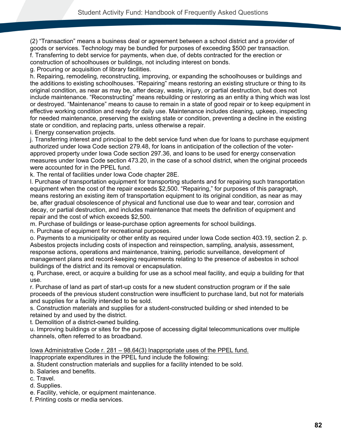(2) "Transaction" means a business deal or agreement between a school district and a provider of goods or services. Technology may be bundled for purposes of exceeding \$500 per transaction. f. Transferring to debt service for payments, when due, of debts contracted for the erection or construction of schoolhouses or buildings, not including interest on bonds.

g. Procuring or acquisition of library facilities.

h. Repairing, remodeling, reconstructing, improving, or expanding the schoolhouses or buildings and the additions to existing schoolhouses. "Repairing" means restoring an existing structure or thing to its original condition, as near as may be, after decay, waste, injury, or partial destruction, but does not include maintenance. "Reconstructing" means rebuilding or restoring as an entity a thing which was lost or destroyed. "Maintenance" means to cause to remain in a state of good repair or to keep equipment in effective working condition and ready for daily use. Maintenance includes cleaning, upkeep, inspecting for needed maintenance, preserving the existing state or condition, preventing a decline in the existing state or condition, and replacing parts, unless otherwise a repair.

i. Energy conservation projects.

j. Transferring interest and principal to the debt service fund when due for loans to purchase equipment authorized under Iowa Code section 279.48, for loans in anticipation of the collection of the voterapproved property under Iowa Code section 297.36, and loans to be used for energy conservation measures under Iowa Code section 473.20, in the case of a school district, when the original proceeds were accounted for in the PPEL fund.

k. The rental of facilities under Iowa Code chapter 28E.

l. Purchase of transportation equipment for transporting students and for repairing such transportation equipment when the cost of the repair exceeds \$2,500. "Repairing," for purposes of this paragraph, means restoring an existing item of transportation equipment to its original condition, as near as may be, after gradual obsolescence of physical and functional use due to wear and tear, corrosion and decay, or partial destruction, and includes maintenance that meets the definition of equipment and repair and the cost of which exceeds \$2,500.

m. Purchase of buildings or lease-purchase option agreements for school buildings.

n. Purchase of equipment for recreational purposes.

o. Payments to a municipality or other entity as required under Iowa Code section 403.19, section 2. p. Asbestos projects including costs of inspection and reinspection, sampling, analysis, assessment, response actions, operations and maintenance, training, periodic surveillance, development of management plans and record-keeping requirements relating to the presence of asbestos in school buildings of the district and its removal or encapsulation.

q. Purchase, erect, or acquire a building for use as a school meal facility, and equip a building for that use.

r. Purchase of land as part of start-up costs for a new student construction program or if the sale proceeds of the previous student construction were insufficient to purchase land, but not for materials and supplies for a facility intended to be sold.

s. Construction materials and supplies for a student-constructed building or shed intended to be retained by and used by the district.

t. Demolition of a district-owned building.

u. Improving buildings or sites for the purpose of accessing digital telecommunications over multiple channels, often referred to as broadband.

Iowa Administrative Code r. 281 – 98.64(3) Inappropriate uses of the PPEL fund.

Inappropriate expenditures in the PPEL fund include the following:

a. Student construction materials and supplies for a facility intended to be sold.

b. Salaries and benefits.

- c. Travel.
- d. Supplies.
- e. Facility, vehicle, or equipment maintenance.
- f. Printing costs or media services.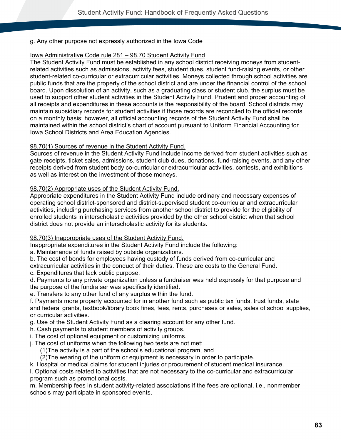## g. Any other purpose not expressly authorized in the Iowa Code

#### Iowa Administrative Code rule 281 – 98.70 Student Activity Fund

The Student Activity Fund must be established in any school district receiving moneys from studentrelated activities such as admissions, activity fees, student dues, student fund-raising events, or other student-related co-curricular or extracurricular activities. Moneys collected through school activities are public funds that are the property of the school district and are under the financial control of the school board. Upon dissolution of an activity, such as a graduating class or student club, the surplus must be used to support other student activities in the Student Activity Fund. Prudent and proper accounting of all receipts and expenditures in these accounts is the responsibility of the board. School districts may maintain subsidiary records for student activities if those records are reconciled to the official records on a monthly basis; however, all official accounting records of the Student Activity Fund shall be maintained within the school district's chart of account pursuant to Uniform Financial Accounting for Iowa School Districts and Area Education Agencies.

#### 98.70(1) Sources of revenue in the Student Activity Fund.

Sources of revenue in the Student Activity Fund include income derived from student activities such as gate receipts, ticket sales, admissions, student club dues, donations, fund-raising events, and any other receipts derived from student body co-curricular or extracurricular activities, contests, and exhibitions as well as interest on the investment of those moneys.

#### <span id="page-86-0"></span>98.70(2) Appropriate uses of the Student Activity Fund.

Appropriate expenditures in the Student Activity Fund include ordinary and necessary expenses of operating school district-sponsored and district-supervised student co-curricular and extracurricular activities, including purchasing services from another school district to provide for the eligibility of enrolled students in interscholastic activities provided by the other school district when that school district does not provide an interscholastic activity for its students.

#### <span id="page-86-1"></span>98.70(3) Inappropriate uses of the Student Activity Fund.

Inappropriate expenditures in the Student Activity Fund include the following:

a. Maintenance of funds raised by outside organizations.

b. The cost of bonds for employees having custody of funds derived from co-curricular and

extracurricular activities in the conduct of their duties. These are costs to the General Fund. c. Expenditures that lack public purpose.

d. Payments to any private organization unless a fundraiser was held expressly for that purpose and the purpose of the fundraiser was specifically identified.

e. Transfers to any other fund of any surplus within the fund.

f. Payments more properly accounted for in another fund such as public tax funds, trust funds, state and federal grants, textbook/library book fines, fees, rents, purchases or sales, sales of school supplies, or curricular activities.

g. Use of the Student Activity Fund as a clearing account for any other fund.

- h. Cash payments to student members of activity groups.
- i. The cost of optional equipment or customizing uniforms.
- j. The cost of uniforms when the following two tests are not met:
	- (1)The activity is a part of the school's educational program, and

(2)The wearing of the uniform or equipment is necessary in order to participate.

k. Hospital or medical claims for student injuries or procurement of student medical insurance.

l. Optional costs related to activities that are not necessary to the co-curricular and extracurricular program such as promotional costs.

m. Membership fees in student activity-related associations if the fees are optional, i.e., nonmember schools may participate in sponsored events.